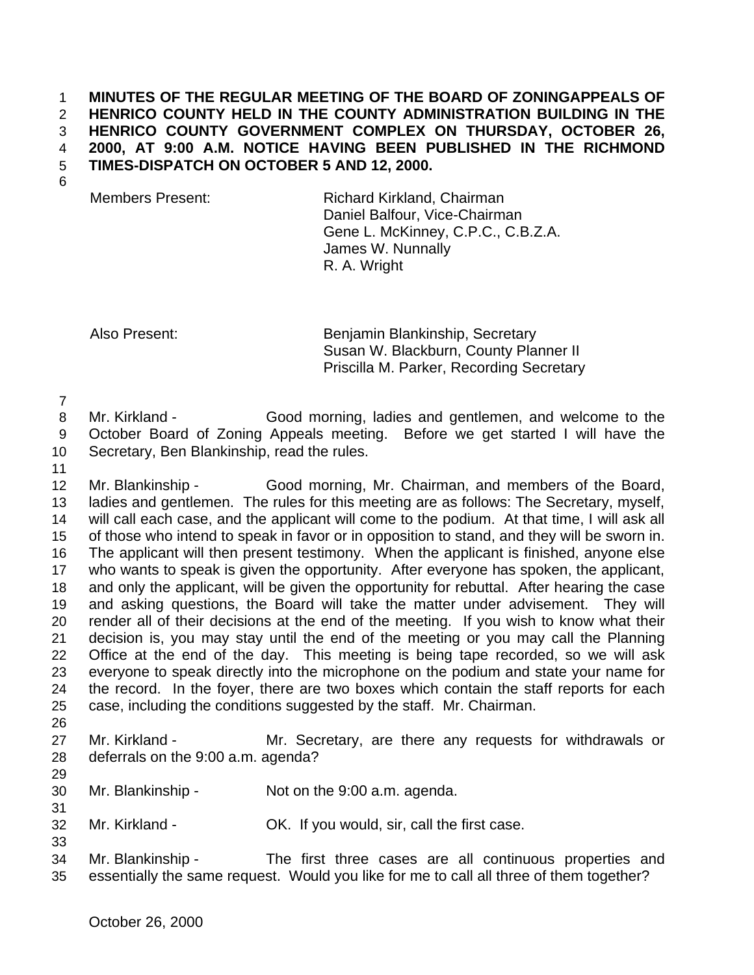## **MINUTES OF THE REGULAR MEETING OF THE BOARD OF ZONINGAPPEALS OF HENRICO COUNTY HELD IN THE COUNTY ADMINISTRATION BUILDING IN THE HENRICO COUNTY GOVERNMENT COMPLEX ON THURSDAY, OCTOBER 26, 2000, AT 9:00 A.M. NOTICE HAVING BEEN PUBLISHED IN THE RICHMOND TIMES-DISPATCH ON OCTOBER 5 AND 12, 2000.**

Members Present: Richard Kirkland, Chairman Daniel Balfour, Vice-Chairman Gene L. McKinney, C.P.C., C.B.Z.A. James W. Nunnally R. A. Wright

Also Present: Benjamin Blankinship, Secretary Susan W. Blackburn, County Planner II Priscilla M. Parker, Recording Secretary

 Mr. Kirkland - Good morning, ladies and gentlemen, and welcome to the October Board of Zoning Appeals meeting. Before we get started I will have the Secretary, Ben Blankinship, read the rules.

 Mr. Blankinship - Good morning, Mr. Chairman, and members of the Board, ladies and gentlemen. The rules for this meeting are as follows: The Secretary, myself, will call each case, and the applicant will come to the podium. At that time, I will ask all of those who intend to speak in favor or in opposition to stand, and they will be sworn in. The applicant will then present testimony. When the applicant is finished, anyone else who wants to speak is given the opportunity. After everyone has spoken, the applicant, and only the applicant, will be given the opportunity for rebuttal. After hearing the case and asking questions, the Board will take the matter under advisement. They will render all of their decisions at the end of the meeting. If you wish to know what their decision is, you may stay until the end of the meeting or you may call the Planning Office at the end of the day. This meeting is being tape recorded, so we will ask everyone to speak directly into the microphone on the podium and state your name for the record. In the foyer, there are two boxes which contain the staff reports for each case, including the conditions suggested by the staff. Mr. Chairman. 

- Mr. Kirkland Mr. Secretary, are there any requests for withdrawals or deferrals on the 9:00 a.m. agenda?
- Mr. Blankinship Not on the 9:00 a.m. agenda.
- Mr. Kirkland OK. If you would, sir, call the first case.
- Mr. Blankinship The first three cases are all continuous properties and essentially the same request. Would you like for me to call all three of them together?

October 26, 2000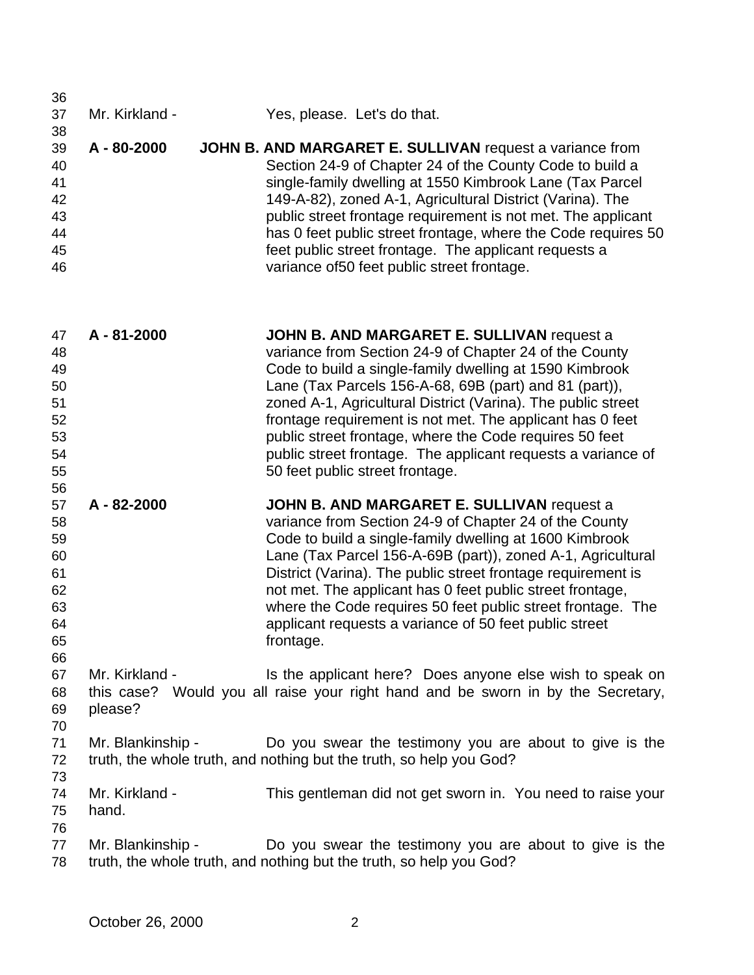| 36 |                 |                                                               |
|----|-----------------|---------------------------------------------------------------|
| 37 | Mr. Kirkland -  | Yes, please. Let's do that.                                   |
| 38 |                 |                                                               |
| 39 | $A - 80 - 2000$ | JOHN B. AND MARGARET E. SULLIVAN request a variance from      |
| 40 |                 | Section 24-9 of Chapter 24 of the County Code to build a      |
| 41 |                 | single-family dwelling at 1550 Kimbrook Lane (Tax Parcel      |
| 42 |                 | 149-A-82), zoned A-1, Agricultural District (Varina). The     |
| 43 |                 | public street frontage requirement is not met. The applicant  |
| 44 |                 | has 0 feet public street frontage, where the Code requires 50 |
| 45 |                 | feet public street frontage. The applicant requests a         |
| 46 |                 | variance of 50 feet public street frontage.                   |

| 47<br>48 | A - 81-2000 | JOHN B. AND MARGARET E. SULLIVAN request a<br>variance from Section 24-9 of Chapter 24 of the County |
|----------|-------------|------------------------------------------------------------------------------------------------------|
| 49       |             | Code to build a single-family dwelling at 1590 Kimbrook                                              |
| 50       |             | Lane (Tax Parcels 156-A-68, 69B (part) and 81 (part)),                                               |
| 51       |             | zoned A-1, Agricultural District (Varina). The public street                                         |
| 52       |             | frontage requirement is not met. The applicant has 0 feet                                            |
| 53       |             | public street frontage, where the Code requires 50 feet                                              |
| 54       |             | public street frontage. The applicant requests a variance of                                         |
| 55       |             | 50 feet public street frontage.                                                                      |

 **A - 82-2000 JOHN B. AND MARGARET E. SULLIVAN** request a variance from Section 24-9 of Chapter 24 of the County Code to build a single-family dwelling at 1600 Kimbrook Lane (Tax Parcel 156-A-69B (part)), zoned A-1, Agricultural District (Varina). The public street frontage requirement is not met. The applicant has 0 feet public street frontage, where the Code requires 50 feet public street frontage. The applicant requests a variance of 50 feet public street frontage.

 Mr. Kirkland - Is the applicant here? Does anyone else wish to speak on this case? Would you all raise your right hand and be sworn in by the Secretary, please?

- Mr. Blankinship Do you swear the testimony you are about to give is the truth, the whole truth, and nothing but the truth, so help you God?
- Mr. Kirkland - This gentleman did not get sworn in. You need to raise your hand.
- 

77 Mr. Blankinship - Do you swear the testimony you are about to give is the truth, the whole truth, and nothing but the truth, so help you God?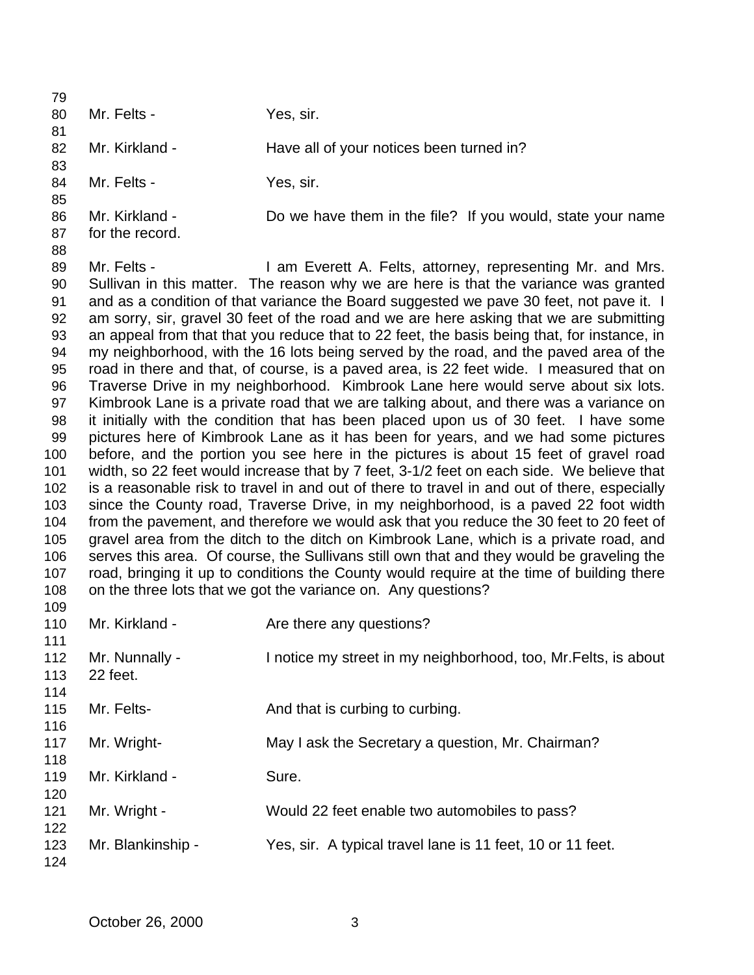| 79         |                                                                                           |                                                                                              |  |  |
|------------|-------------------------------------------------------------------------------------------|----------------------------------------------------------------------------------------------|--|--|
| 80         | Mr. Felts -                                                                               | Yes, sir.                                                                                    |  |  |
| 81         |                                                                                           |                                                                                              |  |  |
| 82         | Mr. Kirkland -                                                                            | Have all of your notices been turned in?                                                     |  |  |
| 83         |                                                                                           |                                                                                              |  |  |
| 84         | Mr. Felts -                                                                               | Yes, sir.                                                                                    |  |  |
| 85         |                                                                                           |                                                                                              |  |  |
| 86         | Mr. Kirkland -                                                                            | Do we have them in the file? If you would, state your name                                   |  |  |
| 87         | for the record.                                                                           |                                                                                              |  |  |
| 88         |                                                                                           |                                                                                              |  |  |
| 89         | Mr. Felts -                                                                               | I am Everett A. Felts, attorney, representing Mr. and Mrs.                                   |  |  |
| 90         |                                                                                           | Sullivan in this matter. The reason why we are here is that the variance was granted         |  |  |
| 91         |                                                                                           | and as a condition of that variance the Board suggested we pave 30 feet, not pave it. I      |  |  |
| 92         |                                                                                           | am sorry, sir, gravel 30 feet of the road and we are here asking that we are submitting      |  |  |
| 93         |                                                                                           | an appeal from that that you reduce that to 22 feet, the basis being that, for instance, in  |  |  |
| 94         |                                                                                           | my neighborhood, with the 16 lots being served by the road, and the paved area of the        |  |  |
| 95         |                                                                                           | road in there and that, of course, is a paved area, is 22 feet wide. I measured that on      |  |  |
| 96         |                                                                                           | Traverse Drive in my neighborhood. Kimbrook Lane here would serve about six lots.            |  |  |
| 97         |                                                                                           | Kimbrook Lane is a private road that we are talking about, and there was a variance on       |  |  |
| 98         |                                                                                           | it initially with the condition that has been placed upon us of 30 feet. I have some         |  |  |
| 99         |                                                                                           | pictures here of Kimbrook Lane as it has been for years, and we had some pictures            |  |  |
| 100        |                                                                                           | before, and the portion you see here in the pictures is about 15 feet of gravel road         |  |  |
| 101        |                                                                                           | width, so 22 feet would increase that by 7 feet, 3-1/2 feet on each side. We believe that    |  |  |
| 102        |                                                                                           | is a reasonable risk to travel in and out of there to travel in and out of there, especially |  |  |
| 103        |                                                                                           | since the County road, Traverse Drive, in my neighborhood, is a paved 22 foot width          |  |  |
| 104        |                                                                                           | from the pavement, and therefore we would ask that you reduce the 30 feet to 20 feet of      |  |  |
| 105        | gravel area from the ditch to the ditch on Kimbrook Lane, which is a private road, and    |                                                                                              |  |  |
| 106        | serves this area. Of course, the Sullivans still own that and they would be graveling the |                                                                                              |  |  |
| 107        |                                                                                           | road, bringing it up to conditions the County would require at the time of building there    |  |  |
| 108        |                                                                                           | on the three lots that we got the variance on. Any questions?                                |  |  |
| 109<br>110 | Mr. Kirkland -                                                                            |                                                                                              |  |  |
| 111        |                                                                                           | Are there any questions?                                                                     |  |  |
| 112        | Mr. Nunnally -                                                                            | I notice my street in my neighborhood, too, Mr. Felts, is about                              |  |  |
| 113        | 22 feet.                                                                                  |                                                                                              |  |  |
| 114        |                                                                                           |                                                                                              |  |  |
| 115        | Mr. Felts-                                                                                | And that is curbing to curbing.                                                              |  |  |
| 116        |                                                                                           |                                                                                              |  |  |
| 117        | Mr. Wright-                                                                               | May I ask the Secretary a question, Mr. Chairman?                                            |  |  |
| 118        |                                                                                           |                                                                                              |  |  |
| 119        | Mr. Kirkland -                                                                            | Sure.                                                                                        |  |  |
| 120        |                                                                                           |                                                                                              |  |  |
| 121        | Mr. Wright -                                                                              | Would 22 feet enable two automobiles to pass?                                                |  |  |
| 122        |                                                                                           |                                                                                              |  |  |
| 123        | Mr. Blankinship -                                                                         | Yes, sir. A typical travel lane is 11 feet, 10 or 11 feet.                                   |  |  |
| 124        |                                                                                           |                                                                                              |  |  |
|            |                                                                                           |                                                                                              |  |  |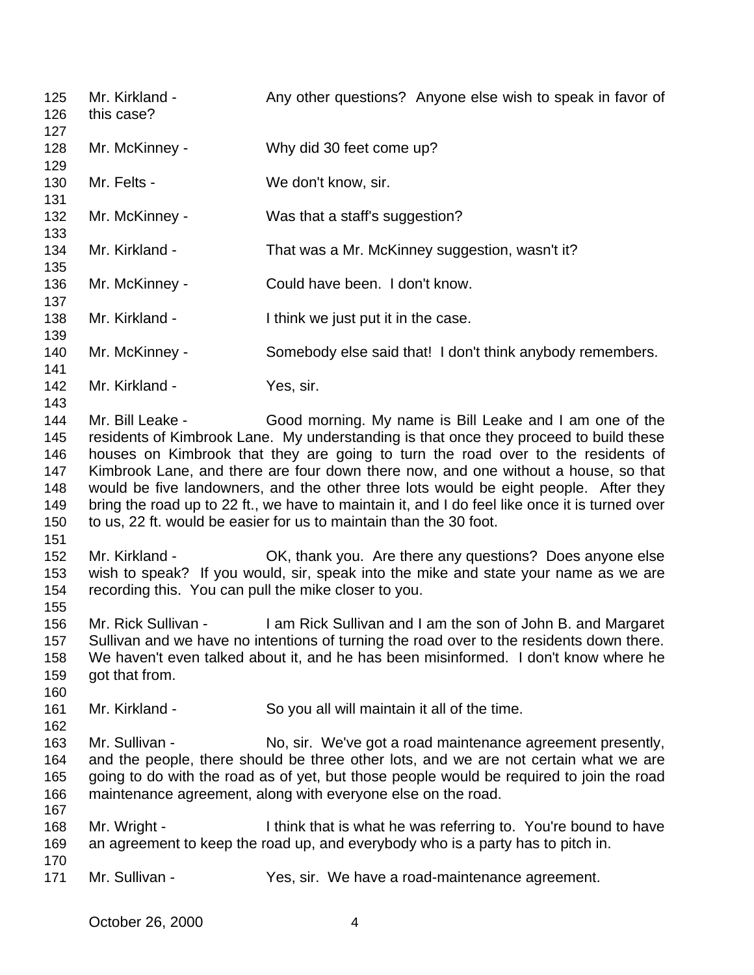125 Mr. Kirkland - Any other questions? Anyone else wish to speak in favor of this case? Mr. McKinney - Why did 30 feet come up? 130 Mr. Felts - We don't know, sir. 132 Mr. McKinney - Was that a staff's suggestion? Mr. Kirkland - That was a Mr. McKinney suggestion, wasn't it? Mr. McKinney - Could have been. I don't know. 138 Mr. Kirkland - Ithink we just put it in the case. Mr. McKinney - Somebody else said that! I don't think anybody remembers. 142 Mr. Kirkland - Yes, sir. 144 Mr. Bill Leake - Good morning. My name is Bill Leake and I am one of the residents of Kimbrook Lane. My understanding is that once they proceed to build these houses on Kimbrook that they are going to turn the road over to the residents of Kimbrook Lane, and there are four down there now, and one without a house, so that would be five landowners, and the other three lots would be eight people. After they bring the road up to 22 ft., we have to maintain it, and I do feel like once it is turned over to us, 22 ft. would be easier for us to maintain than the 30 foot. Mr. Kirkland - OK, thank you. Are there any questions? Does anyone else wish to speak? If you would, sir, speak into the mike and state your name as we are recording this. You can pull the mike closer to you. Mr. Rick Sullivan - I am Rick Sullivan and I am the son of John B. and Margaret Sullivan and we have no intentions of turning the road over to the residents down there. We haven't even talked about it, and he has been misinformed. I don't know where he got that from. Mr. Kirkland - So you all will maintain it all of the time. Mr. Sullivan - No, sir. We've got a road maintenance agreement presently, and the people, there should be three other lots, and we are not certain what we are going to do with the road as of yet, but those people would be required to join the road maintenance agreement, along with everyone else on the road. Mr. Wright - I think that is what he was referring to. You're bound to have an agreement to keep the road up, and everybody who is a party has to pitch in. 171 Mr. Sullivan - Yes, sir. We have a road-maintenance agreement.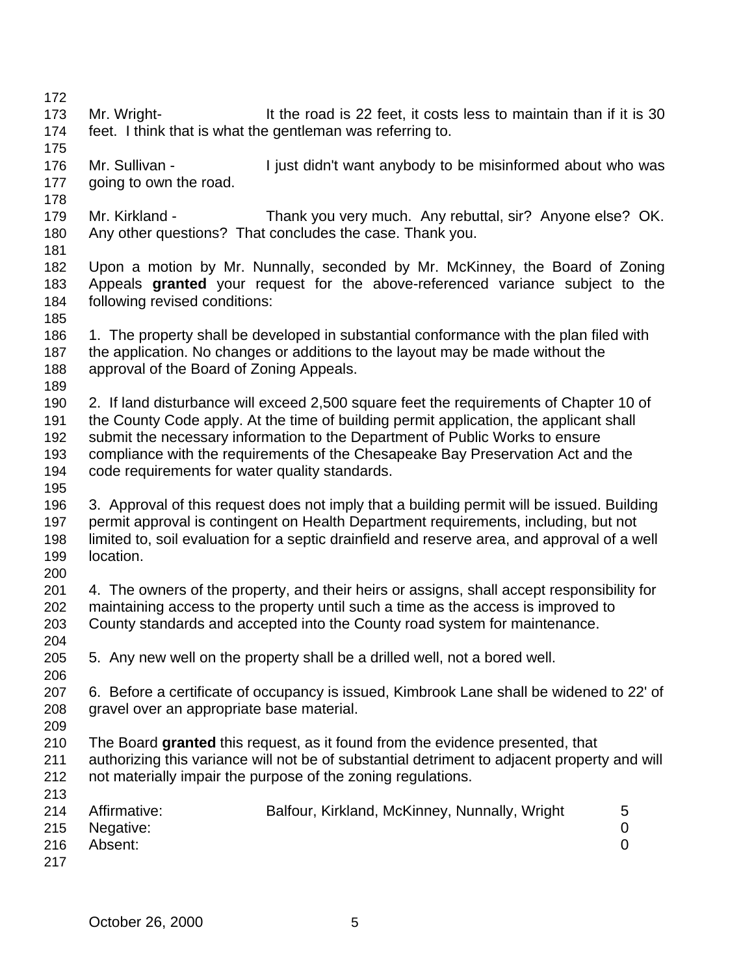- 173 Mr. Wright- It the road is 22 feet, it costs less to maintain than if it is 30 feet. I think that is what the gentleman was referring to.
- 176 Mr. Sullivan I just didn't want anybody to be misinformed about who was going to own the road.
- 179 Mr. Kirkland Thank you very much. Any rebuttal, sir? Anyone else? OK. Any other questions? That concludes the case. Thank you.
- 
- Upon a motion by Mr. Nunnally, seconded by Mr. McKinney, the Board of Zoning Appeals **granted** your request for the above-referenced variance subject to the following revised conditions:
- 
- 1. The property shall be developed in substantial conformance with the plan filed with the application. No changes or additions to the layout may be made without the approval of the Board of Zoning Appeals.
- 
- 2. If land disturbance will exceed 2,500 square feet the requirements of Chapter 10 of the County Code apply. At the time of building permit application, the applicant shall submit the necessary information to the Department of Public Works to ensure compliance with the requirements of the Chesapeake Bay Preservation Act and the code requirements for water quality standards.
- 
- 3. Approval of this request does not imply that a building permit will be issued. Building permit approval is contingent on Health Department requirements, including, but not limited to, soil evaluation for a septic drainfield and reserve area, and approval of a well location.
- 201 4. The owners of the property, and their heirs or assigns, shall accept responsibility for maintaining access to the property until such a time as the access is improved to County standards and accepted into the County road system for maintenance.
- 
- 5. Any new well on the property shall be a drilled well, not a bored well.
- 6. Before a certificate of occupancy is issued, Kimbrook Lane shall be widened to 22' of gravel over an appropriate base material.
- 

- The Board **granted** this request, as it found from the evidence presented, that
- authorizing this variance will not be of substantial detriment to adjacent property and will not materially impair the purpose of the zoning regulations.

| 214 | Affirmative:  | Balfour, Kirkland, McKinney, Nunnally, Wright | 5 |
|-----|---------------|-----------------------------------------------|---|
|     | 215 Negative: |                                               |   |
| 216 | Absent:       |                                               |   |
| 217 |               |                                               |   |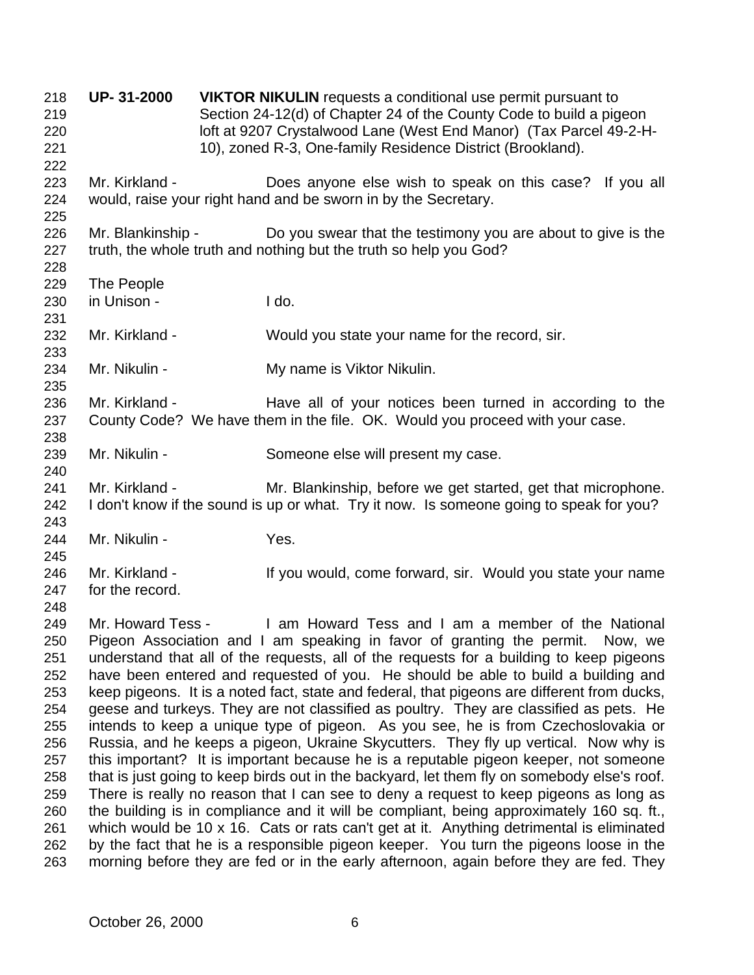**UP- 31-2000 VIKTOR NIKULIN** requests a conditional use permit pursuant to Section 24-12(d) of Chapter 24 of the County Code to build a pigeon loft at 9207 Crystalwood Lane (West End Manor) (Tax Parcel 49-2-H- 10), zoned R-3, One-family Residence District (Brookland). Mr. Kirkland - Does anyone else wish to speak on this case? If you all would, raise your right hand and be sworn in by the Secretary. 226 Mr. Blankinship - Do you swear that the testimony you are about to give is the truth, the whole truth and nothing but the truth so help you God? The People in Unison - I do. Mr. Kirkland - Would you state your name for the record, sir. 234 Mr. Nikulin - My name is Viktor Nikulin. 236 Mr. Kirkland - Have all of your notices been turned in according to the County Code? We have them in the file. OK. Would you proceed with your case. Mr. Nikulin - Someone else will present my case. Mr. Kirkland - Mr. Blankinship, before we get started, get that microphone. I don't know if the sound is up or what. Try it now. Is someone going to speak for you? 244 Mr. Nikulin - Yes. Mr. Kirkland - If you would, come forward, sir. Would you state your name for the record. Mr. Howard Tess - I am Howard Tess and I am a member of the National Pigeon Association and I am speaking in favor of granting the permit. Now, we understand that all of the requests, all of the requests for a building to keep pigeons have been entered and requested of you. He should be able to build a building and keep pigeons. It is a noted fact, state and federal, that pigeons are different from ducks, geese and turkeys. They are not classified as poultry. They are classified as pets. He intends to keep a unique type of pigeon. As you see, he is from Czechoslovakia or Russia, and he keeps a pigeon, Ukraine Skycutters. They fly up vertical. Now why is this important? It is important because he is a reputable pigeon keeper, not someone that is just going to keep birds out in the backyard, let them fly on somebody else's roof. There is really no reason that I can see to deny a request to keep pigeons as long as the building is in compliance and it will be compliant, being approximately 160 sq. ft., which would be 10 x 16. Cats or rats can't get at it. Anything detrimental is eliminated by the fact that he is a responsible pigeon keeper. You turn the pigeons loose in the morning before they are fed or in the early afternoon, again before they are fed. They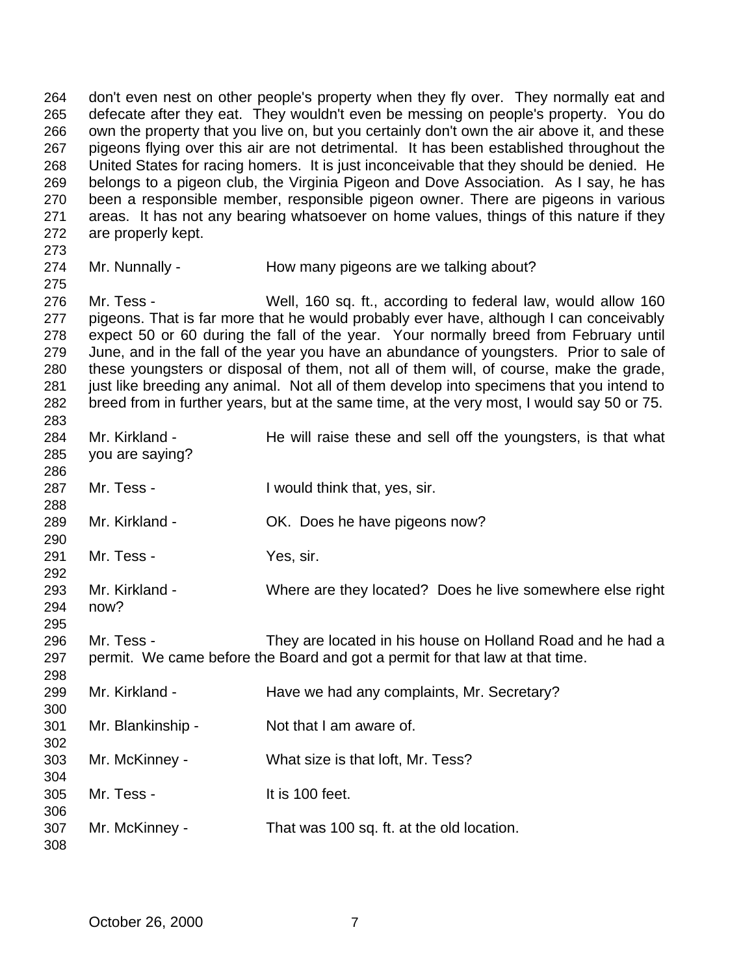don't even nest on other people's property when they fly over. They normally eat and defecate after they eat. They wouldn't even be messing on people's property. You do own the property that you live on, but you certainly don't own the air above it, and these pigeons flying over this air are not detrimental. It has been established throughout the United States for racing homers. It is just inconceivable that they should be denied. He belongs to a pigeon club, the Virginia Pigeon and Dove Association. As I say, he has been a responsible member, responsible pigeon owner. There are pigeons in various areas. It has not any bearing whatsoever on home values, things of this nature if they are properly kept.

- 
- 

274 Mr. Nunnally - How many pigeons are we talking about?

 Mr. Tess - Well, 160 sq. ft., according to federal law, would allow 160 pigeons. That is far more that he would probably ever have, although I can conceivably expect 50 or 60 during the fall of the year. Your normally breed from February until June, and in the fall of the year you have an abundance of youngsters. Prior to sale of these youngsters or disposal of them, not all of them will, of course, make the grade, just like breeding any animal. Not all of them develop into specimens that you intend to breed from in further years, but at the same time, at the very most, I would say 50 or 75. 

| 284 | Mr. Kirkland -    | He will raise these and sell off the youngsters, is that what                |
|-----|-------------------|------------------------------------------------------------------------------|
| 285 | you are saying?   |                                                                              |
| 286 |                   |                                                                              |
| 287 | Mr. Tess -        | I would think that, yes, sir.                                                |
| 288 |                   |                                                                              |
| 289 | Mr. Kirkland -    | OK. Does he have pigeons now?                                                |
| 290 |                   |                                                                              |
| 291 | Mr. Tess -        | Yes, sir.                                                                    |
| 292 |                   |                                                                              |
| 293 | Mr. Kirkland -    | Where are they located? Does he live somewhere else right                    |
| 294 | now?              |                                                                              |
| 295 |                   |                                                                              |
| 296 | Mr. Tess -        | They are located in his house on Holland Road and he had a                   |
| 297 |                   | permit. We came before the Board and got a permit for that law at that time. |
| 298 |                   |                                                                              |
| 299 | Mr. Kirkland -    | Have we had any complaints, Mr. Secretary?                                   |
| 300 |                   |                                                                              |
| 301 | Mr. Blankinship - | Not that I am aware of.                                                      |
| 302 |                   |                                                                              |
| 303 | Mr. McKinney -    | What size is that loft, Mr. Tess?                                            |
| 304 |                   |                                                                              |
| 305 | Mr. Tess -        | It is 100 feet.                                                              |
| 306 |                   |                                                                              |
| 307 | Mr. McKinney -    | That was 100 sq. ft. at the old location.                                    |
| 308 |                   |                                                                              |
|     |                   |                                                                              |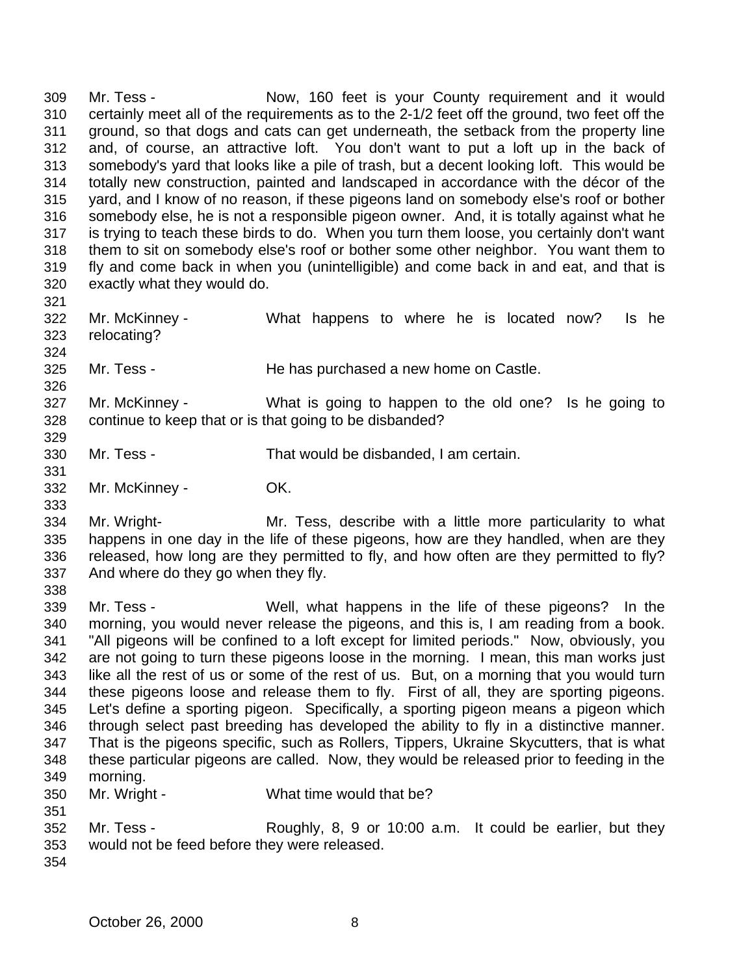Mr. Tess - Now, 160 feet is your County requirement and it would certainly meet all of the requirements as to the 2-1/2 feet off the ground, two feet off the ground, so that dogs and cats can get underneath, the setback from the property line and, of course, an attractive loft. You don't want to put a loft up in the back of somebody's yard that looks like a pile of trash, but a decent looking loft. This would be totally new construction, painted and landscaped in accordance with the décor of the yard, and I know of no reason, if these pigeons land on somebody else's roof or bother somebody else, he is not a responsible pigeon owner. And, it is totally against what he is trying to teach these birds to do. When you turn them loose, you certainly don't want them to sit on somebody else's roof or bother some other neighbor. You want them to fly and come back in when you (unintelligible) and come back in and eat, and that is exactly what they would do. 

 Mr. McKinney - What happens to where he is located now? Is he relocating?

Mr. Tess - He has purchased a new home on Castle.

 Mr. McKinney - What is going to happen to the old one? Is he going to continue to keep that or is that going to be disbanded?

- Mr. Tess That would be disbanded, I am certain.
- Mr. McKinney OK.

 Mr. Wright- Mr. Tess, describe with a little more particularity to what happens in one day in the life of these pigeons, how are they handled, when are they released, how long are they permitted to fly, and how often are they permitted to fly? And where do they go when they fly.

 Mr. Tess - Well, what happens in the life of these pigeons? In the morning, you would never release the pigeons, and this is, I am reading from a book. "All pigeons will be confined to a loft except for limited periods." Now, obviously, you are not going to turn these pigeons loose in the morning. I mean, this man works just like all the rest of us or some of the rest of us. But, on a morning that you would turn these pigeons loose and release them to fly. First of all, they are sporting pigeons. Let's define a sporting pigeon. Specifically, a sporting pigeon means a pigeon which through select past breeding has developed the ability to fly in a distinctive manner. That is the pigeons specific, such as Rollers, Tippers, Ukraine Skycutters, that is what these particular pigeons are called. Now, they would be released prior to feeding in the morning. Mr. Wright - What time would that be?

- 
- 

 Mr. Tess - Roughly, 8, 9 or 10:00 a.m. It could be earlier, but they would not be feed before they were released.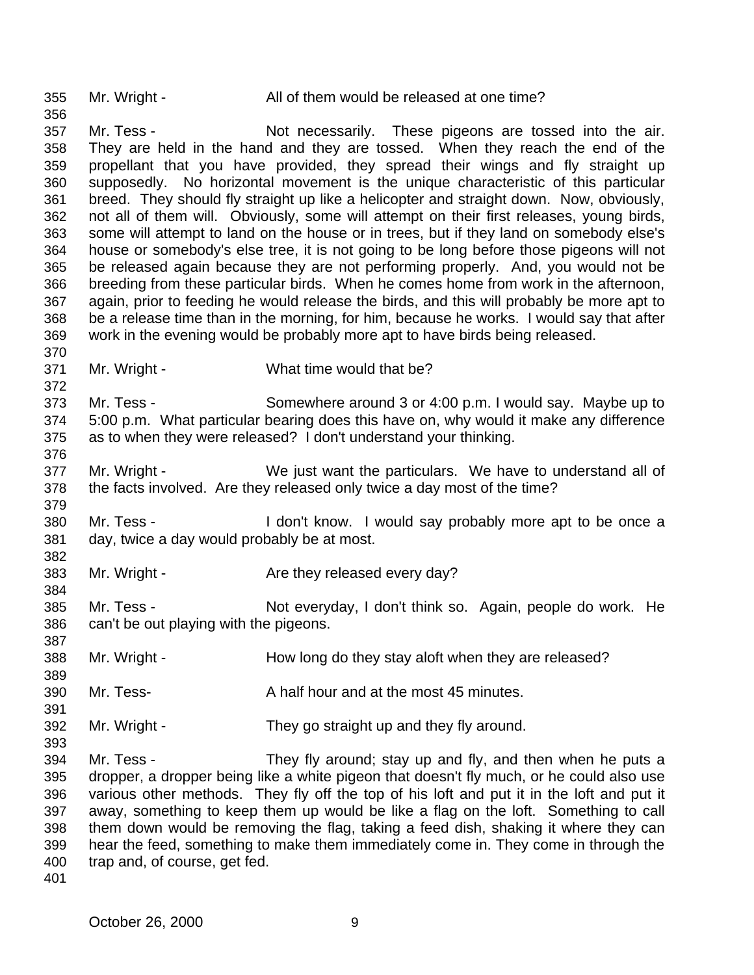Mr. Wright - All of them would be released at one time?

 Mr. Tess - Not necessarily. These pigeons are tossed into the air. They are held in the hand and they are tossed. When they reach the end of the propellant that you have provided, they spread their wings and fly straight up supposedly. No horizontal movement is the unique characteristic of this particular breed. They should fly straight up like a helicopter and straight down. Now, obviously, not all of them will. Obviously, some will attempt on their first releases, young birds, some will attempt to land on the house or in trees, but if they land on somebody else's house or somebody's else tree, it is not going to be long before those pigeons will not be released again because they are not performing properly. And, you would not be breeding from these particular birds. When he comes home from work in the afternoon, again, prior to feeding he would release the birds, and this will probably be more apt to be a release time than in the morning, for him, because he works. I would say that after work in the evening would be probably more apt to have birds being released.

Mr. Wright - What time would that be?

 Mr. Tess - Somewhere around 3 or 4:00 p.m. I would say. Maybe up to 5:00 p.m. What particular bearing does this have on, why would it make any difference as to when they were released? I don't understand your thinking. 

 Mr. Wright - We just want the particulars. We have to understand all of the facts involved. Are they released only twice a day most of the time?

 Mr. Tess - I don't know. I would say probably more apt to be once a day, twice a day would probably be at most.

383 Mr. Wright - Are they released every day?

 Mr. Tess - Not everyday, I don't think so. Again, people do work. He can't be out playing with the pigeons.

388 Mr. Wright - How long do they stay aloft when they are released?

Mr. Tess- A half hour and at the most 45 minutes.

Mr. Wright - They go straight up and they fly around.

 Mr. Tess - They fly around; stay up and fly, and then when he puts a dropper, a dropper being like a white pigeon that doesn't fly much, or he could also use various other methods. They fly off the top of his loft and put it in the loft and put it away, something to keep them up would be like a flag on the loft. Something to call them down would be removing the flag, taking a feed dish, shaking it where they can hear the feed, something to make them immediately come in. They come in through the trap and, of course, get fed.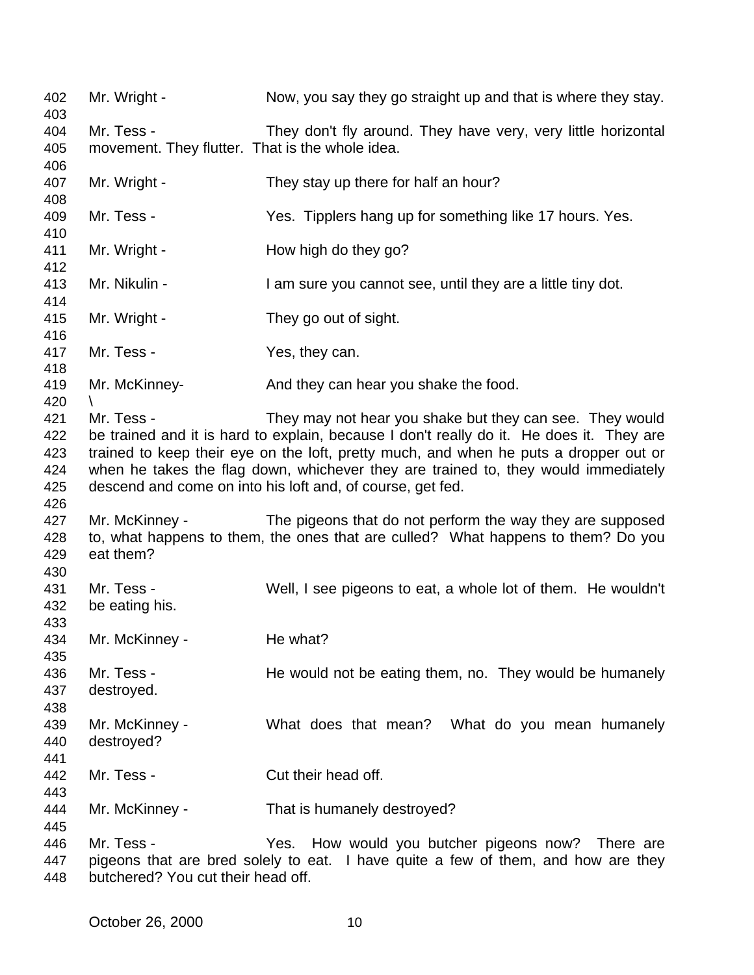| 402<br>403 | Mr. Wright -                                    | Now, you say they go straight up and that is where they stay.                            |
|------------|-------------------------------------------------|------------------------------------------------------------------------------------------|
| 404        | Mr. Tess -                                      | They don't fly around. They have very, very little horizontal                            |
| 405        | movement. They flutter. That is the whole idea. |                                                                                          |
| 406        |                                                 |                                                                                          |
| 407        | Mr. Wright -                                    | They stay up there for half an hour?                                                     |
| 408        |                                                 |                                                                                          |
| 409        | Mr. Tess -                                      | Yes. Tipplers hang up for something like 17 hours. Yes.                                  |
| 410        |                                                 |                                                                                          |
| 411        | Mr. Wright -                                    | How high do they go?                                                                     |
| 412        |                                                 |                                                                                          |
| 413        | Mr. Nikulin -                                   | I am sure you cannot see, until they are a little tiny dot.                              |
| 414        |                                                 |                                                                                          |
| 415        | Mr. Wright -                                    | They go out of sight.                                                                    |
| 416        |                                                 |                                                                                          |
| 417        | Mr. Tess -                                      | Yes, they can.                                                                           |
| 418        |                                                 |                                                                                          |
| 419        | Mr. McKinney-                                   | And they can hear you shake the food.                                                    |
| 420        |                                                 |                                                                                          |
| 421        | Mr. Tess -                                      | They may not hear you shake but they can see. They would                                 |
| 422        |                                                 | be trained and it is hard to explain, because I don't really do it. He does it. They are |
| 423        |                                                 | trained to keep their eye on the loft, pretty much, and when he puts a dropper out or    |
| 424        |                                                 | when he takes the flag down, whichever they are trained to, they would immediately       |
| 425        |                                                 | descend and come on into his loft and, of course, get fed.                               |
| 426        |                                                 |                                                                                          |
| 427        | Mr. McKinney -                                  | The pigeons that do not perform the way they are supposed                                |
| 428        |                                                 | to, what happens to them, the ones that are culled? What happens to them? Do you         |
| 429        | eat them?                                       |                                                                                          |
| 430        |                                                 |                                                                                          |
| 431        | Mr. Tess -                                      | Well, I see pigeons to eat, a whole lot of them. He wouldn't                             |
| 432        | be eating his.                                  |                                                                                          |
| 433        |                                                 |                                                                                          |
| 434        | Mr. McKinney -                                  | He what?                                                                                 |
| 435        |                                                 |                                                                                          |
| 436        | Mr. Tess -                                      | He would not be eating them, no. They would be humanely                                  |
| 437        | destroyed.                                      |                                                                                          |
| 438        |                                                 |                                                                                          |
| 439        | Mr. McKinney -                                  | What does that mean? What do you mean humanely                                           |
| 440        | destroyed?                                      |                                                                                          |
| 441        |                                                 |                                                                                          |
| 442        | Mr. Tess -                                      | Cut their head off.                                                                      |
| 443        |                                                 |                                                                                          |
| 444        | Mr. McKinney -                                  | That is humanely destroyed?                                                              |
| 445        |                                                 |                                                                                          |
| 446        | Mr. Tess -                                      | Yes. How would you butcher pigeons now? There are                                        |
| 447        |                                                 | pigeons that are bred solely to eat. I have quite a few of them, and how are they        |

butchered? You cut their head off.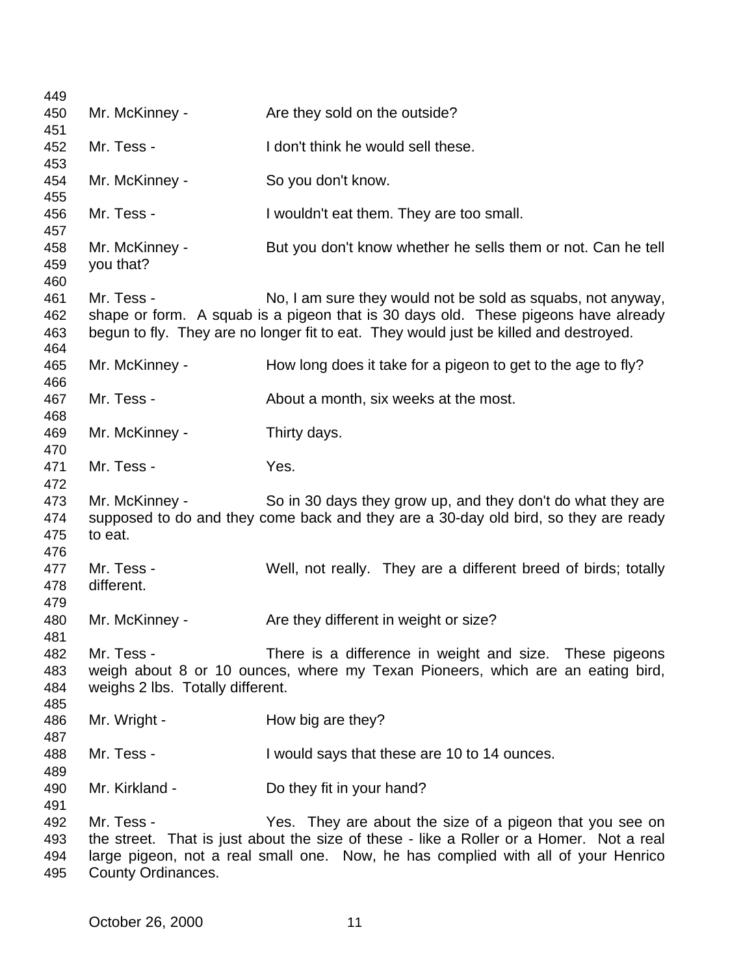| 449                      |                                                |                                                                                                                                                                                                                                            |
|--------------------------|------------------------------------------------|--------------------------------------------------------------------------------------------------------------------------------------------------------------------------------------------------------------------------------------------|
| 450                      | Mr. McKinney -                                 | Are they sold on the outside?                                                                                                                                                                                                              |
| 451                      |                                                |                                                                                                                                                                                                                                            |
| 452<br>453               | Mr. Tess -                                     | I don't think he would sell these.                                                                                                                                                                                                         |
| 454<br>455               | Mr. McKinney -                                 | So you don't know.                                                                                                                                                                                                                         |
| 456<br>457               | Mr. Tess -                                     | I wouldn't eat them. They are too small.                                                                                                                                                                                                   |
| 458<br>459<br>460        | Mr. McKinney -<br>you that?                    | But you don't know whether he sells them or not. Can he tell                                                                                                                                                                               |
| 461<br>462<br>463<br>464 | Mr. Tess -                                     | No, I am sure they would not be sold as squabs, not anyway,<br>shape or form. A squab is a pigeon that is 30 days old. These pigeons have already<br>begun to fly. They are no longer fit to eat. They would just be killed and destroyed. |
| 465<br>466               | Mr. McKinney -                                 | How long does it take for a pigeon to get to the age to fly?                                                                                                                                                                               |
| 467<br>468               | Mr. Tess -                                     | About a month, six weeks at the most.                                                                                                                                                                                                      |
| 469<br>470               | Mr. McKinney -                                 | Thirty days.                                                                                                                                                                                                                               |
| 471<br>472               | Mr. Tess -                                     | Yes.                                                                                                                                                                                                                                       |
| 473<br>474<br>475<br>476 | Mr. McKinney -<br>to eat.                      | So in 30 days they grow up, and they don't do what they are<br>supposed to do and they come back and they are a 30-day old bird, so they are ready                                                                                         |
| 477<br>478<br>479        | Mr. Tess -<br>different.                       | Well, not really. They are a different breed of birds; totally                                                                                                                                                                             |
| 480<br>481               | Mr. McKinney -                                 | Are they different in weight or size?                                                                                                                                                                                                      |
| 482<br>483<br>484        | Mr. Tess -<br>weighs 2 lbs. Totally different. | There is a difference in weight and size. These pigeons<br>weigh about 8 or 10 ounces, where my Texan Pioneers, which are an eating bird,                                                                                                  |
| 485<br>486<br>487        | Mr. Wright -                                   | How big are they?                                                                                                                                                                                                                          |
| 488<br>489               | Mr. Tess -                                     | I would says that these are 10 to 14 ounces.                                                                                                                                                                                               |
| 490<br>491               | Mr. Kirkland -                                 | Do they fit in your hand?                                                                                                                                                                                                                  |
| 492                      | Mr. Tess -                                     | Yes. They are about the size of a pigeon that you see on                                                                                                                                                                                   |
| 493<br>494<br>495        | County Ordinances.                             | the street. That is just about the size of these - like a Roller or a Homer. Not a real<br>large pigeon, not a real small one. Now, he has complied with all of your Henrico                                                               |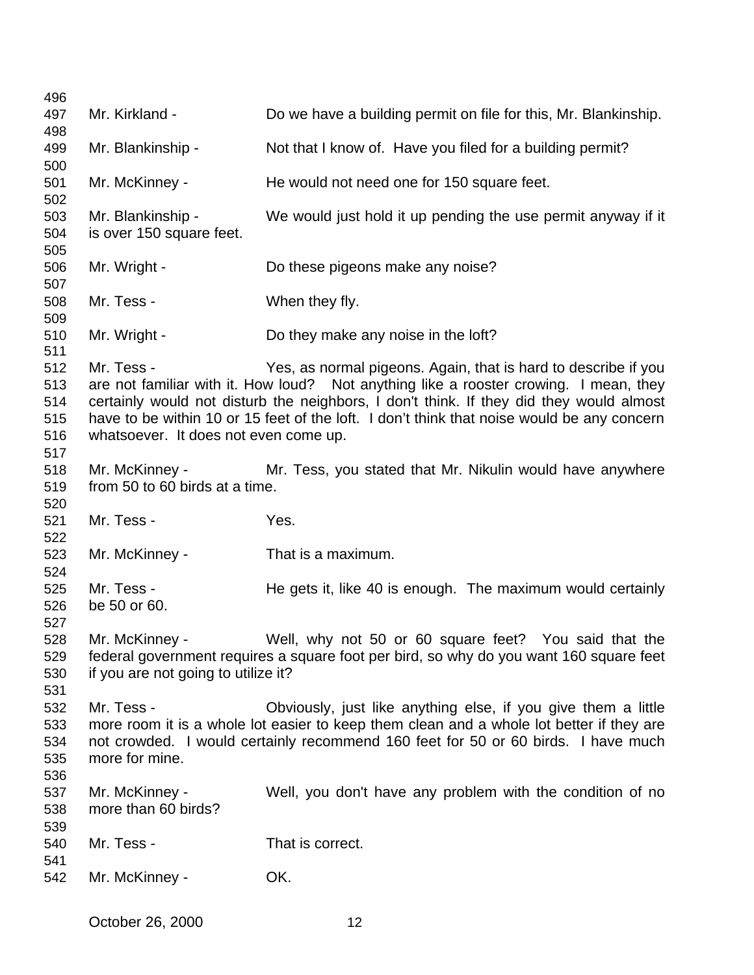| 496                             |                                                       |                                                                                                                                                                                                                                                                                                                                                  |
|---------------------------------|-------------------------------------------------------|--------------------------------------------------------------------------------------------------------------------------------------------------------------------------------------------------------------------------------------------------------------------------------------------------------------------------------------------------|
| 497                             | Mr. Kirkland -                                        | Do we have a building permit on file for this, Mr. Blankinship.                                                                                                                                                                                                                                                                                  |
| 498                             |                                                       |                                                                                                                                                                                                                                                                                                                                                  |
| 499<br>500                      | Mr. Blankinship -                                     | Not that I know of. Have you filed for a building permit?                                                                                                                                                                                                                                                                                        |
| 501<br>502                      | Mr. McKinney -                                        | He would not need one for 150 square feet.                                                                                                                                                                                                                                                                                                       |
| 503<br>504                      | Mr. Blankinship -<br>is over 150 square feet.         | We would just hold it up pending the use permit anyway if it                                                                                                                                                                                                                                                                                     |
| 505<br>506                      | Mr. Wright -                                          | Do these pigeons make any noise?                                                                                                                                                                                                                                                                                                                 |
| 507<br>508                      | Mr. Tess -                                            | When they fly.                                                                                                                                                                                                                                                                                                                                   |
| 509<br>510<br>511               | Mr. Wright -                                          | Do they make any noise in the loft?                                                                                                                                                                                                                                                                                                              |
| 512<br>513<br>514<br>515<br>516 | Mr. Tess -<br>whatsoever. It does not even come up.   | Yes, as normal pigeons. Again, that is hard to describe if you<br>are not familiar with it. How loud? Not anything like a rooster crowing. I mean, they<br>certainly would not disturb the neighbors, I don't think. If they did they would almost<br>have to be within 10 or 15 feet of the loft. I don't think that noise would be any concern |
| 517<br>518<br>519<br>520        | Mr. McKinney -<br>from 50 to 60 birds at a time.      | Mr. Tess, you stated that Mr. Nikulin would have anywhere                                                                                                                                                                                                                                                                                        |
| 521<br>522                      | Mr. Tess -                                            | Yes.                                                                                                                                                                                                                                                                                                                                             |
| 523<br>524                      | Mr. McKinney -                                        | That is a maximum.                                                                                                                                                                                                                                                                                                                               |
| 525<br>526<br>527               | Mr. Tess -<br>be 50 or 60.                            | He gets it, like 40 is enough. The maximum would certainly                                                                                                                                                                                                                                                                                       |
| 528<br>529<br>530<br>531        | Mr. McKinney -<br>if you are not going to utilize it? | Well, why not 50 or 60 square feet? You said that the<br>federal government requires a square foot per bird, so why do you want 160 square feet                                                                                                                                                                                                  |
| 532<br>533<br>534<br>535<br>536 | Mr. Tess -<br>more for mine.                          | Obviously, just like anything else, if you give them a little<br>more room it is a whole lot easier to keep them clean and a whole lot better if they are<br>not crowded. I would certainly recommend 160 feet for 50 or 60 birds. I have much                                                                                                   |
| 537<br>538<br>539               | Mr. McKinney -<br>more than 60 birds?                 | Well, you don't have any problem with the condition of no                                                                                                                                                                                                                                                                                        |
| 540<br>541                      | Mr. Tess -                                            | That is correct.                                                                                                                                                                                                                                                                                                                                 |
| 542                             | Mr. McKinney -                                        | OK.                                                                                                                                                                                                                                                                                                                                              |
|                                 |                                                       |                                                                                                                                                                                                                                                                                                                                                  |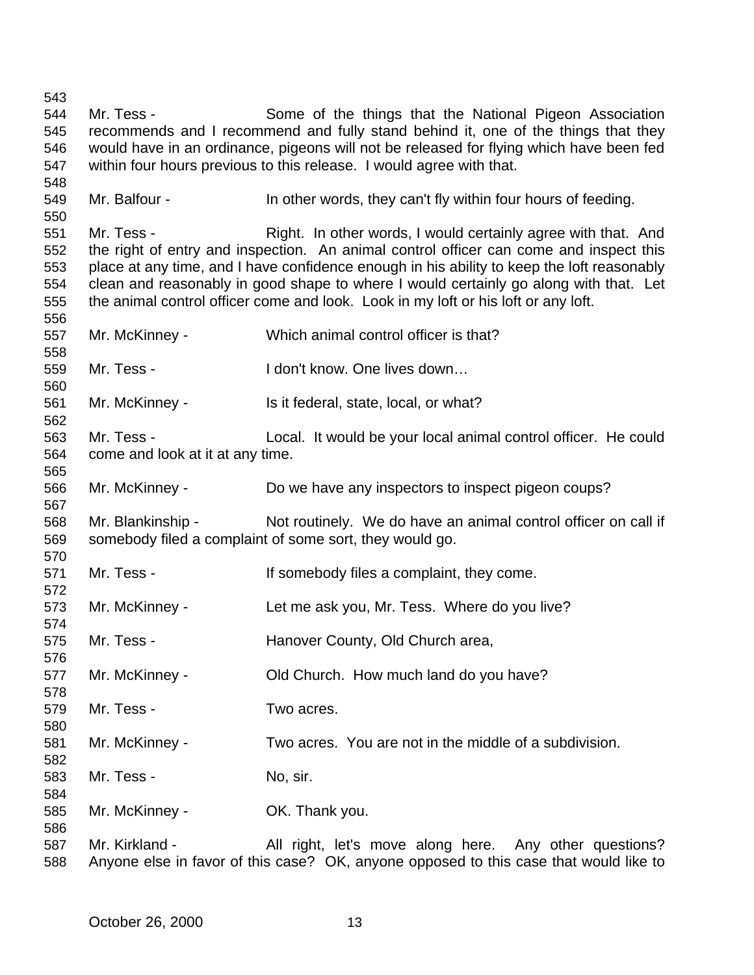Mr. Tess - Some of the things that the National Pigeon Association recommends and I recommend and fully stand behind it, one of the things that they would have in an ordinance, pigeons will not be released for flying which have been fed within four hours previous to this release. I would agree with that. Mr. Balfour - In other words, they can't fly within four hours of feeding. 551 Mr. Tess - Right. In other words, I would certainly agree with that. And the right of entry and inspection. An animal control officer can come and inspect this place at any time, and I have confidence enough in his ability to keep the loft reasonably clean and reasonably in good shape to where I would certainly go along with that. Let the animal control officer come and look. Look in my loft or his loft or any loft. Mr. McKinney - Which animal control officer is that? Mr. Tess - I don't know. One lives down… 561 Mr. McKinney - Is it federal, state, local, or what? Mr. Tess - Local. It would be your local animal control officer. He could come and look at it at any time. Mr. McKinney - Do we have any inspectors to inspect pigeon coups? 568 Mr. Blankinship - Not routinely. We do have an animal control officer on call if somebody filed a complaint of some sort, they would go. 571 Mr. Tess - If somebody files a complaint, they come. Mr. McKinney - Let me ask you, Mr. Tess. Where do you live? Mr. Tess - Hanover County, Old Church area, Mr. McKinney - Old Church. How much land do you have? Mr. Tess - Two acres. Mr. McKinney - Two acres. You are not in the middle of a subdivision. 583 Mr. Tess - No, sir. Mr. McKinney - OK. Thank you. 587 Mr. Kirkland - All right, let's move along here. Any other questions? Anyone else in favor of this case? OK, anyone opposed to this case that would like to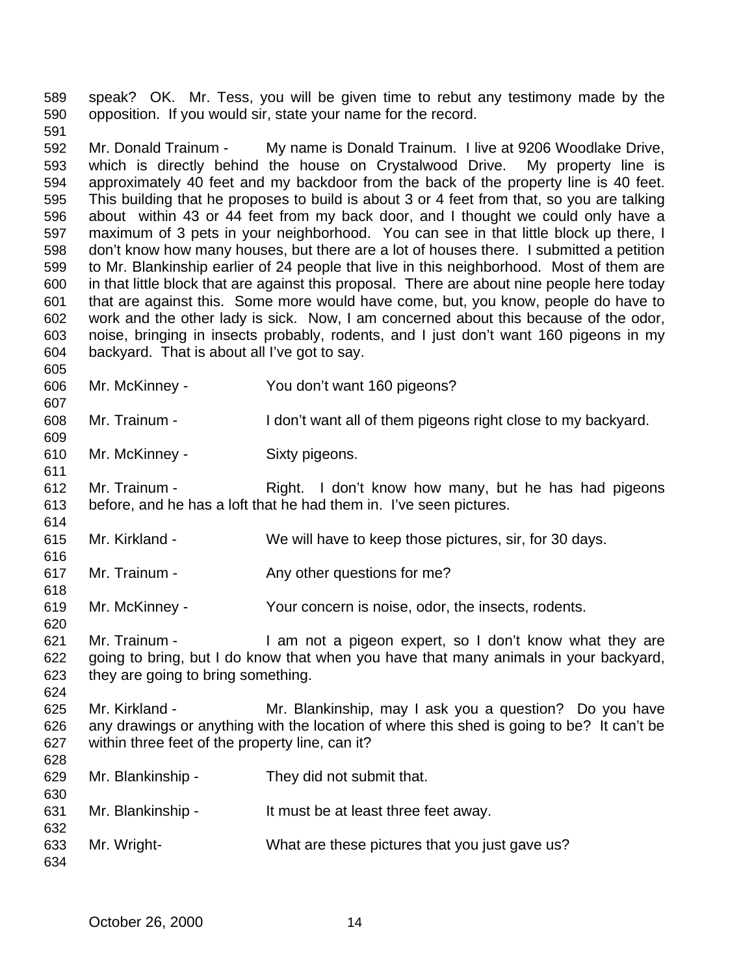speak? OK. Mr. Tess, you will be given time to rebut any testimony made by the opposition. If you would sir, state your name for the record.

 Mr. Donald Trainum - My name is Donald Trainum. I live at 9206 Woodlake Drive, which is directly behind the house on Crystalwood Drive. My property line is approximately 40 feet and my backdoor from the back of the property line is 40 feet. This building that he proposes to build is about 3 or 4 feet from that, so you are talking about within 43 or 44 feet from my back door, and I thought we could only have a maximum of 3 pets in your neighborhood. You can see in that little block up there, I don't know how many houses, but there are a lot of houses there. I submitted a petition to Mr. Blankinship earlier of 24 people that live in this neighborhood. Most of them are in that little block that are against this proposal. There are about nine people here today that are against this. Some more would have come, but, you know, people do have to work and the other lady is sick. Now, I am concerned about this because of the odor, noise, bringing in insects probably, rodents, and I just don't want 160 pigeons in my backyard. That is about all I've got to say.

Mr. McKinney - You don't want 160 pigeons?

Mr. Trainum - I don't want all of them pigeons right close to my backyard.

Mr. McKinney - Sixty pigeons.

612 Mr. Trainum - Right. I don't know how many, but he has had pigeons before, and he has a loft that he had them in. I've seen pictures.

- Mr. Kirkland We will have to keep those pictures, sir, for 30 days.
- Mr. Trainum Any other questions for me?

Mr. McKinney - Your concern is noise, odor, the insects, rodents.

 Mr. Trainum - I am not a pigeon expert, so I don't know what they are going to bring, but I do know that when you have that many animals in your backyard, they are going to bring something.

 Mr. Kirkland - Mr. Blankinship, may I ask you a question? Do you have any drawings or anything with the location of where this shed is going to be? It can't be within three feet of the property line, can it? 

- Mr. Blankinship They did not submit that.
- Mr. Blankinship It must be at least three feet away.
- Mr. Wright- What are these pictures that you just gave us?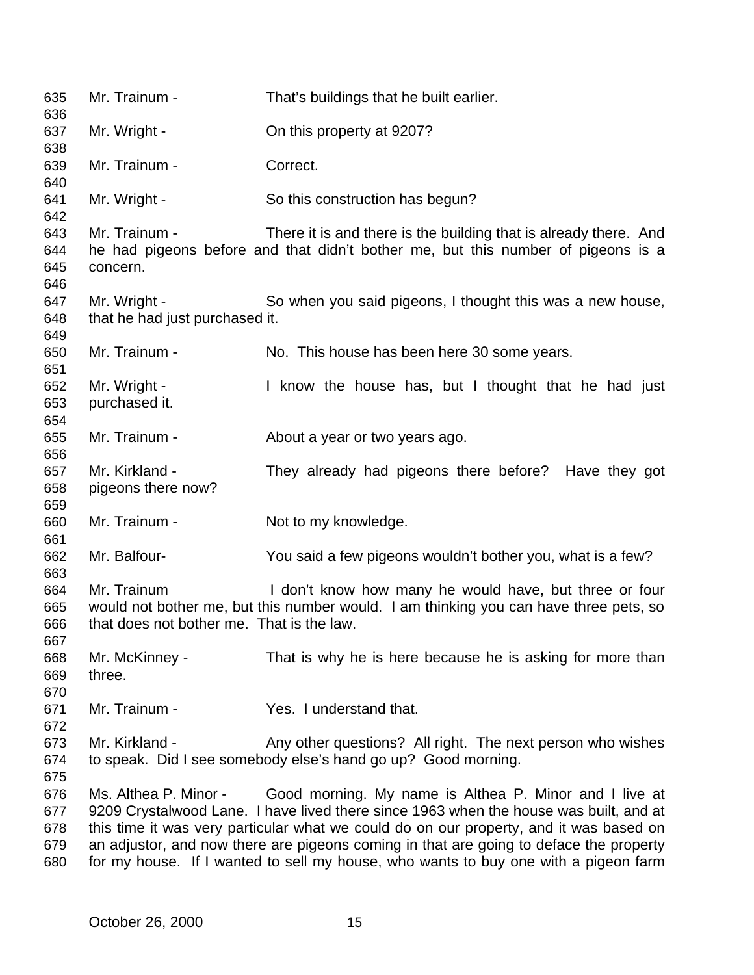| 635                             | Mr. Trainum -                                            | That's buildings that he built earlier.                                                                                                                                                                                                                                                                                                                                                                                                          |
|---------------------------------|----------------------------------------------------------|--------------------------------------------------------------------------------------------------------------------------------------------------------------------------------------------------------------------------------------------------------------------------------------------------------------------------------------------------------------------------------------------------------------------------------------------------|
| 636<br>637<br>638               | Mr. Wright -                                             | On this property at 9207?                                                                                                                                                                                                                                                                                                                                                                                                                        |
| 639                             | Mr. Trainum -                                            | Correct.                                                                                                                                                                                                                                                                                                                                                                                                                                         |
| 640<br>641<br>642               | Mr. Wright -                                             | So this construction has begun?                                                                                                                                                                                                                                                                                                                                                                                                                  |
| 643<br>644<br>645<br>646        | Mr. Trainum -<br>concern.                                | There it is and there is the building that is already there. And<br>he had pigeons before and that didn't bother me, but this number of pigeons is a                                                                                                                                                                                                                                                                                             |
| 647<br>648                      | Mr. Wright -<br>that he had just purchased it.           | So when you said pigeons, I thought this was a new house,                                                                                                                                                                                                                                                                                                                                                                                        |
| 649<br>650<br>651               | Mr. Trainum -                                            | No. This house has been here 30 some years.                                                                                                                                                                                                                                                                                                                                                                                                      |
| 652<br>653<br>654               | Mr. Wright -<br>purchased it.                            | I know the house has, but I thought that he had just                                                                                                                                                                                                                                                                                                                                                                                             |
| 655<br>656                      | Mr. Trainum -                                            | About a year or two years ago.                                                                                                                                                                                                                                                                                                                                                                                                                   |
| 657<br>658<br>659               | Mr. Kirkland -<br>pigeons there now?                     | They already had pigeons there before? Have they got                                                                                                                                                                                                                                                                                                                                                                                             |
| 660<br>661                      | Mr. Trainum -                                            | Not to my knowledge.                                                                                                                                                                                                                                                                                                                                                                                                                             |
| 662<br>663                      | Mr. Balfour-                                             | You said a few pigeons wouldn't bother you, what is a few?                                                                                                                                                                                                                                                                                                                                                                                       |
| 664<br>665<br>666<br>667        | Mr. Trainum<br>that does not bother me. That is the law. | I don't know how many he would have, but three or four<br>would not bother me, but this number would. I am thinking you can have three pets, so                                                                                                                                                                                                                                                                                                  |
| 668<br>669<br>670               | Mr. McKinney -<br>three.                                 | That is why he is here because he is asking for more than                                                                                                                                                                                                                                                                                                                                                                                        |
| 671<br>672                      | Mr. Trainum -                                            | Yes. I understand that.                                                                                                                                                                                                                                                                                                                                                                                                                          |
| 673<br>674<br>675               | Mr. Kirkland -                                           | Any other questions? All right. The next person who wishes<br>to speak. Did I see somebody else's hand go up? Good morning.                                                                                                                                                                                                                                                                                                                      |
| 676<br>677<br>678<br>679<br>680 |                                                          | Ms. Althea P. Minor - Good morning. My name is Althea P. Minor and I live at<br>9209 Crystalwood Lane. I have lived there since 1963 when the house was built, and at<br>this time it was very particular what we could do on our property, and it was based on<br>an adjustor, and now there are pigeons coming in that are going to deface the property<br>for my house. If I wanted to sell my house, who wants to buy one with a pigeon farm |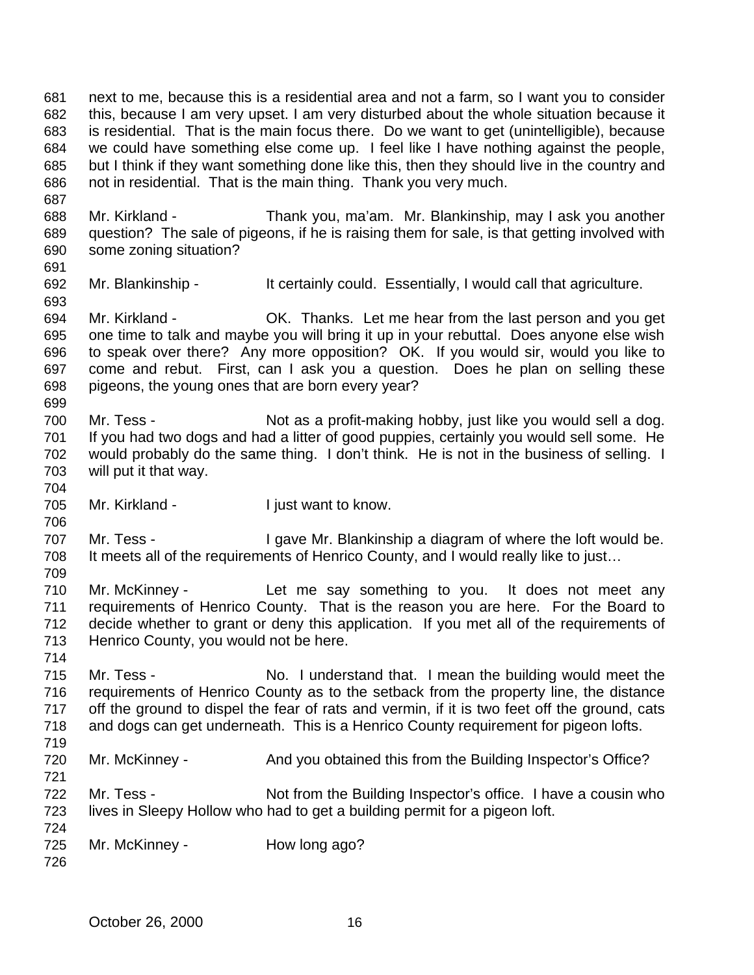next to me, because this is a residential area and not a farm, so I want you to consider this, because I am very upset. I am very disturbed about the whole situation because it is residential. That is the main focus there. Do we want to get (unintelligible), because we could have something else come up. I feel like I have nothing against the people, but I think if they want something done like this, then they should live in the country and not in residential. That is the main thing. Thank you very much.

 Mr. Kirkland - Thank you, ma'am. Mr. Blankinship, may I ask you another question? The sale of pigeons, if he is raising them for sale, is that getting involved with some zoning situation?

Mr. Blankinship - It certainly could. Essentially, I would call that agriculture.

 Mr. Kirkland - OK. Thanks. Let me hear from the last person and you get one time to talk and maybe you will bring it up in your rebuttal. Does anyone else wish to speak over there? Any more opposition? OK. If you would sir, would you like to come and rebut. First, can I ask you a question. Does he plan on selling these pigeons, the young ones that are born every year? 

700 Mr. Tess - Not as a profit-making hobby, just like you would sell a dog. If you had two dogs and had a litter of good puppies, certainly you would sell some. He would probably do the same thing. I don't think. He is not in the business of selling. I will put it that way.

Mr. Kirkland - I just want to know.

707 Mr. Tess - I gave Mr. Blankinship a diagram of where the loft would be. 708 It meets all of the requirements of Henrico County, and I would really like to just...

 Mr. McKinney - Let me say something to you. It does not meet any requirements of Henrico County. That is the reason you are here. For the Board to decide whether to grant or deny this application. If you met all of the requirements of Henrico County, you would not be here.

 Mr. Tess - No. I understand that. I mean the building would meet the requirements of Henrico County as to the setback from the property line, the distance off the ground to dispel the fear of rats and vermin, if it is two feet off the ground, cats and dogs can get underneath. This is a Henrico County requirement for pigeon lofts. 

720 Mr. McKinney - And you obtained this from the Building Inspector's Office?

722 Mr. Tess - Not from the Building Inspector's office. I have a cousin who lives in Sleepy Hollow who had to get a building permit for a pigeon loft. 

725 Mr. McKinney - How long ago?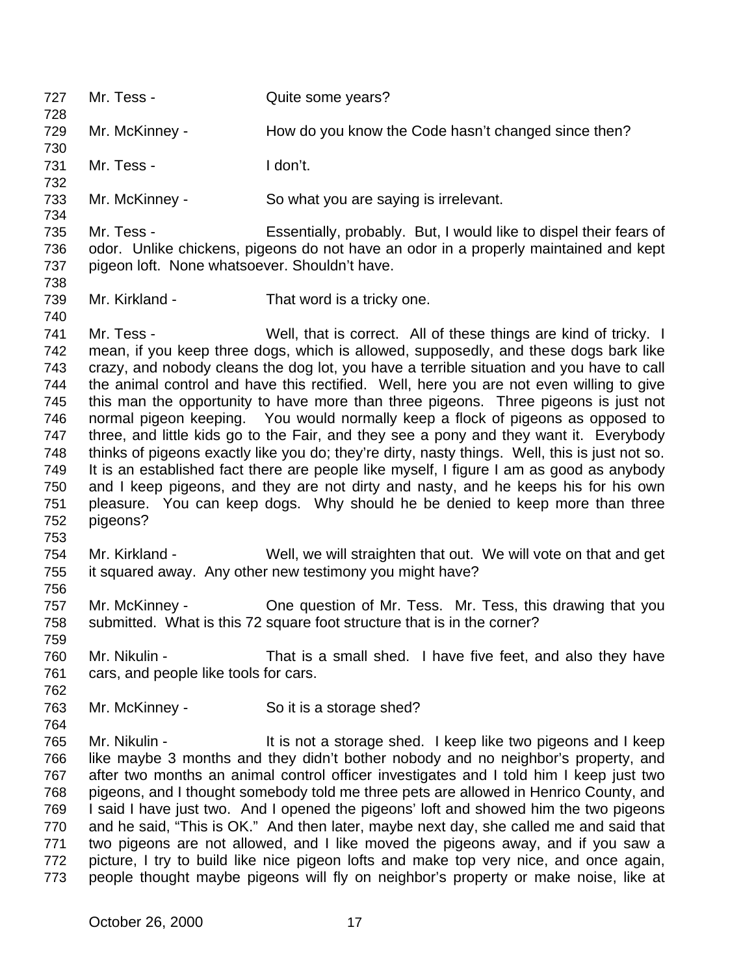Mr. Tess - Quite some years? 729 Mr. McKinney - How do you know the Code hasn't changed since then? Mr. Tess - I don't. Mr. McKinney - So what you are saying is irrelevant. Mr. Tess - Essentially, probably. But, I would like to dispel their fears of odor. Unlike chickens, pigeons do not have an odor in a properly maintained and kept pigeon loft. None whatsoever. Shouldn't have. Mr. Kirkland - That word is a tricky one. Mr. Tess - Well, that is correct. All of these things are kind of tricky. I mean, if you keep three dogs, which is allowed, supposedly, and these dogs bark like crazy, and nobody cleans the dog lot, you have a terrible situation and you have to call the animal control and have this rectified. Well, here you are not even willing to give this man the opportunity to have more than three pigeons. Three pigeons is just not normal pigeon keeping. You would normally keep a flock of pigeons as opposed to three, and little kids go to the Fair, and they see a pony and they want it. Everybody thinks of pigeons exactly like you do; they're dirty, nasty things. Well, this is just not so. It is an established fact there are people like myself, I figure I am as good as anybody and I keep pigeons, and they are not dirty and nasty, and he keeps his for his own pleasure. You can keep dogs. Why should he be denied to keep more than three pigeons? Mr. Kirkland - Well, we will straighten that out. We will vote on that and get it squared away. Any other new testimony you might have? Mr. McKinney - One question of Mr. Tess. Mr. Tess, this drawing that you submitted. What is this 72 square foot structure that is in the corner? Mr. Nikulin - That is a small shed. I have five feet, and also they have cars, and people like tools for cars. Mr. McKinney - So it is a storage shed? 765 Mr. Nikulin - It is not a storage shed. I keep like two pigeons and I keep like maybe 3 months and they didn't bother nobody and no neighbor's property, and after two months an animal control officer investigates and I told him I keep just two pigeons, and I thought somebody told me three pets are allowed in Henrico County, and I said I have just two. And I opened the pigeons' loft and showed him the two pigeons and he said, "This is OK." And then later, maybe next day, she called me and said that two pigeons are not allowed, and I like moved the pigeons away, and if you saw a picture, I try to build like nice pigeon lofts and make top very nice, and once again, people thought maybe pigeons will fly on neighbor's property or make noise, like at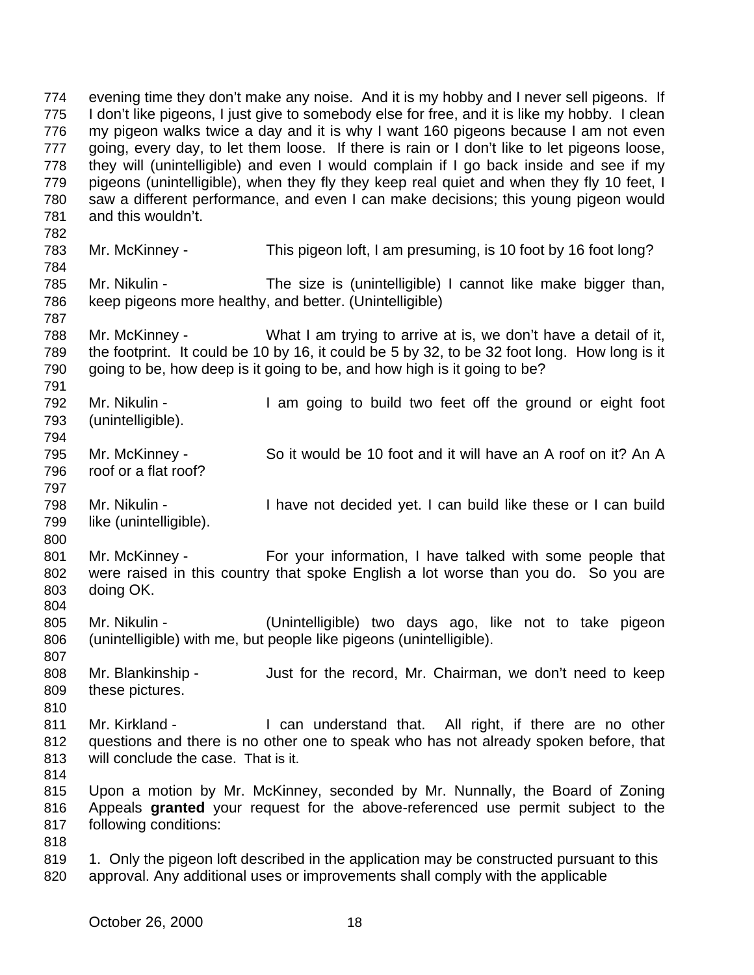evening time they don't make any noise. And it is my hobby and I never sell pigeons. If I don't like pigeons, I just give to somebody else for free, and it is like my hobby. I clean my pigeon walks twice a day and it is why I want 160 pigeons because I am not even going, every day, to let them loose. If there is rain or I don't like to let pigeons loose, they will (unintelligible) and even I would complain if I go back inside and see if my pigeons (unintelligible), when they fly they keep real quiet and when they fly 10 feet, I saw a different performance, and even I can make decisions; this young pigeon would and this wouldn't. Mr. McKinney - This pigeon loft, I am presuming, is 10 foot by 16 foot long? Mr. Nikulin - The size is (unintelligible) I cannot like make bigger than, keep pigeons more healthy, and better. (Unintelligible) Mr. McKinney - What I am trying to arrive at is, we don't have a detail of it, the footprint. It could be 10 by 16, it could be 5 by 32, to be 32 foot long. How long is it 790 going to be, how deep is it going to be, and how high is it going to be? Mr. Nikulin - I am going to build two feet off the ground or eight foot (unintelligible). Mr. McKinney - So it would be 10 foot and it will have an A roof on it? An A roof or a flat roof? Mr. Nikulin - I have not decided yet. I can build like these or I can build like (unintelligible). Mr. McKinney - For your information, I have talked with some people that were raised in this country that spoke English a lot worse than you do. So you are doing OK. Mr. Nikulin - (Unintelligible) two days ago, like not to take pigeon (unintelligible) with me, but people like pigeons (unintelligible). Mr. Blankinship - Just for the record, Mr. Chairman, we don't need to keep these pictures. 811 Mr. Kirkland - I can understand that. All right, if there are no other questions and there is no other one to speak who has not already spoken before, that will conclude the case. That is it. Upon a motion by Mr. McKinney, seconded by Mr. Nunnally, the Board of Zoning Appeals **granted** your request for the above-referenced use permit subject to the following conditions: 819 1. Only the pigeon loft described in the application may be constructed pursuant to this approval. Any additional uses or improvements shall comply with the applicable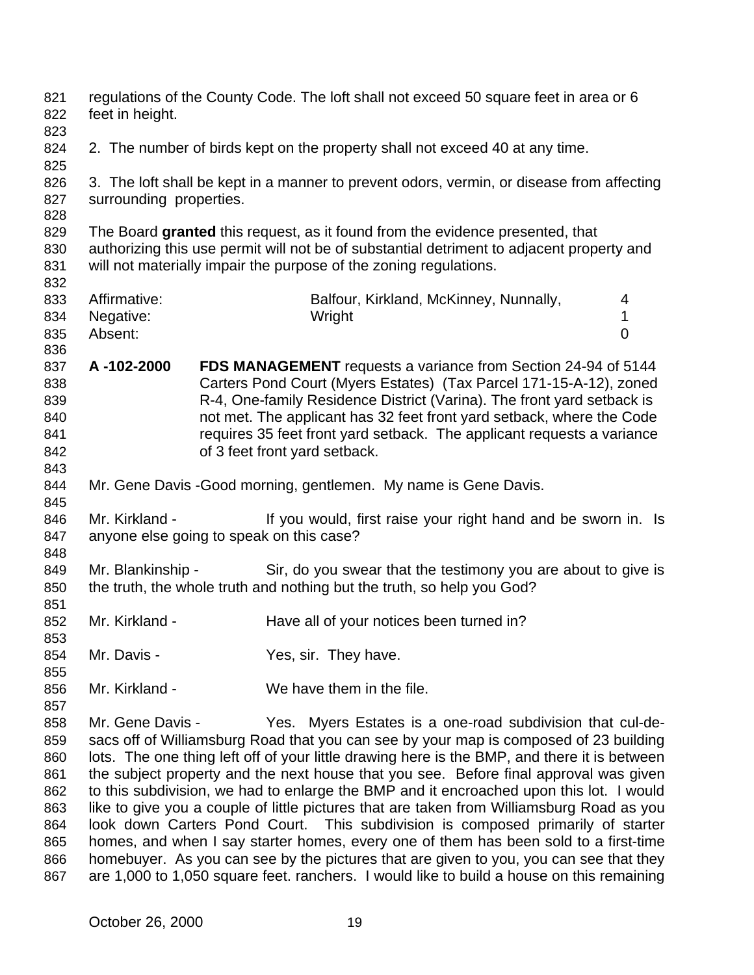| regulations of the County Code. The loft shall not exceed 50 square feet in area or 6 |                                                                                   |                                                                  |                                                                                                                                                                                                                                                                                                                                                                                                                                                                                                                                                                                                                                                                                                                                                                                                                                                                                                                                                                                                                                                                                                                                                                                                                                                                                                                                                                                                                                                                                                                                                                                                                                                                                                                                                                                                                                                                                                                                                                                                                                                                                                                                                                         |
|---------------------------------------------------------------------------------------|-----------------------------------------------------------------------------------|------------------------------------------------------------------|-------------------------------------------------------------------------------------------------------------------------------------------------------------------------------------------------------------------------------------------------------------------------------------------------------------------------------------------------------------------------------------------------------------------------------------------------------------------------------------------------------------------------------------------------------------------------------------------------------------------------------------------------------------------------------------------------------------------------------------------------------------------------------------------------------------------------------------------------------------------------------------------------------------------------------------------------------------------------------------------------------------------------------------------------------------------------------------------------------------------------------------------------------------------------------------------------------------------------------------------------------------------------------------------------------------------------------------------------------------------------------------------------------------------------------------------------------------------------------------------------------------------------------------------------------------------------------------------------------------------------------------------------------------------------------------------------------------------------------------------------------------------------------------------------------------------------------------------------------------------------------------------------------------------------------------------------------------------------------------------------------------------------------------------------------------------------------------------------------------------------------------------------------------------------|
| feet in height.                                                                       |                                                                                   |                                                                  |                                                                                                                                                                                                                                                                                                                                                                                                                                                                                                                                                                                                                                                                                                                                                                                                                                                                                                                                                                                                                                                                                                                                                                                                                                                                                                                                                                                                                                                                                                                                                                                                                                                                                                                                                                                                                                                                                                                                                                                                                                                                                                                                                                         |
|                                                                                       |                                                                                   |                                                                  |                                                                                                                                                                                                                                                                                                                                                                                                                                                                                                                                                                                                                                                                                                                                                                                                                                                                                                                                                                                                                                                                                                                                                                                                                                                                                                                                                                                                                                                                                                                                                                                                                                                                                                                                                                                                                                                                                                                                                                                                                                                                                                                                                                         |
|                                                                                       |                                                                                   |                                                                  |                                                                                                                                                                                                                                                                                                                                                                                                                                                                                                                                                                                                                                                                                                                                                                                                                                                                                                                                                                                                                                                                                                                                                                                                                                                                                                                                                                                                                                                                                                                                                                                                                                                                                                                                                                                                                                                                                                                                                                                                                                                                                                                                                                         |
|                                                                                       |                                                                                   |                                                                  |                                                                                                                                                                                                                                                                                                                                                                                                                                                                                                                                                                                                                                                                                                                                                                                                                                                                                                                                                                                                                                                                                                                                                                                                                                                                                                                                                                                                                                                                                                                                                                                                                                                                                                                                                                                                                                                                                                                                                                                                                                                                                                                                                                         |
|                                                                                       |                                                                                   |                                                                  |                                                                                                                                                                                                                                                                                                                                                                                                                                                                                                                                                                                                                                                                                                                                                                                                                                                                                                                                                                                                                                                                                                                                                                                                                                                                                                                                                                                                                                                                                                                                                                                                                                                                                                                                                                                                                                                                                                                                                                                                                                                                                                                                                                         |
|                                                                                       |                                                                                   |                                                                  |                                                                                                                                                                                                                                                                                                                                                                                                                                                                                                                                                                                                                                                                                                                                                                                                                                                                                                                                                                                                                                                                                                                                                                                                                                                                                                                                                                                                                                                                                                                                                                                                                                                                                                                                                                                                                                                                                                                                                                                                                                                                                                                                                                         |
|                                                                                       |                                                                                   |                                                                  |                                                                                                                                                                                                                                                                                                                                                                                                                                                                                                                                                                                                                                                                                                                                                                                                                                                                                                                                                                                                                                                                                                                                                                                                                                                                                                                                                                                                                                                                                                                                                                                                                                                                                                                                                                                                                                                                                                                                                                                                                                                                                                                                                                         |
|                                                                                       |                                                                                   |                                                                  |                                                                                                                                                                                                                                                                                                                                                                                                                                                                                                                                                                                                                                                                                                                                                                                                                                                                                                                                                                                                                                                                                                                                                                                                                                                                                                                                                                                                                                                                                                                                                                                                                                                                                                                                                                                                                                                                                                                                                                                                                                                                                                                                                                         |
|                                                                                       |                                                                                   |                                                                  |                                                                                                                                                                                                                                                                                                                                                                                                                                                                                                                                                                                                                                                                                                                                                                                                                                                                                                                                                                                                                                                                                                                                                                                                                                                                                                                                                                                                                                                                                                                                                                                                                                                                                                                                                                                                                                                                                                                                                                                                                                                                                                                                                                         |
|                                                                                       |                                                                                   |                                                                  |                                                                                                                                                                                                                                                                                                                                                                                                                                                                                                                                                                                                                                                                                                                                                                                                                                                                                                                                                                                                                                                                                                                                                                                                                                                                                                                                                                                                                                                                                                                                                                                                                                                                                                                                                                                                                                                                                                                                                                                                                                                                                                                                                                         |
|                                                                                       |                                                                                   |                                                                  |                                                                                                                                                                                                                                                                                                                                                                                                                                                                                                                                                                                                                                                                                                                                                                                                                                                                                                                                                                                                                                                                                                                                                                                                                                                                                                                                                                                                                                                                                                                                                                                                                                                                                                                                                                                                                                                                                                                                                                                                                                                                                                                                                                         |
|                                                                                       |                                                                                   | Balfour, Kirkland, McKinney, Nunnally,                           | 4                                                                                                                                                                                                                                                                                                                                                                                                                                                                                                                                                                                                                                                                                                                                                                                                                                                                                                                                                                                                                                                                                                                                                                                                                                                                                                                                                                                                                                                                                                                                                                                                                                                                                                                                                                                                                                                                                                                                                                                                                                                                                                                                                                       |
| Negative:                                                                             |                                                                                   | Wright                                                           | 1                                                                                                                                                                                                                                                                                                                                                                                                                                                                                                                                                                                                                                                                                                                                                                                                                                                                                                                                                                                                                                                                                                                                                                                                                                                                                                                                                                                                                                                                                                                                                                                                                                                                                                                                                                                                                                                                                                                                                                                                                                                                                                                                                                       |
| Absent:                                                                               |                                                                                   |                                                                  | $\overline{0}$                                                                                                                                                                                                                                                                                                                                                                                                                                                                                                                                                                                                                                                                                                                                                                                                                                                                                                                                                                                                                                                                                                                                                                                                                                                                                                                                                                                                                                                                                                                                                                                                                                                                                                                                                                                                                                                                                                                                                                                                                                                                                                                                                          |
|                                                                                       |                                                                                   |                                                                  |                                                                                                                                                                                                                                                                                                                                                                                                                                                                                                                                                                                                                                                                                                                                                                                                                                                                                                                                                                                                                                                                                                                                                                                                                                                                                                                                                                                                                                                                                                                                                                                                                                                                                                                                                                                                                                                                                                                                                                                                                                                                                                                                                                         |
| A-102-2000                                                                            |                                                                                   |                                                                  |                                                                                                                                                                                                                                                                                                                                                                                                                                                                                                                                                                                                                                                                                                                                                                                                                                                                                                                                                                                                                                                                                                                                                                                                                                                                                                                                                                                                                                                                                                                                                                                                                                                                                                                                                                                                                                                                                                                                                                                                                                                                                                                                                                         |
|                                                                                       |                                                                                   |                                                                  |                                                                                                                                                                                                                                                                                                                                                                                                                                                                                                                                                                                                                                                                                                                                                                                                                                                                                                                                                                                                                                                                                                                                                                                                                                                                                                                                                                                                                                                                                                                                                                                                                                                                                                                                                                                                                                                                                                                                                                                                                                                                                                                                                                         |
|                                                                                       |                                                                                   |                                                                  |                                                                                                                                                                                                                                                                                                                                                                                                                                                                                                                                                                                                                                                                                                                                                                                                                                                                                                                                                                                                                                                                                                                                                                                                                                                                                                                                                                                                                                                                                                                                                                                                                                                                                                                                                                                                                                                                                                                                                                                                                                                                                                                                                                         |
|                                                                                       |                                                                                   |                                                                  |                                                                                                                                                                                                                                                                                                                                                                                                                                                                                                                                                                                                                                                                                                                                                                                                                                                                                                                                                                                                                                                                                                                                                                                                                                                                                                                                                                                                                                                                                                                                                                                                                                                                                                                                                                                                                                                                                                                                                                                                                                                                                                                                                                         |
|                                                                                       |                                                                                   |                                                                  |                                                                                                                                                                                                                                                                                                                                                                                                                                                                                                                                                                                                                                                                                                                                                                                                                                                                                                                                                                                                                                                                                                                                                                                                                                                                                                                                                                                                                                                                                                                                                                                                                                                                                                                                                                                                                                                                                                                                                                                                                                                                                                                                                                         |
|                                                                                       |                                                                                   |                                                                  |                                                                                                                                                                                                                                                                                                                                                                                                                                                                                                                                                                                                                                                                                                                                                                                                                                                                                                                                                                                                                                                                                                                                                                                                                                                                                                                                                                                                                                                                                                                                                                                                                                                                                                                                                                                                                                                                                                                                                                                                                                                                                                                                                                         |
|                                                                                       |                                                                                   |                                                                  |                                                                                                                                                                                                                                                                                                                                                                                                                                                                                                                                                                                                                                                                                                                                                                                                                                                                                                                                                                                                                                                                                                                                                                                                                                                                                                                                                                                                                                                                                                                                                                                                                                                                                                                                                                                                                                                                                                                                                                                                                                                                                                                                                                         |
|                                                                                       |                                                                                   |                                                                  |                                                                                                                                                                                                                                                                                                                                                                                                                                                                                                                                                                                                                                                                                                                                                                                                                                                                                                                                                                                                                                                                                                                                                                                                                                                                                                                                                                                                                                                                                                                                                                                                                                                                                                                                                                                                                                                                                                                                                                                                                                                                                                                                                                         |
|                                                                                       |                                                                                   |                                                                  |                                                                                                                                                                                                                                                                                                                                                                                                                                                                                                                                                                                                                                                                                                                                                                                                                                                                                                                                                                                                                                                                                                                                                                                                                                                                                                                                                                                                                                                                                                                                                                                                                                                                                                                                                                                                                                                                                                                                                                                                                                                                                                                                                                         |
|                                                                                       |                                                                                   |                                                                  |                                                                                                                                                                                                                                                                                                                                                                                                                                                                                                                                                                                                                                                                                                                                                                                                                                                                                                                                                                                                                                                                                                                                                                                                                                                                                                                                                                                                                                                                                                                                                                                                                                                                                                                                                                                                                                                                                                                                                                                                                                                                                                                                                                         |
|                                                                                       |                                                                                   |                                                                  |                                                                                                                                                                                                                                                                                                                                                                                                                                                                                                                                                                                                                                                                                                                                                                                                                                                                                                                                                                                                                                                                                                                                                                                                                                                                                                                                                                                                                                                                                                                                                                                                                                                                                                                                                                                                                                                                                                                                                                                                                                                                                                                                                                         |
|                                                                                       |                                                                                   |                                                                  |                                                                                                                                                                                                                                                                                                                                                                                                                                                                                                                                                                                                                                                                                                                                                                                                                                                                                                                                                                                                                                                                                                                                                                                                                                                                                                                                                                                                                                                                                                                                                                                                                                                                                                                                                                                                                                                                                                                                                                                                                                                                                                                                                                         |
|                                                                                       |                                                                                   |                                                                  |                                                                                                                                                                                                                                                                                                                                                                                                                                                                                                                                                                                                                                                                                                                                                                                                                                                                                                                                                                                                                                                                                                                                                                                                                                                                                                                                                                                                                                                                                                                                                                                                                                                                                                                                                                                                                                                                                                                                                                                                                                                                                                                                                                         |
|                                                                                       |                                                                                   |                                                                  |                                                                                                                                                                                                                                                                                                                                                                                                                                                                                                                                                                                                                                                                                                                                                                                                                                                                                                                                                                                                                                                                                                                                                                                                                                                                                                                                                                                                                                                                                                                                                                                                                                                                                                                                                                                                                                                                                                                                                                                                                                                                                                                                                                         |
|                                                                                       |                                                                                   |                                                                  |                                                                                                                                                                                                                                                                                                                                                                                                                                                                                                                                                                                                                                                                                                                                                                                                                                                                                                                                                                                                                                                                                                                                                                                                                                                                                                                                                                                                                                                                                                                                                                                                                                                                                                                                                                                                                                                                                                                                                                                                                                                                                                                                                                         |
|                                                                                       |                                                                                   |                                                                  |                                                                                                                                                                                                                                                                                                                                                                                                                                                                                                                                                                                                                                                                                                                                                                                                                                                                                                                                                                                                                                                                                                                                                                                                                                                                                                                                                                                                                                                                                                                                                                                                                                                                                                                                                                                                                                                                                                                                                                                                                                                                                                                                                                         |
|                                                                                       |                                                                                   |                                                                  |                                                                                                                                                                                                                                                                                                                                                                                                                                                                                                                                                                                                                                                                                                                                                                                                                                                                                                                                                                                                                                                                                                                                                                                                                                                                                                                                                                                                                                                                                                                                                                                                                                                                                                                                                                                                                                                                                                                                                                                                                                                                                                                                                                         |
|                                                                                       |                                                                                   |                                                                  |                                                                                                                                                                                                                                                                                                                                                                                                                                                                                                                                                                                                                                                                                                                                                                                                                                                                                                                                                                                                                                                                                                                                                                                                                                                                                                                                                                                                                                                                                                                                                                                                                                                                                                                                                                                                                                                                                                                                                                                                                                                                                                                                                                         |
|                                                                                       |                                                                                   |                                                                  |                                                                                                                                                                                                                                                                                                                                                                                                                                                                                                                                                                                                                                                                                                                                                                                                                                                                                                                                                                                                                                                                                                                                                                                                                                                                                                                                                                                                                                                                                                                                                                                                                                                                                                                                                                                                                                                                                                                                                                                                                                                                                                                                                                         |
|                                                                                       |                                                                                   |                                                                  |                                                                                                                                                                                                                                                                                                                                                                                                                                                                                                                                                                                                                                                                                                                                                                                                                                                                                                                                                                                                                                                                                                                                                                                                                                                                                                                                                                                                                                                                                                                                                                                                                                                                                                                                                                                                                                                                                                                                                                                                                                                                                                                                                                         |
|                                                                                       |                                                                                   |                                                                  |                                                                                                                                                                                                                                                                                                                                                                                                                                                                                                                                                                                                                                                                                                                                                                                                                                                                                                                                                                                                                                                                                                                                                                                                                                                                                                                                                                                                                                                                                                                                                                                                                                                                                                                                                                                                                                                                                                                                                                                                                                                                                                                                                                         |
|                                                                                       |                                                                                   |                                                                  |                                                                                                                                                                                                                                                                                                                                                                                                                                                                                                                                                                                                                                                                                                                                                                                                                                                                                                                                                                                                                                                                                                                                                                                                                                                                                                                                                                                                                                                                                                                                                                                                                                                                                                                                                                                                                                                                                                                                                                                                                                                                                                                                                                         |
|                                                                                       |                                                                                   |                                                                  |                                                                                                                                                                                                                                                                                                                                                                                                                                                                                                                                                                                                                                                                                                                                                                                                                                                                                                                                                                                                                                                                                                                                                                                                                                                                                                                                                                                                                                                                                                                                                                                                                                                                                                                                                                                                                                                                                                                                                                                                                                                                                                                                                                         |
|                                                                                       |                                                                                   |                                                                  |                                                                                                                                                                                                                                                                                                                                                                                                                                                                                                                                                                                                                                                                                                                                                                                                                                                                                                                                                                                                                                                                                                                                                                                                                                                                                                                                                                                                                                                                                                                                                                                                                                                                                                                                                                                                                                                                                                                                                                                                                                                                                                                                                                         |
|                                                                                       |                                                                                   |                                                                  |                                                                                                                                                                                                                                                                                                                                                                                                                                                                                                                                                                                                                                                                                                                                                                                                                                                                                                                                                                                                                                                                                                                                                                                                                                                                                                                                                                                                                                                                                                                                                                                                                                                                                                                                                                                                                                                                                                                                                                                                                                                                                                                                                                         |
|                                                                                       |                                                                                   |                                                                  |                                                                                                                                                                                                                                                                                                                                                                                                                                                                                                                                                                                                                                                                                                                                                                                                                                                                                                                                                                                                                                                                                                                                                                                                                                                                                                                                                                                                                                                                                                                                                                                                                                                                                                                                                                                                                                                                                                                                                                                                                                                                                                                                                                         |
|                                                                                       |                                                                                   |                                                                  |                                                                                                                                                                                                                                                                                                                                                                                                                                                                                                                                                                                                                                                                                                                                                                                                                                                                                                                                                                                                                                                                                                                                                                                                                                                                                                                                                                                                                                                                                                                                                                                                                                                                                                                                                                                                                                                                                                                                                                                                                                                                                                                                                                         |
|                                                                                       |                                                                                   |                                                                  |                                                                                                                                                                                                                                                                                                                                                                                                                                                                                                                                                                                                                                                                                                                                                                                                                                                                                                                                                                                                                                                                                                                                                                                                                                                                                                                                                                                                                                                                                                                                                                                                                                                                                                                                                                                                                                                                                                                                                                                                                                                                                                                                                                         |
|                                                                                       |                                                                                   |                                                                  |                                                                                                                                                                                                                                                                                                                                                                                                                                                                                                                                                                                                                                                                                                                                                                                                                                                                                                                                                                                                                                                                                                                                                                                                                                                                                                                                                                                                                                                                                                                                                                                                                                                                                                                                                                                                                                                                                                                                                                                                                                                                                                                                                                         |
|                                                                                       |                                                                                   |                                                                  |                                                                                                                                                                                                                                                                                                                                                                                                                                                                                                                                                                                                                                                                                                                                                                                                                                                                                                                                                                                                                                                                                                                                                                                                                                                                                                                                                                                                                                                                                                                                                                                                                                                                                                                                                                                                                                                                                                                                                                                                                                                                                                                                                                         |
|                                                                                       |                                                                                   |                                                                  |                                                                                                                                                                                                                                                                                                                                                                                                                                                                                                                                                                                                                                                                                                                                                                                                                                                                                                                                                                                                                                                                                                                                                                                                                                                                                                                                                                                                                                                                                                                                                                                                                                                                                                                                                                                                                                                                                                                                                                                                                                                                                                                                                                         |
|                                                                                       |                                                                                   |                                                                  |                                                                                                                                                                                                                                                                                                                                                                                                                                                                                                                                                                                                                                                                                                                                                                                                                                                                                                                                                                                                                                                                                                                                                                                                                                                                                                                                                                                                                                                                                                                                                                                                                                                                                                                                                                                                                                                                                                                                                                                                                                                                                                                                                                         |
|                                                                                       | Affirmative:<br>Mr. Kirkland -<br>Mr. Kirkland -<br>Mr. Davis -<br>Mr. Kirkland - | surrounding properties.<br>Mr. Blankinship -<br>Mr. Gene Davis - | 2. The number of birds kept on the property shall not exceed 40 at any time.<br>3. The loft shall be kept in a manner to prevent odors, vermin, or disease from affecting<br>The Board granted this request, as it found from the evidence presented, that<br>authorizing this use permit will not be of substantial detriment to adjacent property and<br>will not materially impair the purpose of the zoning regulations.<br>FDS MANAGEMENT requests a variance from Section 24-94 of 5144<br>Carters Pond Court (Myers Estates) (Tax Parcel 171-15-A-12), zoned<br>R-4, One-family Residence District (Varina). The front yard setback is<br>not met. The applicant has 32 feet front yard setback, where the Code<br>requires 35 feet front yard setback. The applicant requests a variance<br>of 3 feet front yard setback.<br>Mr. Gene Davis - Good morning, gentlemen. My name is Gene Davis.<br>If you would, first raise your right hand and be sworn in. Is<br>anyone else going to speak on this case?<br>Sir, do you swear that the testimony you are about to give is<br>the truth, the whole truth and nothing but the truth, so help you God?<br>Have all of your notices been turned in?<br>Yes, sir. They have.<br>We have them in the file.<br>Yes. Myers Estates is a one-road subdivision that cul-de-<br>sacs off of Williamsburg Road that you can see by your map is composed of 23 building<br>lots. The one thing left off of your little drawing here is the BMP, and there it is between<br>the subject property and the next house that you see. Before final approval was given<br>to this subdivision, we had to enlarge the BMP and it encroached upon this lot. I would<br>like to give you a couple of little pictures that are taken from Williamsburg Road as you<br>look down Carters Pond Court. This subdivision is composed primarily of starter<br>homes, and when I say starter homes, every one of them has been sold to a first-time<br>homebuyer. As you can see by the pictures that are given to you, you can see that they<br>are 1,000 to 1,050 square feet. ranchers. I would like to build a house on this remaining |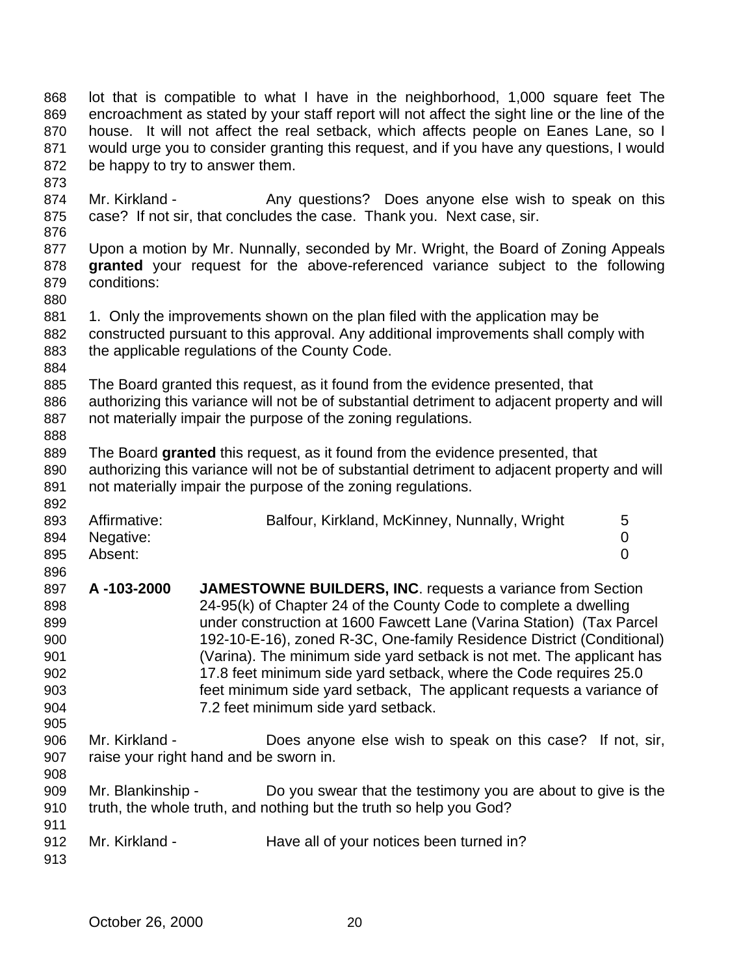| 868<br>869<br>870<br>871<br>872                             | be happy to try to answer them.                          | lot that is compatible to what I have in the neighborhood, 1,000 square feet The<br>encroachment as stated by your staff report will not affect the sight line or the line of the<br>house. It will not affect the real setback, which affects people on Eanes Lane, so I<br>would urge you to consider granting this request, and if you have any questions, I would                                                                                                                                                                               |  |             |
|-------------------------------------------------------------|----------------------------------------------------------|-----------------------------------------------------------------------------------------------------------------------------------------------------------------------------------------------------------------------------------------------------------------------------------------------------------------------------------------------------------------------------------------------------------------------------------------------------------------------------------------------------------------------------------------------------|--|-------------|
| 873<br>874<br>875<br>876                                    | Mr. Kirkland -                                           | Any questions? Does anyone else wish to speak on this<br>case? If not sir, that concludes the case. Thank you. Next case, sir.                                                                                                                                                                                                                                                                                                                                                                                                                      |  |             |
| 877<br>878<br>879<br>880                                    | conditions:                                              | Upon a motion by Mr. Nunnally, seconded by Mr. Wright, the Board of Zoning Appeals<br>granted your request for the above-referenced variance subject to the following                                                                                                                                                                                                                                                                                                                                                                               |  |             |
| 881<br>882<br>883<br>884                                    |                                                          | 1. Only the improvements shown on the plan filed with the application may be<br>constructed pursuant to this approval. Any additional improvements shall comply with<br>the applicable regulations of the County Code.                                                                                                                                                                                                                                                                                                                              |  |             |
| 885<br>886<br>887<br>888                                    |                                                          | The Board granted this request, as it found from the evidence presented, that<br>authorizing this variance will not be of substantial detriment to adjacent property and will<br>not materially impair the purpose of the zoning regulations.                                                                                                                                                                                                                                                                                                       |  |             |
| 889<br>890<br>891<br>892                                    |                                                          | The Board granted this request, as it found from the evidence presented, that<br>authorizing this variance will not be of substantial detriment to adjacent property and will<br>not materially impair the purpose of the zoning regulations.                                                                                                                                                                                                                                                                                                       |  |             |
| 893<br>894<br>895<br>896                                    | Affirmative:<br>Negative:<br>Absent:                     | Balfour, Kirkland, McKinney, Nunnally, Wright                                                                                                                                                                                                                                                                                                                                                                                                                                                                                                       |  | 5<br>0<br>0 |
| 897<br>898<br>899<br>900<br>901<br>902<br>903<br>904<br>905 | A-103-2000                                               | <b>JAMESTOWNE BUILDERS, INC. requests a variance from Section</b><br>24-95(k) of Chapter 24 of the County Code to complete a dwelling<br>under construction at 1600 Fawcett Lane (Varina Station) (Tax Parcel<br>192-10-E-16), zoned R-3C, One-family Residence District (Conditional)<br>(Varina). The minimum side yard setback is not met. The applicant has<br>17.8 feet minimum side yard setback, where the Code requires 25.0<br>feet minimum side yard setback, The applicant requests a variance of<br>7.2 feet minimum side yard setback. |  |             |
| 906<br>907<br>908                                           | Mr. Kirkland -<br>raise your right hand and be sworn in. | Does anyone else wish to speak on this case? If not, sir,                                                                                                                                                                                                                                                                                                                                                                                                                                                                                           |  |             |
| 909<br>910<br>911                                           | Mr. Blankinship -                                        | Do you swear that the testimony you are about to give is the<br>truth, the whole truth, and nothing but the truth so help you God?                                                                                                                                                                                                                                                                                                                                                                                                                  |  |             |
| 912<br>913                                                  | Mr. Kirkland -                                           | Have all of your notices been turned in?                                                                                                                                                                                                                                                                                                                                                                                                                                                                                                            |  |             |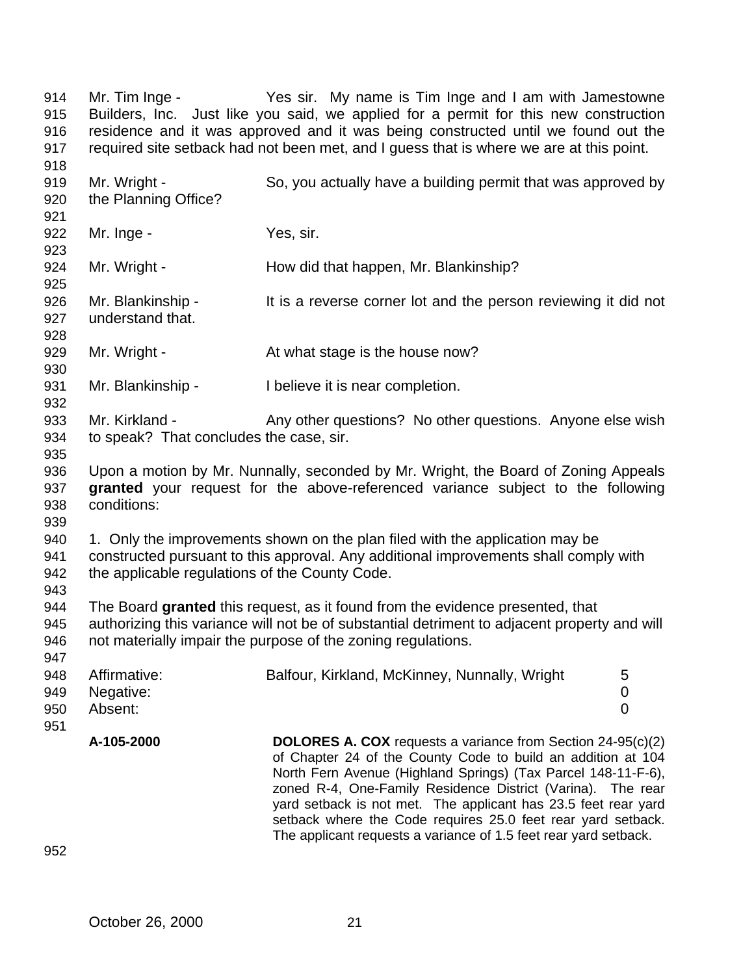Mr. Tim Inge - Yes sir. My name is Tim Inge and I am with Jamestowne Builders, Inc. Just like you said, we applied for a permit for this new construction residence and it was approved and it was being constructed until we found out the required site setback had not been met, and I guess that is where we are at this point. Mr. Wright - So, you actually have a building permit that was approved by the Planning Office? 922 Mr. Inge - Yes, sir. Mr. Wright - How did that happen, Mr. Blankinship? 926 Mr. Blankinship - It is a reverse corner lot and the person reviewing it did not understand that. 929 Mr. Wright - At what stage is the house now? 931 Mr. Blankinship - I believe it is near completion. 933 Mr. Kirkland - Any other questions? No other questions. Anyone else wish to speak? That concludes the case, sir. Upon a motion by Mr. Nunnally, seconded by Mr. Wright, the Board of Zoning Appeals **granted** your request for the above-referenced variance subject to the following conditions: 1. Only the improvements shown on the plan filed with the application may be constructed pursuant to this approval. Any additional improvements shall comply with the applicable regulations of the County Code. The Board **granted** this request, as it found from the evidence presented, that authorizing this variance will not be of substantial detriment to adjacent property and will not materially impair the purpose of the zoning regulations. 948 Affirmative: Balfour, Kirkland, McKinney, Nunnally, Wright 5 Negative: 0 Absent: 0 **A-105-2000 DOLORES A. COX** requests a variance from Section 24-95(c)(2) of Chapter 24 of the County Code to build an addition at 104 North Fern Avenue (Highland Springs) (Tax Parcel 148-11-F-6), zoned R-4, One-Family Residence District (Varina). The rear yard setback is not met. The applicant has 23.5 feet rear yard setback where the Code requires 25.0 feet rear yard setback. The applicant requests a variance of 1.5 feet rear yard setback.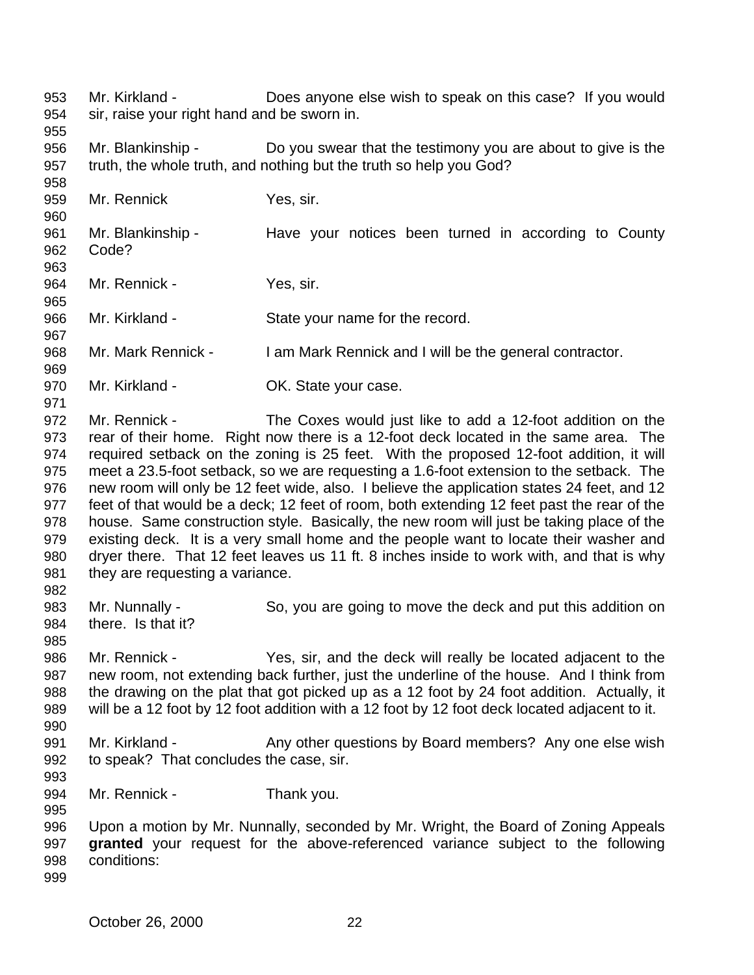Mr. Kirkland - Does anyone else wish to speak on this case? If you would sir, raise your right hand and be sworn in. 

 Mr. Blankinship - Do you swear that the testimony you are about to give is the truth, the whole truth, and nothing but the truth so help you God?

Mr. Rennick Yes, sir.

 Mr. Blankinship - Have your notices been turned in according to County Code?

964 Mr. Rennick - Yes, sir.

966 Mr. Kirkland - State your name for the record.

Mr. Mark Rennick - I am Mark Rennick and I will be the general contractor.

970 Mr. Kirkland - **OK.** State your case.

 Mr. Rennick - The Coxes would just like to add a 12-foot addition on the rear of their home. Right now there is a 12-foot deck located in the same area. The required setback on the zoning is 25 feet. With the proposed 12-foot addition, it will meet a 23.5-foot setback, so we are requesting a 1.6-foot extension to the setback. The new room will only be 12 feet wide, also. I believe the application states 24 feet, and 12 feet of that would be a deck; 12 feet of room, both extending 12 feet past the rear of the house. Same construction style. Basically, the new room will just be taking place of the existing deck. It is a very small home and the people want to locate their washer and dryer there. That 12 feet leaves us 11 ft. 8 inches inside to work with, and that is why 981 they are requesting a variance. 

 Mr. Nunnally - So, you are going to move the deck and put this addition on there. Is that it?

 Mr. Rennick - Yes, sir, and the deck will really be located adjacent to the new room, not extending back further, just the underline of the house. And I think from the drawing on the plat that got picked up as a 12 foot by 24 foot addition. Actually, it will be a 12 foot by 12 foot addition with a 12 foot by 12 foot deck located adjacent to it. 

991 Mr. Kirkland - Any other questions by Board members? Any one else wish to speak? That concludes the case, sir.

994 Mr. Rennick - Thank you.

 Upon a motion by Mr. Nunnally, seconded by Mr. Wright, the Board of Zoning Appeals **granted** your request for the above-referenced variance subject to the following conditions: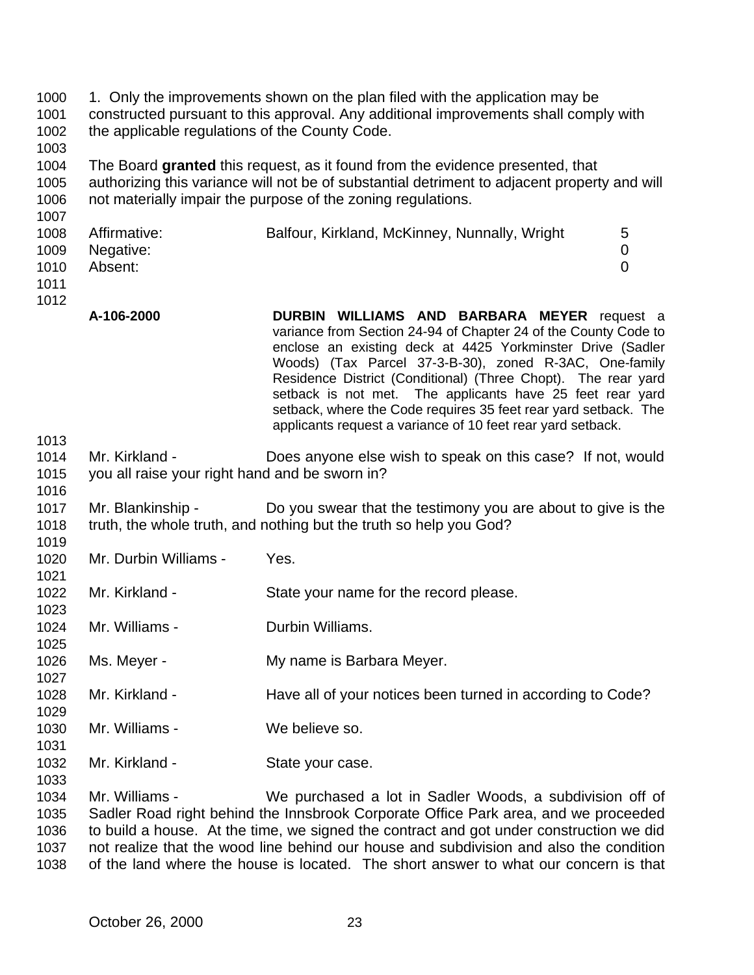| 1000<br>1001<br>1002<br>1003         | the applicable regulations of the County Code.                                                                                                                                                                                                | 1. Only the improvements shown on the plan filed with the application may be<br>constructed pursuant to this approval. Any additional improvements shall comply with                                                                                                                                                                                                                                                                                                                                          |  |  |
|--------------------------------------|-----------------------------------------------------------------------------------------------------------------------------------------------------------------------------------------------------------------------------------------------|---------------------------------------------------------------------------------------------------------------------------------------------------------------------------------------------------------------------------------------------------------------------------------------------------------------------------------------------------------------------------------------------------------------------------------------------------------------------------------------------------------------|--|--|
| 1004<br>1005<br>1006<br>1007         | The Board granted this request, as it found from the evidence presented, that<br>authorizing this variance will not be of substantial detriment to adjacent property and will<br>not materially impair the purpose of the zoning regulations. |                                                                                                                                                                                                                                                                                                                                                                                                                                                                                                               |  |  |
| 1008<br>1009<br>1010<br>1011<br>1012 | Affirmative:<br>Negative:<br>Absent:                                                                                                                                                                                                          | 5<br>Balfour, Kirkland, McKinney, Nunnally, Wright<br>$\mathbf 0$<br>$\overline{0}$                                                                                                                                                                                                                                                                                                                                                                                                                           |  |  |
|                                      | A-106-2000                                                                                                                                                                                                                                    | <b>DURBIN WILLIAMS AND BARBARA MEYER request a</b><br>variance from Section 24-94 of Chapter 24 of the County Code to<br>enclose an existing deck at 4425 Yorkminster Drive (Sadler<br>Woods) (Tax Parcel 37-3-B-30), zoned R-3AC, One-family<br>Residence District (Conditional) (Three Chopt). The rear yard<br>setback is not met. The applicants have 25 feet rear yard<br>setback, where the Code requires 35 feet rear yard setback. The<br>applicants request a variance of 10 feet rear yard setback. |  |  |
| 1013<br>1014<br>1015                 | Mr. Kirkland -<br>you all raise your right hand and be sworn in?                                                                                                                                                                              | Does anyone else wish to speak on this case? If not, would                                                                                                                                                                                                                                                                                                                                                                                                                                                    |  |  |
| 1016<br>1017<br>1018                 | Mr. Blankinship -                                                                                                                                                                                                                             | Do you swear that the testimony you are about to give is the<br>truth, the whole truth, and nothing but the truth so help you God?                                                                                                                                                                                                                                                                                                                                                                            |  |  |
| 1019<br>1020<br>1021                 | Mr. Durbin Williams -                                                                                                                                                                                                                         | Yes.                                                                                                                                                                                                                                                                                                                                                                                                                                                                                                          |  |  |
| 1022<br>1023                         | Mr. Kirkland -                                                                                                                                                                                                                                | State your name for the record please.                                                                                                                                                                                                                                                                                                                                                                                                                                                                        |  |  |
| 1024<br>1025                         | Mr. Williams -                                                                                                                                                                                                                                | Durbin Williams.                                                                                                                                                                                                                                                                                                                                                                                                                                                                                              |  |  |
| 1026<br>1027                         | Ms. Meyer -                                                                                                                                                                                                                                   | My name is Barbara Meyer.                                                                                                                                                                                                                                                                                                                                                                                                                                                                                     |  |  |
| 1028<br>1029                         | Mr. Kirkland -                                                                                                                                                                                                                                | Have all of your notices been turned in according to Code?                                                                                                                                                                                                                                                                                                                                                                                                                                                    |  |  |
| 1030<br>1031                         | Mr. Williams -                                                                                                                                                                                                                                | We believe so.                                                                                                                                                                                                                                                                                                                                                                                                                                                                                                |  |  |
| 1032<br>1033                         | Mr. Kirkland -                                                                                                                                                                                                                                | State your case.                                                                                                                                                                                                                                                                                                                                                                                                                                                                                              |  |  |
| 1034<br>1035<br>1036                 | Mr. Williams -                                                                                                                                                                                                                                | We purchased a lot in Sadler Woods, a subdivision off of<br>Sadler Road right behind the Innsbrook Corporate Office Park area, and we proceeded<br>to build a house. At the time, we signed the contract and got under construction we did                                                                                                                                                                                                                                                                    |  |  |

1037 not realize that the wood line behind our house and subdivision and also the condition<br>1038 of the land where the house is located. The short answer to what our concern is that of the land where the house is located. The short answer to what our concern is that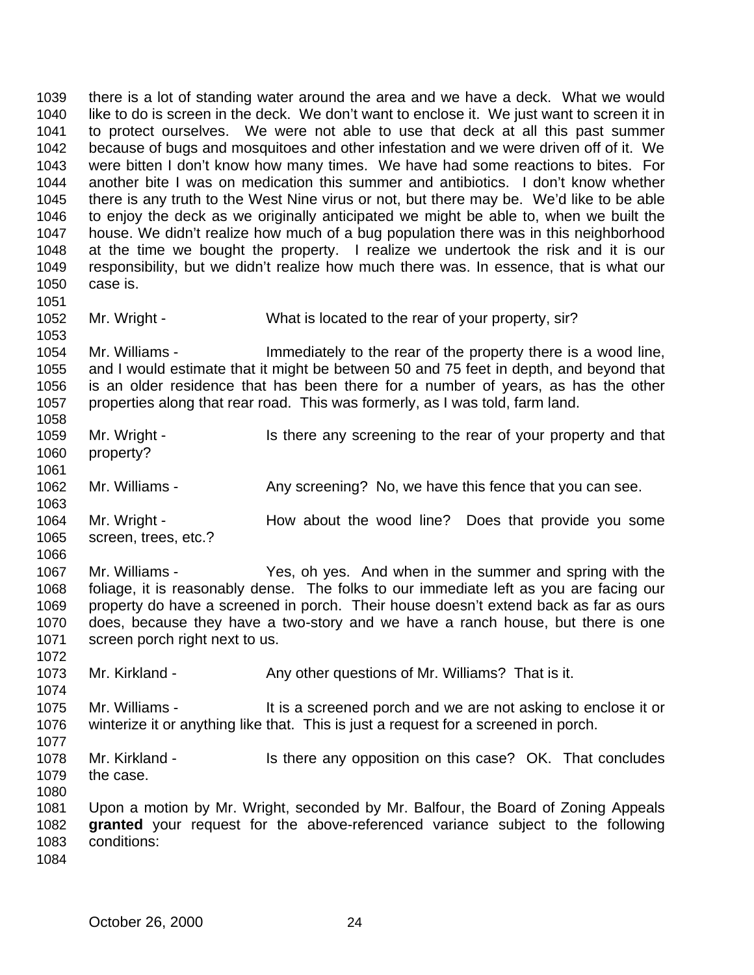there is a lot of standing water around the area and we have a deck. What we would like to do is screen in the deck. We don't want to enclose it. We just want to screen it in to protect ourselves. We were not able to use that deck at all this past summer because of bugs and mosquitoes and other infestation and we were driven off of it. We were bitten I don't know how many times. We have had some reactions to bites. For another bite I was on medication this summer and antibiotics. I don't know whether there is any truth to the West Nine virus or not, but there may be. We'd like to be able to enjoy the deck as we originally anticipated we might be able to, when we built the house. We didn't realize how much of a bug population there was in this neighborhood at the time we bought the property. I realize we undertook the risk and it is our responsibility, but we didn't realize how much there was. In essence, that is what our case is. 

1052 Mr. Wright - What is located to the rear of your property, sir?

 Mr. Williams - Immediately to the rear of the property there is a wood line, and I would estimate that it might be between 50 and 75 feet in depth, and beyond that is an older residence that has been there for a number of years, as has the other properties along that rear road. This was formerly, as I was told, farm land. 

- Mr. Wright Is there any screening to the rear of your property and that property?
- 1062 Mr. Williams Any screening? No, we have this fence that you can see.
- 1064 Mr. Wright How about the wood line? Does that provide you some screen, trees, etc.?
- Mr. Williams - Yes, oh yes. And when in the summer and spring with the foliage, it is reasonably dense. The folks to our immediate left as you are facing our property do have a screened in porch. Their house doesn't extend back as far as ours does, because they have a two-story and we have a ranch house, but there is one screen porch right next to us.
- 1073 Mr. Kirkland Any other questions of Mr. Williams? That is it.
- Mr. Williams It is a screened porch and we are not asking to enclose it or winterize it or anything like that. This is just a request for a screened in porch.
- 1078 Mr. Kirkland Is there any opposition on this case? OK. That concludes the case.
- Upon a motion by Mr. Wright, seconded by Mr. Balfour, the Board of Zoning Appeals **granted** your request for the above-referenced variance subject to the following conditions:
-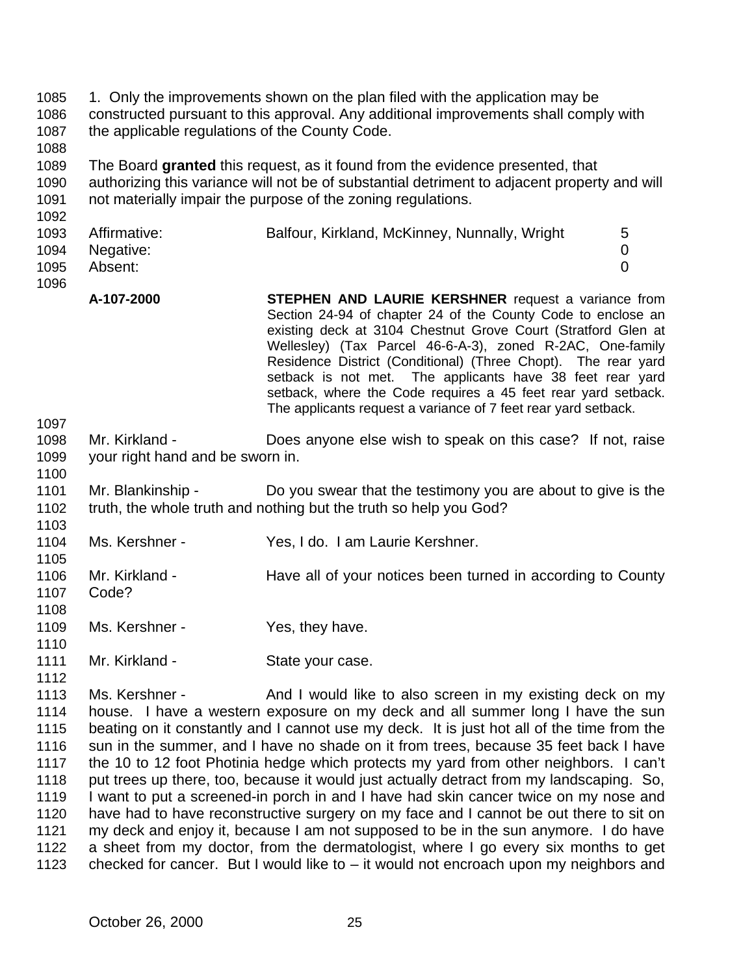- 1. Only the improvements shown on the plan filed with the application may be constructed pursuant to this approval. Any additional improvements shall comply with 1087 the applicable regulations of the County Code.
- The Board **granted** this request, as it found from the evidence presented, that authorizing this variance will not be of substantial detriment to adjacent property and will not materially impair the purpose of the zoning regulations.
	- Affirmative: Balfour, Kirkland, McKinney, Nunnally, Wright 5 Negative: 0 Absent: 0
	- **A-107-2000 STEPHEN AND LAURIE KERSHNER** request a variance from Section 24-94 of chapter 24 of the County Code to enclose an existing deck at 3104 Chestnut Grove Court (Stratford Glen at Wellesley) (Tax Parcel 46-6-A-3), zoned R-2AC, One-family Residence District (Conditional) (Three Chopt). The rear yard setback is not met. The applicants have 38 feet rear yard setback, where the Code requires a 45 feet rear yard setback. The applicants request a variance of 7 feet rear yard setback.
	- Mr. Kirkland Does anyone else wish to speak on this case? If not, raise your right hand and be sworn in.
	- Mr. Blankinship Do you swear that the testimony you are about to give is the truth, the whole truth and nothing but the truth so help you God?
	- Ms. Kershner Yes, I do. I am Laurie Kershner.
	- Mr. Kirkland Have all of your notices been turned in according to County Code?
	- 1109 Ms. Kershner - Yes, they have.

- 
- 1111 Mr. Kirkland State your case.
- 1113 Ms. Kershner And I would like to also screen in my existing deck on my house. I have a western exposure on my deck and all summer long I have the sun beating on it constantly and I cannot use my deck. It is just hot all of the time from the sun in the summer, and I have no shade on it from trees, because 35 feet back I have the 10 to 12 foot Photinia hedge which protects my yard from other neighbors. I can't 1118 put trees up there, too, because it would just actually detract from my landscaping. So, I want to put a screened-in porch in and I have had skin cancer twice on my nose and have had to have reconstructive surgery on my face and I cannot be out there to sit on my deck and enjoy it, because I am not supposed to be in the sun anymore. I do have a sheet from my doctor, from the dermatologist, where I go every six months to get checked for cancer. But I would like to – it would not encroach upon my neighbors and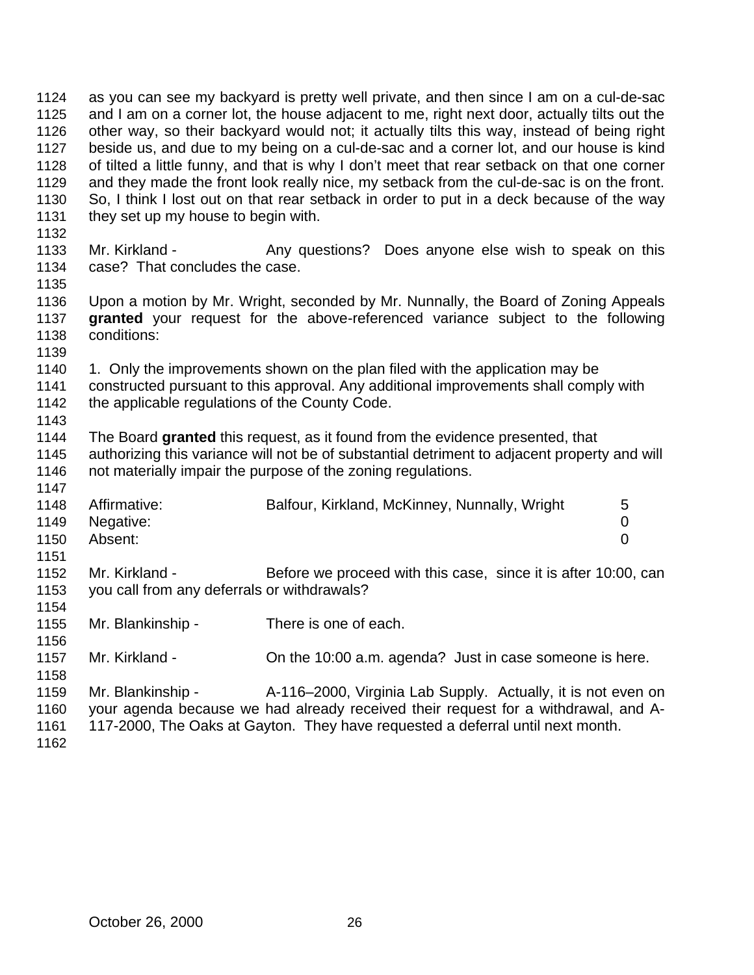as you can see my backyard is pretty well private, and then since I am on a cul-de-sac and I am on a corner lot, the house adjacent to me, right next door, actually tilts out the other way, so their backyard would not; it actually tilts this way, instead of being right beside us, and due to my being on a cul-de-sac and a corner lot, and our house is kind of tilted a little funny, and that is why I don't meet that rear setback on that one corner and they made the front look really nice, my setback from the cul-de-sac is on the front. So, I think I lost out on that rear setback in order to put in a deck because of the way 1131 they set up my house to begin with. 1133 Mr. Kirkland - Any questions? Does anyone else wish to speak on this case? That concludes the case. Upon a motion by Mr. Wright, seconded by Mr. Nunnally, the Board of Zoning Appeals **granted** your request for the above-referenced variance subject to the following conditions: 1. Only the improvements shown on the plan filed with the application may be constructed pursuant to this approval. Any additional improvements shall comply with 1142 the applicable regulations of the County Code. The Board **granted** this request, as it found from the evidence presented, that authorizing this variance will not be of substantial detriment to adjacent property and will 1146 not materially impair the purpose of the zoning regulations. Affirmative: Balfour, Kirkland, McKinney, Nunnally, Wright 5 Negative: 0 Absent: 0 Mr. Kirkland - Before we proceed with this case, since it is after 10:00, can you call from any deferrals or withdrawals? Mr. Blankinship - There is one of each. Mr. Kirkland - On the 10:00 a.m. agenda? Just in case someone is here. Mr. Blankinship - A-116–2000, Virginia Lab Supply. Actually, it is not even on your agenda because we had already received their request for a withdrawal, and A- 117-2000, The Oaks at Gayton. They have requested a deferral until next month.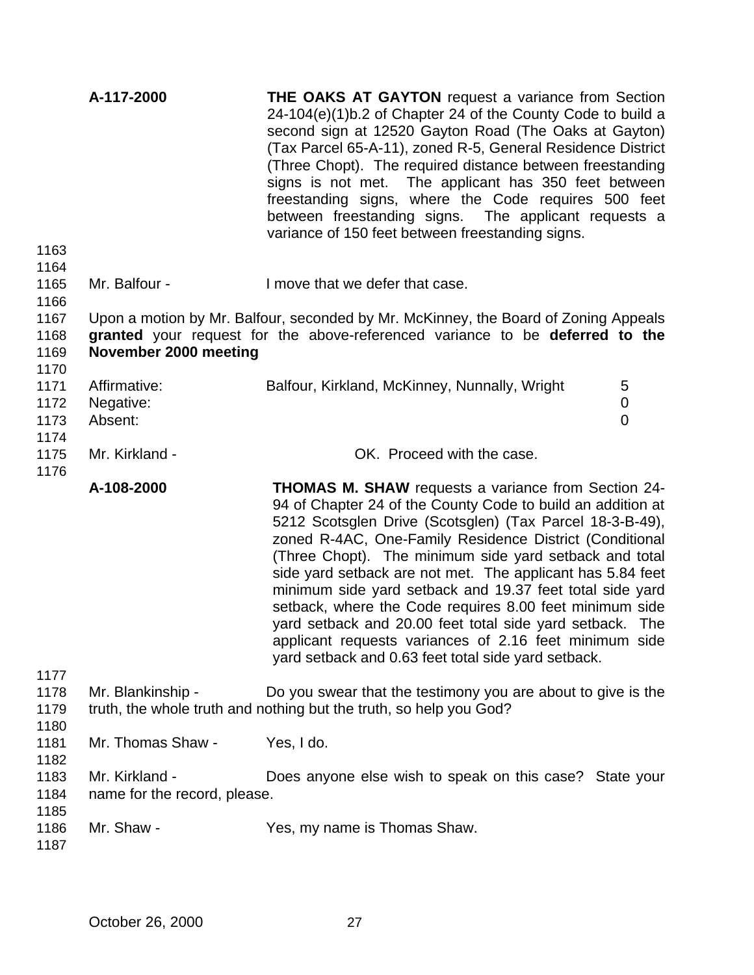| A-117-2000                                     | <b>THE OAKS AT GAYTON</b> request a variance from Section<br>24-104(e)(1)b.2 of Chapter 24 of the County Code to build a<br>second sign at 12520 Gayton Road (The Oaks at Gayton)<br>(Tax Parcel 65-A-11), zoned R-5, General Residence District<br>(Three Chopt). The required distance between freestanding<br>signs is not met. The applicant has 350 feet between<br>freestanding signs, where the Code requires 500 feet<br>between freestanding signs.<br>The applicant requests a<br>variance of 150 feet between freestanding signs.                                                                                                                                 |                                                                                                                                                                     |
|------------------------------------------------|------------------------------------------------------------------------------------------------------------------------------------------------------------------------------------------------------------------------------------------------------------------------------------------------------------------------------------------------------------------------------------------------------------------------------------------------------------------------------------------------------------------------------------------------------------------------------------------------------------------------------------------------------------------------------|---------------------------------------------------------------------------------------------------------------------------------------------------------------------|
| Mr. Balfour -                                  | I move that we defer that case.                                                                                                                                                                                                                                                                                                                                                                                                                                                                                                                                                                                                                                              |                                                                                                                                                                     |
| November 2000 meeting                          |                                                                                                                                                                                                                                                                                                                                                                                                                                                                                                                                                                                                                                                                              |                                                                                                                                                                     |
| Affirmative:<br>Negative:<br>Absent:           | Balfour, Kirkland, McKinney, Nunnally, Wright<br>5<br>$\pmb{0}$<br>0                                                                                                                                                                                                                                                                                                                                                                                                                                                                                                                                                                                                         |                                                                                                                                                                     |
| Mr. Kirkland -                                 | OK. Proceed with the case.                                                                                                                                                                                                                                                                                                                                                                                                                                                                                                                                                                                                                                                   |                                                                                                                                                                     |
|                                                |                                                                                                                                                                                                                                                                                                                                                                                                                                                                                                                                                                                                                                                                              |                                                                                                                                                                     |
| A-108-2000                                     | <b>THOMAS M. SHAW</b> requests a variance from Section 24-<br>94 of Chapter 24 of the County Code to build an addition at<br>5212 Scotsglen Drive (Scotsglen) (Tax Parcel 18-3-B-49),<br>zoned R-4AC, One-Family Residence District (Conditional<br>(Three Chopt). The minimum side yard setback and total<br>side yard setback are not met. The applicant has 5.84 feet<br>minimum side yard setback and 19.37 feet total side yard<br>setback, where the Code requires 8.00 feet minimum side<br>yard setback and 20.00 feet total side yard setback. The<br>applicant requests variances of 2.16 feet minimum side<br>yard setback and 0.63 feet total side yard setback. |                                                                                                                                                                     |
| Mr. Blankinship -                              | Do you swear that the testimony you are about to give is the<br>truth, the whole truth and nothing but the truth, so help you God?                                                                                                                                                                                                                                                                                                                                                                                                                                                                                                                                           |                                                                                                                                                                     |
| Mr. Thomas Shaw -                              | Yes, I do.                                                                                                                                                                                                                                                                                                                                                                                                                                                                                                                                                                                                                                                                   |                                                                                                                                                                     |
| Mr. Kirkland -<br>name for the record, please. | Does anyone else wish to speak on this case? State your                                                                                                                                                                                                                                                                                                                                                                                                                                                                                                                                                                                                                      |                                                                                                                                                                     |
|                                                |                                                                                                                                                                                                                                                                                                                                                                                                                                                                                                                                                                                                                                                                              | Upon a motion by Mr. Balfour, seconded by Mr. McKinney, the Board of Zoning Appeals<br>granted your request for the above-referenced variance to be deferred to the |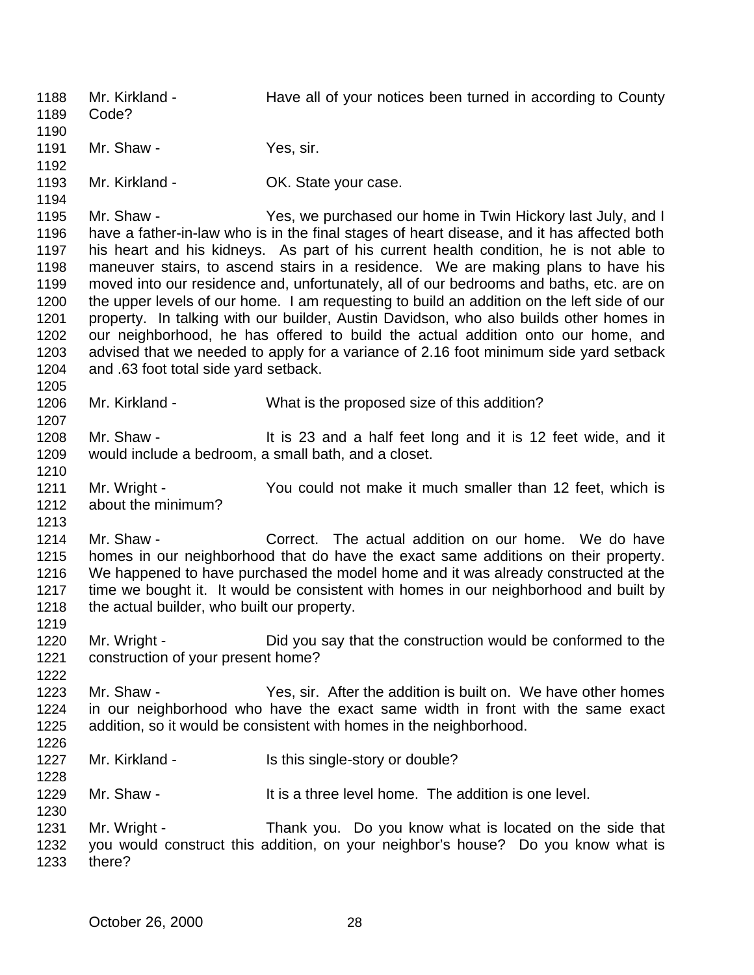Mr. Kirkland - Have all of your notices been turned in according to County Code? 1191 Mr. Shaw - Yes, sir. 1193 Mr. Kirkland - **OK. State your case.**  1195 Mr. Shaw - Yes, we purchased our home in Twin Hickory last July, and I have a father-in-law who is in the final stages of heart disease, and it has affected both his heart and his kidneys. As part of his current health condition, he is not able to maneuver stairs, to ascend stairs in a residence. We are making plans to have his moved into our residence and, unfortunately, all of our bedrooms and baths, etc. are on the upper levels of our home. I am requesting to build an addition on the left side of our property. In talking with our builder, Austin Davidson, who also builds other homes in our neighborhood, he has offered to build the actual addition onto our home, and advised that we needed to apply for a variance of 2.16 foot minimum side yard setback and .63 foot total side yard setback. Mr. Kirkland - What is the proposed size of this addition? Mr. Shaw - It is 23 and a half feet long and it is 12 feet wide, and it would include a bedroom, a small bath, and a closet. 1211 Mr. Wright - You could not make it much smaller than 12 feet, which is about the minimum? Mr. Shaw - Correct. The actual addition on our home. We do have homes in our neighborhood that do have the exact same additions on their property. We happened to have purchased the model home and it was already constructed at the time we bought it. It would be consistent with homes in our neighborhood and built by 1218 the actual builder, who built our property. Mr. Wright - Did you say that the construction would be conformed to the construction of your present home? Mr. Shaw - Yes, sir. After the addition is built on. We have other homes in our neighborhood who have the exact same width in front with the same exact addition, so it would be consistent with homes in the neighborhood. 1227 Mr. Kirkland - Is this single-story or double? 1229 Mr. Shaw - It is a three level home. The addition is one level. Mr. Wright - Thank you. Do you know what is located on the side that you would construct this addition, on your neighbor's house? Do you know what is there?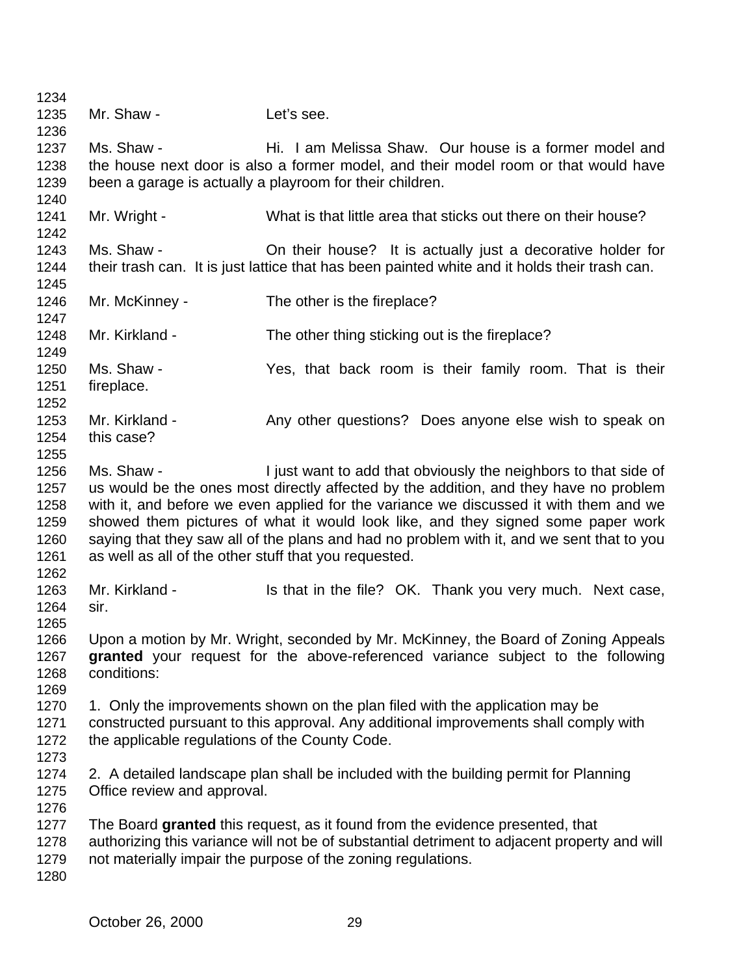1235 Mr. Shaw - Let's see. Ms. Shaw - Hi. I am Melissa Shaw. Our house is a former model and the house next door is also a former model, and their model room or that would have been a garage is actually a playroom for their children. 1241 Mr. Wright - What is that little area that sticks out there on their house? Ms. Shaw - On their house? It is actually just a decorative holder for their trash can. It is just lattice that has been painted white and it holds their trash can. Mr. McKinney - The other is the fireplace? Mr. Kirkland - The other thing sticking out is the fireplace? Ms. Shaw - Yes, that back room is their family room. That is their fireplace. 1253 Mr. Kirkland - Any other questions? Does anyone else wish to speak on this case? Ms. Shaw - I just want to add that obviously the neighbors to that side of us would be the ones most directly affected by the addition, and they have no problem with it, and before we even applied for the variance we discussed it with them and we showed them pictures of what it would look like, and they signed some paper work saying that they saw all of the plans and had no problem with it, and we sent that to you as well as all of the other stuff that you requested. 1263 Mr. Kirkland - Is that in the file? OK. Thank you very much. Next case, sir. Upon a motion by Mr. Wright, seconded by Mr. McKinney, the Board of Zoning Appeals **granted** your request for the above-referenced variance subject to the following conditions: 1270 1. Only the improvements shown on the plan filed with the application may be constructed pursuant to this approval. Any additional improvements shall comply with the applicable regulations of the County Code. 2. A detailed landscape plan shall be included with the building permit for Planning Office review and approval. The Board **granted** this request, as it found from the evidence presented, that authorizing this variance will not be of substantial detriment to adjacent property and will not materially impair the purpose of the zoning regulations.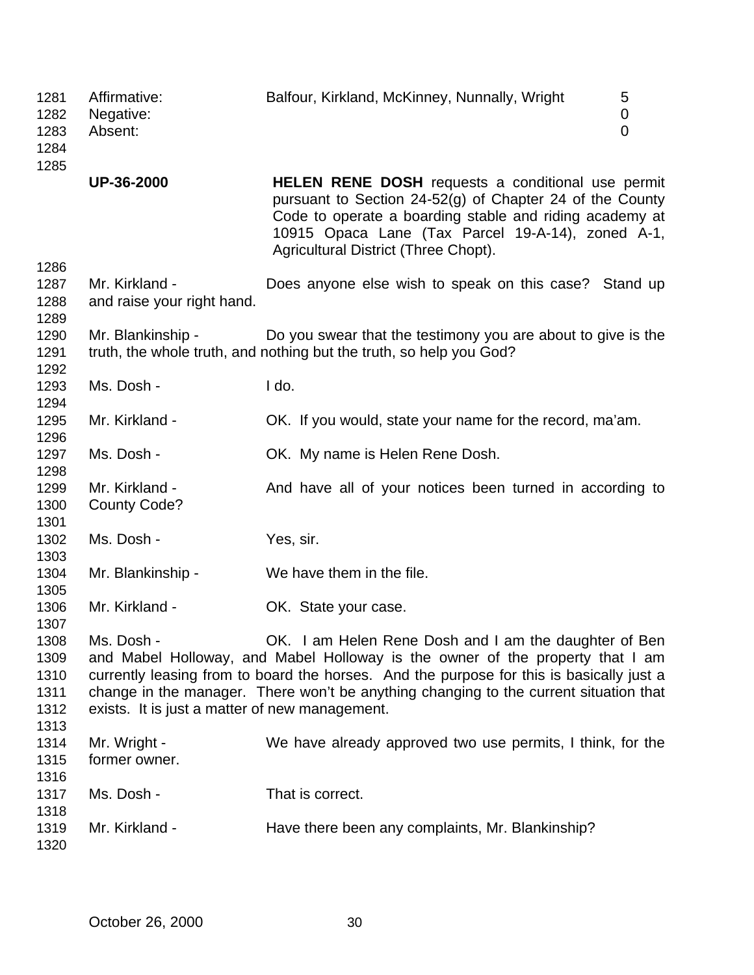| 1281<br>1282<br>1283<br>1284<br>1285 | Affirmative:<br>Negative:<br>Absent:           | Balfour, Kirkland, McKinney, Nunnally, Wright<br>5<br>$\mathbf 0$<br>$\overline{0}$                                                                                                                                                                                   |
|--------------------------------------|------------------------------------------------|-----------------------------------------------------------------------------------------------------------------------------------------------------------------------------------------------------------------------------------------------------------------------|
|                                      | UP-36-2000                                     | HELEN RENE DOSH requests a conditional use permit<br>pursuant to Section 24-52(g) of Chapter 24 of the County<br>Code to operate a boarding stable and riding academy at<br>10915 Opaca Lane (Tax Parcel 19-A-14), zoned A-1,<br>Agricultural District (Three Chopt). |
| 1286                                 |                                                |                                                                                                                                                                                                                                                                       |
| 1287                                 | Mr. Kirkland -                                 | Does anyone else wish to speak on this case? Stand up                                                                                                                                                                                                                 |
| 1288                                 | and raise your right hand.                     |                                                                                                                                                                                                                                                                       |
| 1289                                 |                                                |                                                                                                                                                                                                                                                                       |
| 1290                                 | Mr. Blankinship -                              | Do you swear that the testimony you are about to give is the                                                                                                                                                                                                          |
| 1291                                 |                                                | truth, the whole truth, and nothing but the truth, so help you God?                                                                                                                                                                                                   |
| 1292                                 |                                                |                                                                                                                                                                                                                                                                       |
| 1293                                 | Ms. Dosh -                                     | I do.                                                                                                                                                                                                                                                                 |
| 1294                                 |                                                |                                                                                                                                                                                                                                                                       |
|                                      | Mr. Kirkland -                                 |                                                                                                                                                                                                                                                                       |
| 1295                                 |                                                | OK. If you would, state your name for the record, ma'am.                                                                                                                                                                                                              |
| 1296                                 |                                                |                                                                                                                                                                                                                                                                       |
| 1297                                 | Ms. Dosh -                                     | OK. My name is Helen Rene Dosh.                                                                                                                                                                                                                                       |
| 1298                                 |                                                |                                                                                                                                                                                                                                                                       |
| 1299                                 | Mr. Kirkland -                                 | And have all of your notices been turned in according to                                                                                                                                                                                                              |
| 1300                                 | <b>County Code?</b>                            |                                                                                                                                                                                                                                                                       |
| 1301                                 |                                                |                                                                                                                                                                                                                                                                       |
| 1302                                 | Ms. Dosh -                                     | Yes, sir.                                                                                                                                                                                                                                                             |
| 1303                                 |                                                |                                                                                                                                                                                                                                                                       |
| 1304                                 | Mr. Blankinship -                              | We have them in the file.                                                                                                                                                                                                                                             |
| 1305                                 |                                                |                                                                                                                                                                                                                                                                       |
| 1306                                 | Mr. Kirkland -                                 | OK. State your case.                                                                                                                                                                                                                                                  |
| 1307                                 |                                                |                                                                                                                                                                                                                                                                       |
| 1308                                 | Ms. Dosh -                                     | OK. I am Helen Rene Dosh and I am the daughter of Ben                                                                                                                                                                                                                 |
| 1309                                 |                                                | and Mabel Holloway, and Mabel Holloway is the owner of the property that I am                                                                                                                                                                                         |
| 1310                                 |                                                | currently leasing from to board the horses. And the purpose for this is basically just a                                                                                                                                                                              |
| 1311                                 |                                                | change in the manager. There won't be anything changing to the current situation that                                                                                                                                                                                 |
| 1312                                 | exists. It is just a matter of new management. |                                                                                                                                                                                                                                                                       |
| 1313                                 |                                                |                                                                                                                                                                                                                                                                       |
| 1314                                 | Mr. Wright -                                   | We have already approved two use permits, I think, for the                                                                                                                                                                                                            |
| 1315                                 | former owner.                                  |                                                                                                                                                                                                                                                                       |
| 1316                                 |                                                |                                                                                                                                                                                                                                                                       |
| 1317                                 | Ms. Dosh -                                     | That is correct.                                                                                                                                                                                                                                                      |
| 1318                                 |                                                |                                                                                                                                                                                                                                                                       |
| 1319                                 | Mr. Kirkland -                                 | Have there been any complaints, Mr. Blankinship?                                                                                                                                                                                                                      |
| 1320                                 |                                                |                                                                                                                                                                                                                                                                       |
|                                      |                                                |                                                                                                                                                                                                                                                                       |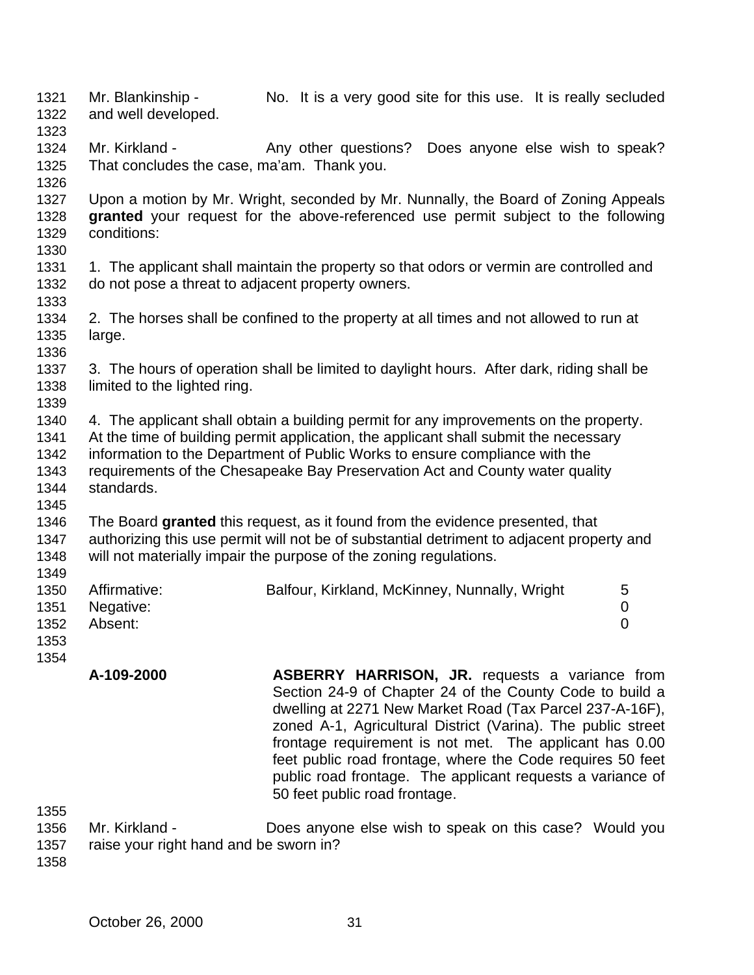Mr. Blankinship - No. It is a very good site for this use. It is really secluded and well developed. 

- 1324 Mr. Kirkland Any other questions? Does anyone else wish to speak? That concludes the case, ma'am. Thank you.
- Upon a motion by Mr. Wright, seconded by Mr. Nunnally, the Board of Zoning Appeals **granted** your request for the above-referenced use permit subject to the following conditions:
- 1331 1. The applicant shall maintain the property so that odors or vermin are controlled and do not pose a threat to adjacent property owners.
- 2. The horses shall be confined to the property at all times and not allowed to run at large.
- 3. The hours of operation shall be limited to daylight hours. After dark, riding shall be limited to the lighted ring.
- 4. The applicant shall obtain a building permit for any improvements on the property. At the time of building permit application, the applicant shall submit the necessary information to the Department of Public Works to ensure compliance with the requirements of the Chesapeake Bay Preservation Act and County water quality standards.
- The Board **granted** this request, as it found from the evidence presented, that authorizing this use permit will not be of substantial detriment to adjacent property and will not materially impair the purpose of the zoning regulations.
- 1350 Affirmative: Balfour, Kirkland, McKinney, Nunnally, Wright 5 Negative: 0 Absent: 0
- 

- 
- **A-109-2000 ASBERRY HARRISON, JR.** requests a variance from Section 24-9 of Chapter 24 of the County Code to build a dwelling at 2271 New Market Road (Tax Parcel 237-A-16F), zoned A-1, Agricultural District (Varina). The public street frontage requirement is not met. The applicant has 0.00 feet public road frontage, where the Code requires 50 feet public road frontage. The applicant requests a variance of 50 feet public road frontage.
- 
- Mr. Kirkland Does anyone else wish to speak on this case? Would you raise your right hand and be sworn in?
-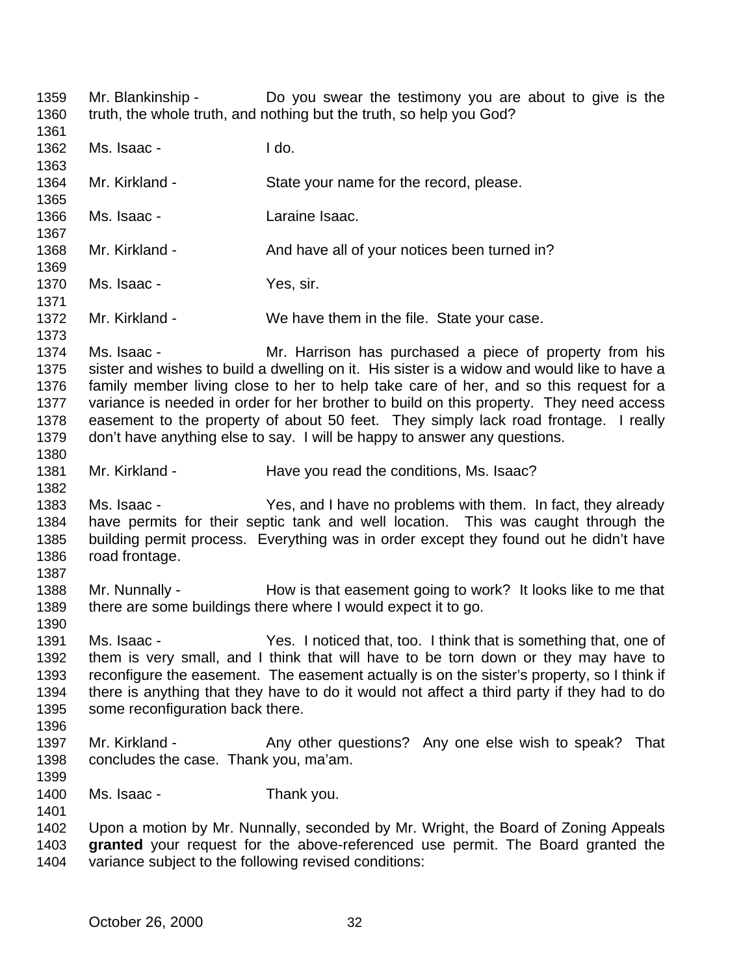Mr. Blankinship - Do you swear the testimony you are about to give is the truth, the whole truth, and nothing but the truth, so help you God? Ms. Isaac - I do. Mr. Kirkland - State your name for the record, please. Ms. Isaac - Laraine Isaac. 1368 Mr. Kirkland - And have all of your notices been turned in? Ms. Isaac - Yes, sir. 1372 Mr. Kirkland - We have them in the file. State your case. Ms. Isaac - Mr. Harrison has purchased a piece of property from his sister and wishes to build a dwelling on it. His sister is a widow and would like to have a family member living close to her to help take care of her, and so this request for a 1377 variance is needed in order for her brother to build on this property. They need access easement to the property of about 50 feet. They simply lack road frontage. I really don't have anything else to say. I will be happy to answer any questions. Mr. Kirkland - Have you read the conditions, Ms. Isaac? Ms. Isaac - Yes, and I have no problems with them. In fact, they already have permits for their septic tank and well location. This was caught through the building permit process. Everything was in order except they found out he didn't have road frontage. 1388 Mr. Nunnally - How is that easement going to work? It looks like to me that there are some buildings there where I would expect it to go. Ms. Isaac - Yes. I noticed that, too. I think that is something that, one of them is very small, and I think that will have to be torn down or they may have to reconfigure the easement. The easement actually is on the sister's property, so I think if there is anything that they have to do it would not affect a third party if they had to do some reconfiguration back there. 1397 Mr. Kirkland - Any other questions? Any one else wish to speak? That concludes the case. Thank you, ma'am. Ms. Isaac - Thank you. Upon a motion by Mr. Nunnally, seconded by Mr. Wright, the Board of Zoning Appeals **granted** your request for the above-referenced use permit. The Board granted the variance subject to the following revised conditions: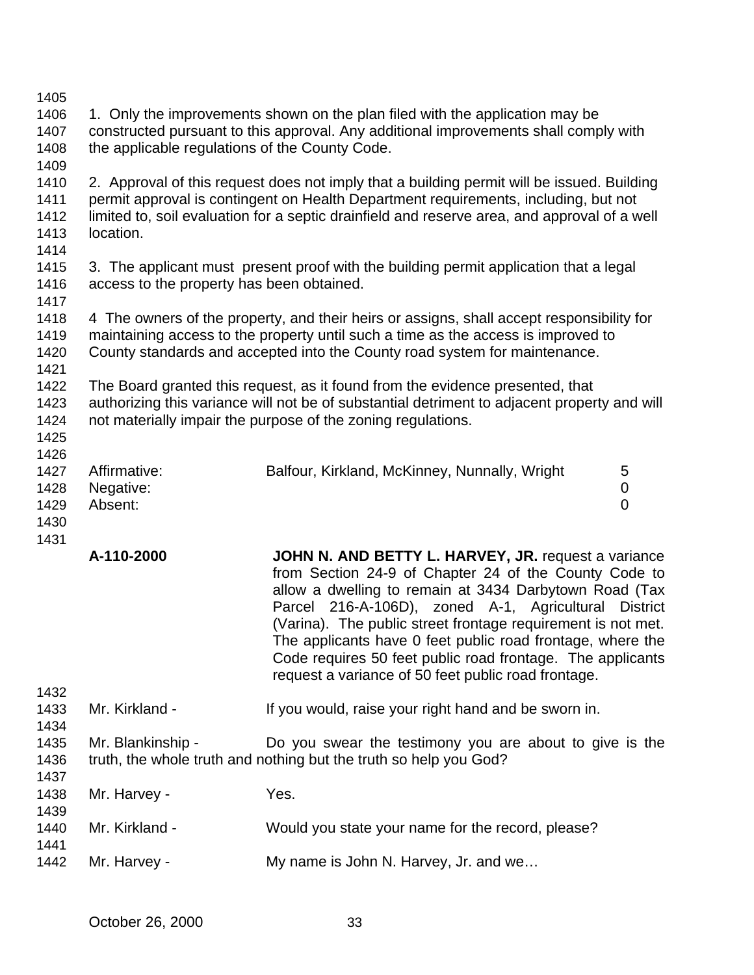| 1405<br>1406<br>1407<br>1408         | the applicable regulations of the County Code. | 1. Only the improvements shown on the plan filed with the application may be<br>constructed pursuant to this approval. Any additional improvements shall comply with                                                                                                                                                                                                                                                                                                     |                                  |
|--------------------------------------|------------------------------------------------|--------------------------------------------------------------------------------------------------------------------------------------------------------------------------------------------------------------------------------------------------------------------------------------------------------------------------------------------------------------------------------------------------------------------------------------------------------------------------|----------------------------------|
| 1409<br>1410<br>1411<br>1412<br>1413 | location.                                      | 2. Approval of this request does not imply that a building permit will be issued. Building<br>permit approval is contingent on Health Department requirements, including, but not<br>limited to, soil evaluation for a septic drainfield and reserve area, and approval of a well                                                                                                                                                                                        |                                  |
| 1414<br>1415<br>1416<br>1417         | access to the property has been obtained.      | 3. The applicant must present proof with the building permit application that a legal                                                                                                                                                                                                                                                                                                                                                                                    |                                  |
| 1418<br>1419<br>1420<br>1421         |                                                | 4 The owners of the property, and their heirs or assigns, shall accept responsibility for<br>maintaining access to the property until such a time as the access is improved to<br>County standards and accepted into the County road system for maintenance.                                                                                                                                                                                                             |                                  |
| 1422<br>1423<br>1424<br>1425         |                                                | The Board granted this request, as it found from the evidence presented, that<br>authorizing this variance will not be of substantial detriment to adjacent property and will<br>not materially impair the purpose of the zoning regulations.                                                                                                                                                                                                                            |                                  |
| 1426<br>1427<br>1428<br>1429<br>1430 | Affirmative:<br>Negative:<br>Absent:           | Balfour, Kirkland, McKinney, Nunnally, Wright                                                                                                                                                                                                                                                                                                                                                                                                                            | 5<br>$\pmb{0}$<br>$\overline{0}$ |
| 1431                                 | A-110-2000                                     | JOHN N. AND BETTY L. HARVEY, JR. request a variance<br>from Section 24-9 of Chapter 24 of the County Code to<br>allow a dwelling to remain at 3434 Darbytown Road (Tax<br>Parcel 216-A-106D), zoned A-1, Agricultural<br>(Varina). The public street frontage requirement is not met.<br>The applicants have 0 feet public road frontage, where the<br>Code requires 50 feet public road frontage. The applicants<br>request a variance of 50 feet public road frontage. | <b>District</b>                  |
| 1432<br>1433<br>1434<br>1435<br>1436 | Mr. Kirkland -                                 | If you would, raise your right hand and be sworn in.                                                                                                                                                                                                                                                                                                                                                                                                                     |                                  |
|                                      | Mr. Blankinship -                              | Do you swear the testimony you are about to give is the<br>truth, the whole truth and nothing but the truth so help you God?                                                                                                                                                                                                                                                                                                                                             |                                  |
| 1437<br>1438<br>1439                 | Mr. Harvey -                                   | Yes.                                                                                                                                                                                                                                                                                                                                                                                                                                                                     |                                  |
| 1440<br>1441                         | Mr. Kirkland -                                 | Would you state your name for the record, please?                                                                                                                                                                                                                                                                                                                                                                                                                        |                                  |
| 1442                                 | Mr. Harvey -                                   | My name is John N. Harvey, Jr. and we                                                                                                                                                                                                                                                                                                                                                                                                                                    |                                  |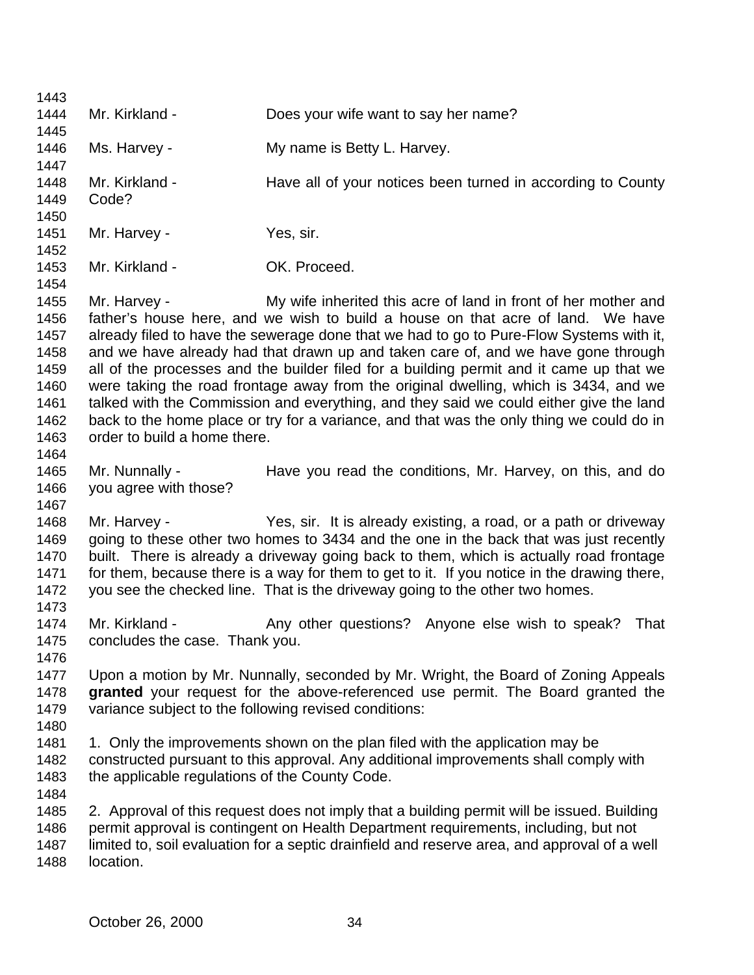Mr. Kirkland - Does your wife want to say her name? Ms. Harvey - My name is Betty L. Harvey. 1448 Mr. Kirkland - Have all of your notices been turned in according to County Code? 1451 Mr. Harvey - Yes, sir. Mr. Kirkland - OK. Proceed. Mr. Harvey - My wife inherited this acre of land in front of her mother and father's house here, and we wish to build a house on that acre of land. We have already filed to have the sewerage done that we had to go to Pure-Flow Systems with it, and we have already had that drawn up and taken care of, and we have gone through all of the processes and the builder filed for a building permit and it came up that we were taking the road frontage away from the original dwelling, which is 3434, and we talked with the Commission and everything, and they said we could either give the land back to the home place or try for a variance, and that was the only thing we could do in order to build a home there. Mr. Nunnally - Have you read the conditions, Mr. Harvey, on this, and do you agree with those? Mr. Harvey - Yes, sir. It is already existing, a road, or a path or driveway going to these other two homes to 3434 and the one in the back that was just recently built. There is already a driveway going back to them, which is actually road frontage for them, because there is a way for them to get to it. If you notice in the drawing there, you see the checked line. That is the driveway going to the other two homes. 1474 Mr. Kirkland - Any other questions? Anyone else wish to speak? That concludes the case. Thank you. Upon a motion by Mr. Nunnally, seconded by Mr. Wright, the Board of Zoning Appeals **granted** your request for the above-referenced use permit. The Board granted the variance subject to the following revised conditions: 1. Only the improvements shown on the plan filed with the application may be constructed pursuant to this approval. Any additional improvements shall comply with 1483 the applicable regulations of the County Code. 2. Approval of this request does not imply that a building permit will be issued. Building permit approval is contingent on Health Department requirements, including, but not limited to, soil evaluation for a septic drainfield and reserve area, and approval of a well location.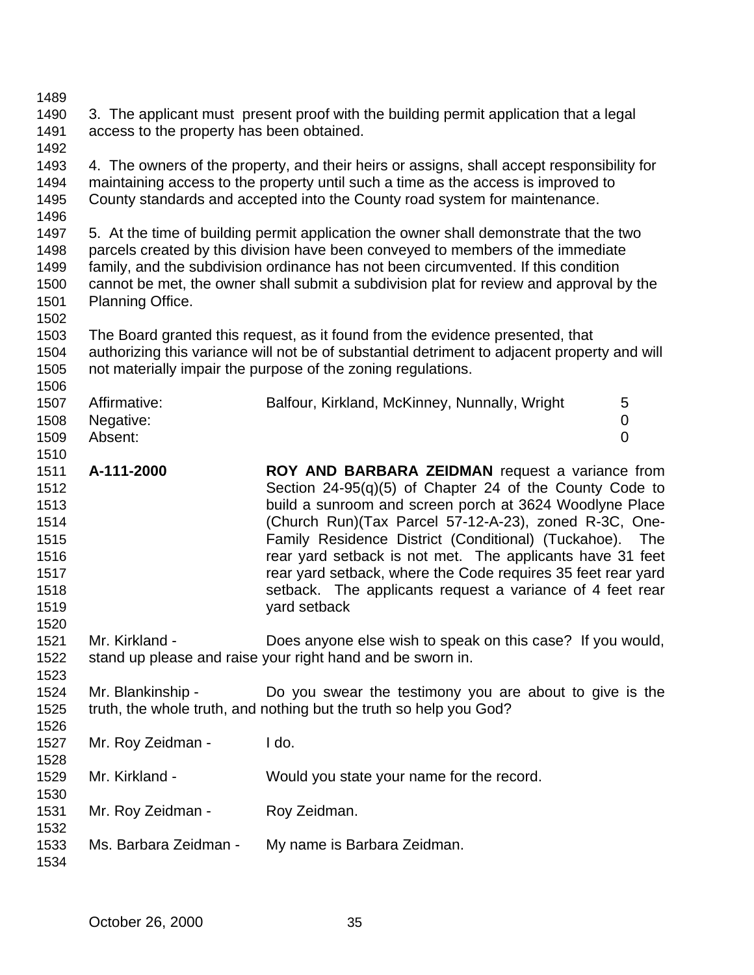| 1489 |                                           |                                                                                              |  |
|------|-------------------------------------------|----------------------------------------------------------------------------------------------|--|
| 1490 |                                           | 3. The applicant must present proof with the building permit application that a legal        |  |
| 1491 | access to the property has been obtained. |                                                                                              |  |
| 1492 |                                           |                                                                                              |  |
| 1493 |                                           | 4. The owners of the property, and their heirs or assigns, shall accept responsibility for   |  |
| 1494 |                                           | maintaining access to the property until such a time as the access is improved to            |  |
| 1495 |                                           | County standards and accepted into the County road system for maintenance.                   |  |
| 1496 |                                           |                                                                                              |  |
| 1497 |                                           | 5. At the time of building permit application the owner shall demonstrate that the two       |  |
| 1498 |                                           | parcels created by this division have been conveyed to members of the immediate              |  |
| 1499 |                                           | family, and the subdivision ordinance has not been circumvented. If this condition           |  |
| 1500 |                                           | cannot be met, the owner shall submit a subdivision plat for review and approval by the      |  |
| 1501 | Planning Office.                          |                                                                                              |  |
| 1502 |                                           |                                                                                              |  |
| 1503 |                                           | The Board granted this request, as it found from the evidence presented, that                |  |
| 1504 |                                           | authorizing this variance will not be of substantial detriment to adjacent property and will |  |
| 1505 |                                           | not materially impair the purpose of the zoning regulations.                                 |  |
| 1506 |                                           |                                                                                              |  |
| 1507 | Affirmative:                              | Balfour, Kirkland, McKinney, Nunnally, Wright<br>5                                           |  |
| 1508 | Negative:                                 | 0                                                                                            |  |
| 1509 | Absent:                                   | $\overline{0}$                                                                               |  |
| 1510 |                                           |                                                                                              |  |
| 1511 | A-111-2000                                | ROY AND BARBARA ZEIDMAN request a variance from                                              |  |
| 1512 |                                           | Section $24-95(q)(5)$ of Chapter 24 of the County Code to                                    |  |
| 1513 |                                           | build a sunroom and screen porch at 3624 Woodlyne Place                                      |  |
| 1514 |                                           | (Church Run)(Tax Parcel 57-12-A-23), zoned R-3C, One-                                        |  |
| 1515 |                                           | Family Residence District (Conditional) (Tuckahoe).<br>The                                   |  |
| 1516 |                                           | rear yard setback is not met. The applicants have 31 feet                                    |  |
| 1517 |                                           | rear yard setback, where the Code requires 35 feet rear yard                                 |  |
| 1518 |                                           | setback. The applicants request a variance of 4 feet rear                                    |  |
| 1519 |                                           | yard setback                                                                                 |  |
| 1520 |                                           |                                                                                              |  |
| 1521 | Mr. Kirkland -                            | Does anyone else wish to speak on this case? If you would,                                   |  |
| 1522 |                                           | stand up please and raise your right hand and be sworn in.                                   |  |
| 1523 |                                           |                                                                                              |  |
| 1524 | Mr. Blankinship -                         | Do you swear the testimony you are about to give is the                                      |  |
| 1525 |                                           | truth, the whole truth, and nothing but the truth so help you God?                           |  |
| 1526 |                                           |                                                                                              |  |
| 1527 | Mr. Roy Zeidman -                         | I do.                                                                                        |  |
| 1528 |                                           |                                                                                              |  |
| 1529 | Mr. Kirkland -                            | Would you state your name for the record.                                                    |  |
| 1530 |                                           |                                                                                              |  |
| 1531 | Mr. Roy Zeidman -                         | Roy Zeidman.                                                                                 |  |
| 1532 |                                           |                                                                                              |  |
| 1533 | Ms. Barbara Zeidman -                     | My name is Barbara Zeidman.                                                                  |  |
| 1534 |                                           |                                                                                              |  |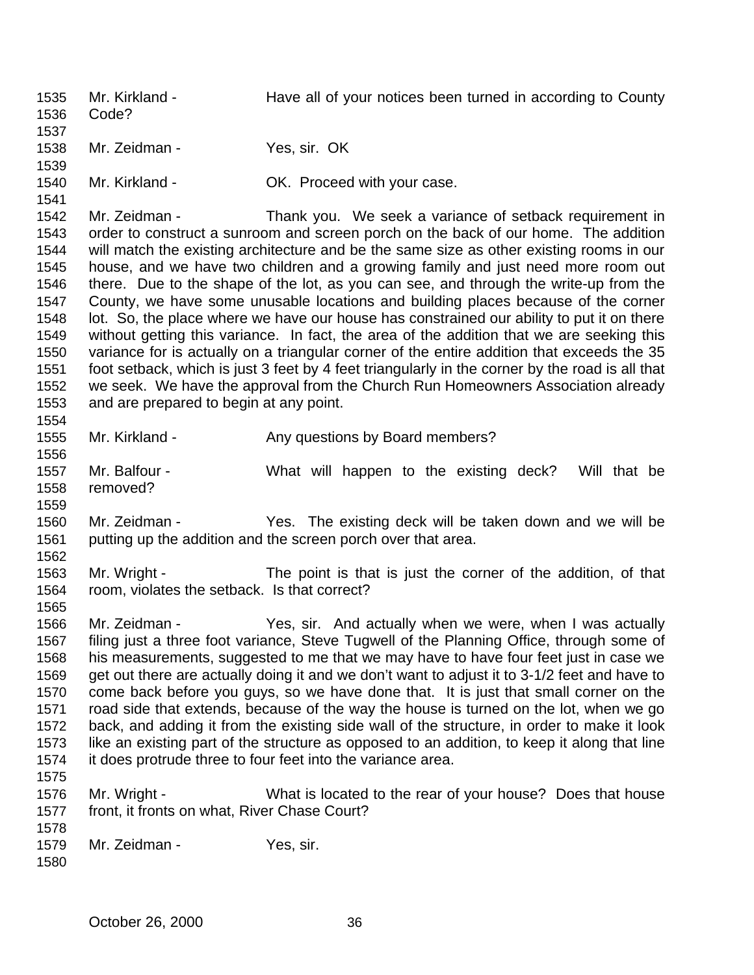Mr. Kirkland - Have all of your notices been turned in according to County Code? Mr. Zeidman - Yes, sir. OK Mr. Kirkland - OK. Proceed with your case. Mr. Zeidman - Thank you. We seek a variance of setback requirement in order to construct a sunroom and screen porch on the back of our home. The addition will match the existing architecture and be the same size as other existing rooms in our house, and we have two children and a growing family and just need more room out there. Due to the shape of the lot, as you can see, and through the write-up from the County, we have some unusable locations and building places because of the corner lot. So, the place where we have our house has constrained our ability to put it on there without getting this variance. In fact, the area of the addition that we are seeking this variance for is actually on a triangular corner of the entire addition that exceeds the 35 foot setback, which is just 3 feet by 4 feet triangularly in the corner by the road is all that we seek. We have the approval from the Church Run Homeowners Association already and are prepared to begin at any point. 1555 Mr. Kirkland - Any questions by Board members? Mr. Balfour - What will happen to the existing deck? Will that be removed? Mr. Zeidman - Yes. The existing deck will be taken down and we will be putting up the addition and the screen porch over that area. Mr. Wright - The point is that is just the corner of the addition, of that room, violates the setback. Is that correct? Mr. Zeidman - Yes, sir. And actually when we were, when I was actually filing just a three foot variance, Steve Tugwell of the Planning Office, through some of his measurements, suggested to me that we may have to have four feet just in case we get out there are actually doing it and we don't want to adjust it to 3-1/2 feet and have to come back before you guys, so we have done that. It is just that small corner on the road side that extends, because of the way the house is turned on the lot, when we go back, and adding it from the existing side wall of the structure, in order to make it look like an existing part of the structure as opposed to an addition, to keep it along that line it does protrude three to four feet into the variance area. Mr. Wright - What is located to the rear of your house? Does that house front, it fronts on what, River Chase Court? 1579 Mr. Zeidman - Yes, sir.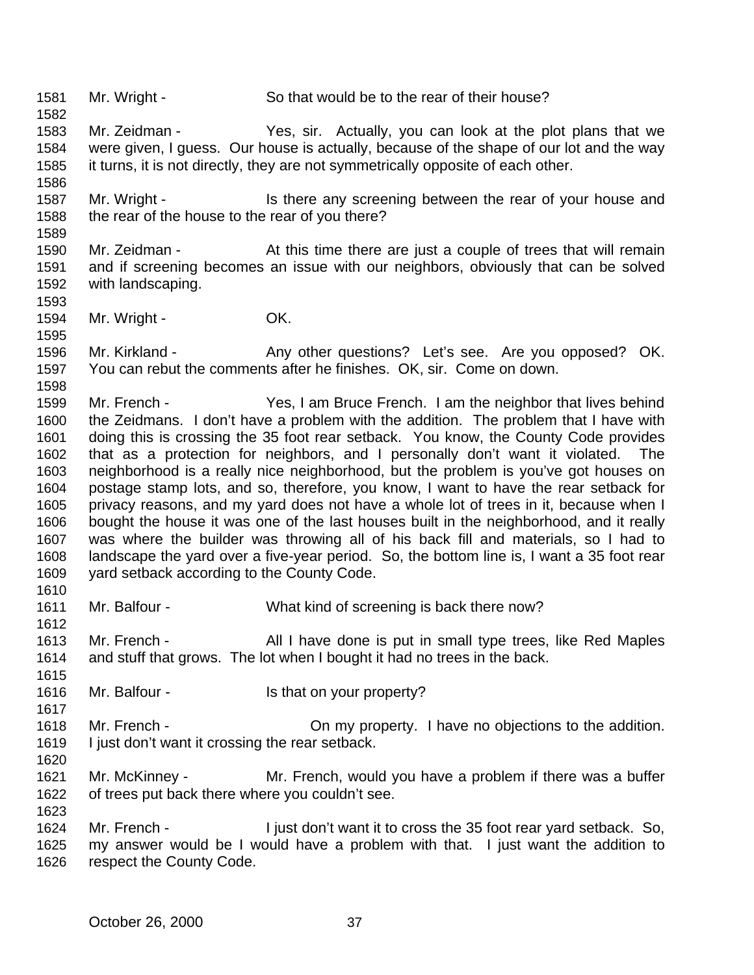Mr. Wright - So that would be to the rear of their house?

 Mr. Zeidman - Yes, sir. Actually, you can look at the plot plans that we were given, I guess. Our house is actually, because of the shape of our lot and the way it turns, it is not directly, they are not symmetrically opposite of each other.

1587 Mr. Wright - Is there any screening between the rear of your house and the rear of the house to the rear of you there?

 Mr. Zeidman - At this time there are just a couple of trees that will remain and if screening becomes an issue with our neighbors, obviously that can be solved with landscaping.

1594 Mr. Wright - **OK.** 

1596 Mr. Kirkland - Any other questions? Let's see. Are you opposed? OK. You can rebut the comments after he finishes. OK, sir. Come on down.

 Mr. French - Yes, I am Bruce French. I am the neighbor that lives behind the Zeidmans. I don't have a problem with the addition. The problem that I have with doing this is crossing the 35 foot rear setback. You know, the County Code provides that as a protection for neighbors, and I personally don't want it violated. The neighborhood is a really nice neighborhood, but the problem is you've got houses on postage stamp lots, and so, therefore, you know, I want to have the rear setback for privacy reasons, and my yard does not have a whole lot of trees in it, because when I bought the house it was one of the last houses built in the neighborhood, and it really was where the builder was throwing all of his back fill and materials, so I had to landscape the yard over a five-year period. So, the bottom line is, I want a 35 foot rear yard setback according to the County Code. 

 Mr. Balfour - What kind of screening is back there now? 

 Mr. French - All I have done is put in small type trees, like Red Maples and stuff that grows. The lot when I bought it had no trees in the back.

- 1616 Mr. Balfour Is that on your property?
- Mr. French On my property. I have no objections to the addition. I just don't want it crossing the rear setback.
- Mr. McKinney Mr. French, would you have a problem if there was a buffer of trees put back there where you couldn't see.

 Mr. French - I just don't want it to cross the 35 foot rear yard setback. So, my answer would be I would have a problem with that. I just want the addition to respect the County Code.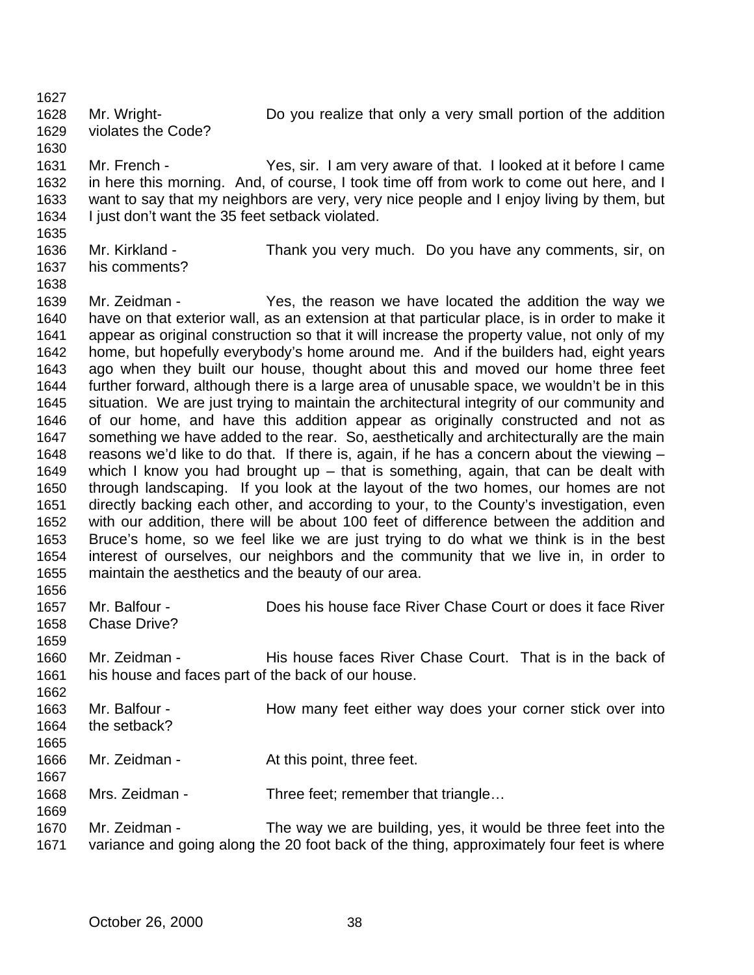Mr. Wright- Do you realize that only a very small portion of the addition violates the Code?

 Mr. French - Yes, sir. I am very aware of that. I looked at it before I came in here this morning. And, of course, I took time off from work to come out here, and I want to say that my neighbors are very, very nice people and I enjoy living by them, but I just don't want the 35 feet setback violated.

- Mr. Kirkland Thank you very much. Do you have any comments, sir, on his comments?
- 

 Mr. Zeidman - Yes, the reason we have located the addition the way we have on that exterior wall, as an extension at that particular place, is in order to make it appear as original construction so that it will increase the property value, not only of my home, but hopefully everybody's home around me. And if the builders had, eight years ago when they built our house, thought about this and moved our home three feet further forward, although there is a large area of unusable space, we wouldn't be in this situation. We are just trying to maintain the architectural integrity of our community and of our home, and have this addition appear as originally constructed and not as something we have added to the rear. So, aesthetically and architecturally are the main reasons we'd like to do that. If there is, again, if he has a concern about the viewing – which I know you had brought up – that is something, again, that can be dealt with through landscaping. If you look at the layout of the two homes, our homes are not directly backing each other, and according to your, to the County's investigation, even with our addition, there will be about 100 feet of difference between the addition and Bruce's home, so we feel like we are just trying to do what we think is in the best interest of ourselves, our neighbors and the community that we live in, in order to maintain the aesthetics and the beauty of our area. 

- Mr. Balfour Does his house face River Chase Court or does it face River Chase Drive? Mr. Zeidman - His house faces River Chase Court. That is in the back of his house and faces part of the back of our house. 1663 Mr. Balfour - How many feet either way does your corner stick over into the setback? 1666 Mr. Zeidman - At this point, three feet. 1668 Mrs. Zeidman - Three feet; remember that triangle...
- Mr. Zeidman The way we are building, yes, it would be three feet into the variance and going along the 20 foot back of the thing, approximately four feet is where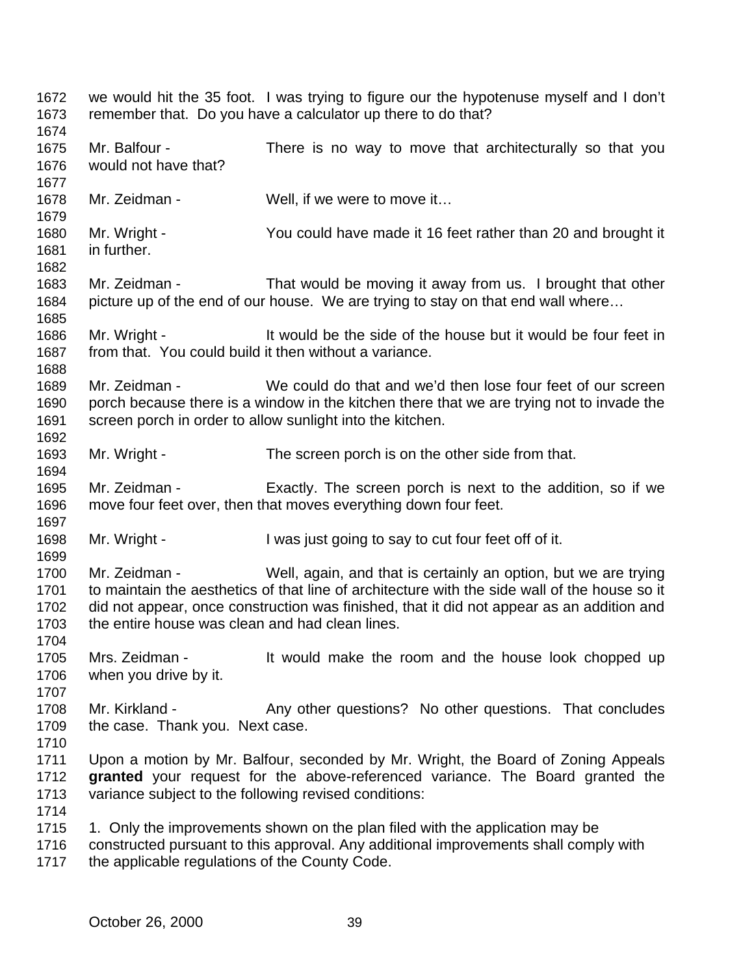| 1672<br>1673<br>1674                 |                                                                  | we would hit the 35 foot. I was trying to figure our the hypotenuse myself and I don't<br>remember that. Do you have a calculator up there to do that?                                                                                                        |
|--------------------------------------|------------------------------------------------------------------|---------------------------------------------------------------------------------------------------------------------------------------------------------------------------------------------------------------------------------------------------------------|
| 1675<br>1676<br>1677                 | Mr. Balfour -<br>would not have that?                            | There is no way to move that architecturally so that you                                                                                                                                                                                                      |
| 1678<br>1679                         | Mr. Zeidman -                                                    | Well, if we were to move it                                                                                                                                                                                                                                   |
| 1680<br>1681<br>1682                 | Mr. Wright -<br>in further.                                      | You could have made it 16 feet rather than 20 and brought it                                                                                                                                                                                                  |
| 1683<br>1684<br>1685                 | Mr. Zeidman -                                                    | That would be moving it away from us. I brought that other<br>picture up of the end of our house. We are trying to stay on that end wall where                                                                                                                |
| 1686<br>1687<br>1688                 | Mr. Wright -                                                     | It would be the side of the house but it would be four feet in<br>from that. You could build it then without a variance.                                                                                                                                      |
| 1689<br>1690<br>1691<br>1692         | Mr. Zeidman -                                                    | We could do that and we'd then lose four feet of our screen<br>porch because there is a window in the kitchen there that we are trying not to invade the<br>screen porch in order to allow sunlight into the kitchen.                                         |
| 1693<br>1694                         | Mr. Wright -                                                     | The screen porch is on the other side from that.                                                                                                                                                                                                              |
| 1695<br>1696<br>1697                 | Mr. Zeidman -                                                    | Exactly. The screen porch is next to the addition, so if we<br>move four feet over, then that moves everything down four feet.                                                                                                                                |
| 1698<br>1699                         | Mr. Wright -                                                     | I was just going to say to cut four feet off of it.                                                                                                                                                                                                           |
| 1700<br>1701<br>1702<br>1703<br>1704 | Mr. Zeidman -<br>the entire house was clean and had clean lines. | Well, again, and that is certainly an option, but we are trying<br>to maintain the aesthetics of that line of architecture with the side wall of the house so it<br>did not appear, once construction was finished, that it did not appear as an addition and |
| 1705<br>1706<br>1707                 | Mrs. Zeidman -<br>when you drive by it.                          | It would make the room and the house look chopped up                                                                                                                                                                                                          |
| 1708<br>1709<br>1710                 | Mr. Kirkland -<br>the case. Thank you. Next case.                | Any other questions? No other questions. That concludes                                                                                                                                                                                                       |
| 1711<br>1712<br>1713<br>1714         | variance subject to the following revised conditions:            | Upon a motion by Mr. Balfour, seconded by Mr. Wright, the Board of Zoning Appeals<br>granted your request for the above-referenced variance. The Board granted the                                                                                            |
| 1715<br>1716<br>1717                 | the applicable regulations of the County Code.                   | 1. Only the improvements shown on the plan filed with the application may be<br>constructed pursuant to this approval. Any additional improvements shall comply with                                                                                          |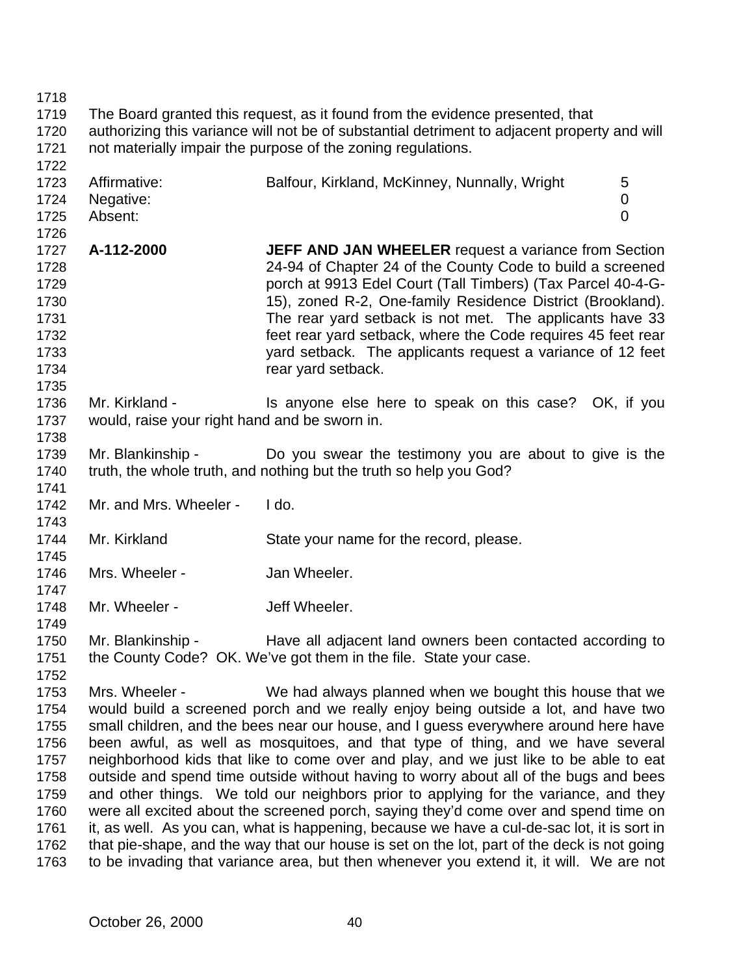| 1718 |                                                                                              |                                                                                             |                |
|------|----------------------------------------------------------------------------------------------|---------------------------------------------------------------------------------------------|----------------|
| 1719 | The Board granted this request, as it found from the evidence presented, that                |                                                                                             |                |
| 1720 | authorizing this variance will not be of substantial detriment to adjacent property and will |                                                                                             |                |
| 1721 |                                                                                              | not materially impair the purpose of the zoning regulations.                                |                |
| 1722 |                                                                                              |                                                                                             |                |
| 1723 | Affirmative:                                                                                 | Balfour, Kirkland, McKinney, Nunnally, Wright                                               | 5              |
| 1724 | Negative:                                                                                    |                                                                                             | 0              |
| 1725 | Absent:                                                                                      |                                                                                             | $\overline{0}$ |
| 1726 |                                                                                              |                                                                                             |                |
| 1727 | A-112-2000                                                                                   | <b>JEFF AND JAN WHEELER</b> request a variance from Section                                 |                |
| 1728 |                                                                                              | 24-94 of Chapter 24 of the County Code to build a screened                                  |                |
| 1729 |                                                                                              | porch at 9913 Edel Court (Tall Timbers) (Tax Parcel 40-4-G-                                 |                |
| 1730 |                                                                                              | 15), zoned R-2, One-family Residence District (Brookland).                                  |                |
| 1731 |                                                                                              | The rear yard setback is not met. The applicants have 33                                    |                |
| 1732 |                                                                                              | feet rear yard setback, where the Code requires 45 feet rear                                |                |
|      |                                                                                              |                                                                                             |                |
| 1733 |                                                                                              | yard setback. The applicants request a variance of 12 feet                                  |                |
| 1734 |                                                                                              | rear yard setback.                                                                          |                |
| 1735 |                                                                                              |                                                                                             |                |
| 1736 | Mr. Kirkland -                                                                               | Is anyone else here to speak on this case? OK, if you                                       |                |
| 1737 | would, raise your right hand and be sworn in.                                                |                                                                                             |                |
| 1738 |                                                                                              |                                                                                             |                |
| 1739 | Mr. Blankinship -                                                                            | Do you swear the testimony you are about to give is the                                     |                |
| 1740 |                                                                                              | truth, the whole truth, and nothing but the truth so help you God?                          |                |
| 1741 |                                                                                              |                                                                                             |                |
| 1742 | Mr. and Mrs. Wheeler -                                                                       | I do.                                                                                       |                |
| 1743 |                                                                                              |                                                                                             |                |
| 1744 | Mr. Kirkland                                                                                 | State your name for the record, please.                                                     |                |
| 1745 |                                                                                              |                                                                                             |                |
| 1746 | Mrs. Wheeler -                                                                               | Jan Wheeler.                                                                                |                |
| 1747 |                                                                                              |                                                                                             |                |
| 1748 | Mr. Wheeler -                                                                                | Jeff Wheeler.                                                                               |                |
| 1749 |                                                                                              |                                                                                             |                |
| 1750 |                                                                                              | Mr. Blankinship - The Have all adjacent land owners been contacted according to             |                |
| 1751 |                                                                                              | the County Code? OK. We've got them in the file. State your case.                           |                |
| 1752 |                                                                                              |                                                                                             |                |
| 1753 | Mrs. Wheeler -                                                                               | We had always planned when we bought this house that we                                     |                |
| 1754 |                                                                                              | would build a screened porch and we really enjoy being outside a lot, and have two          |                |
| 1755 |                                                                                              | small children, and the bees near our house, and I guess everywhere around here have        |                |
| 1756 |                                                                                              | been awful, as well as mosquitoes, and that type of thing, and we have several              |                |
| 1757 |                                                                                              | neighborhood kids that like to come over and play, and we just like to be able to eat       |                |
| 1758 |                                                                                              | outside and spend time outside without having to worry about all of the bugs and bees       |                |
| 1759 |                                                                                              | and other things. We told our neighbors prior to applying for the variance, and they        |                |
| 1760 |                                                                                              | were all excited about the screened porch, saying they'd come over and spend time on        |                |
| 1761 |                                                                                              | it, as well. As you can, what is happening, because we have a cul-de-sac lot, it is sort in |                |
| 1762 |                                                                                              | that pie-shape, and the way that our house is set on the lot, part of the deck is not going |                |
| 1763 |                                                                                              | to be invading that variance area, but then whenever you extend it, it will. We are not     |                |
|      |                                                                                              |                                                                                             |                |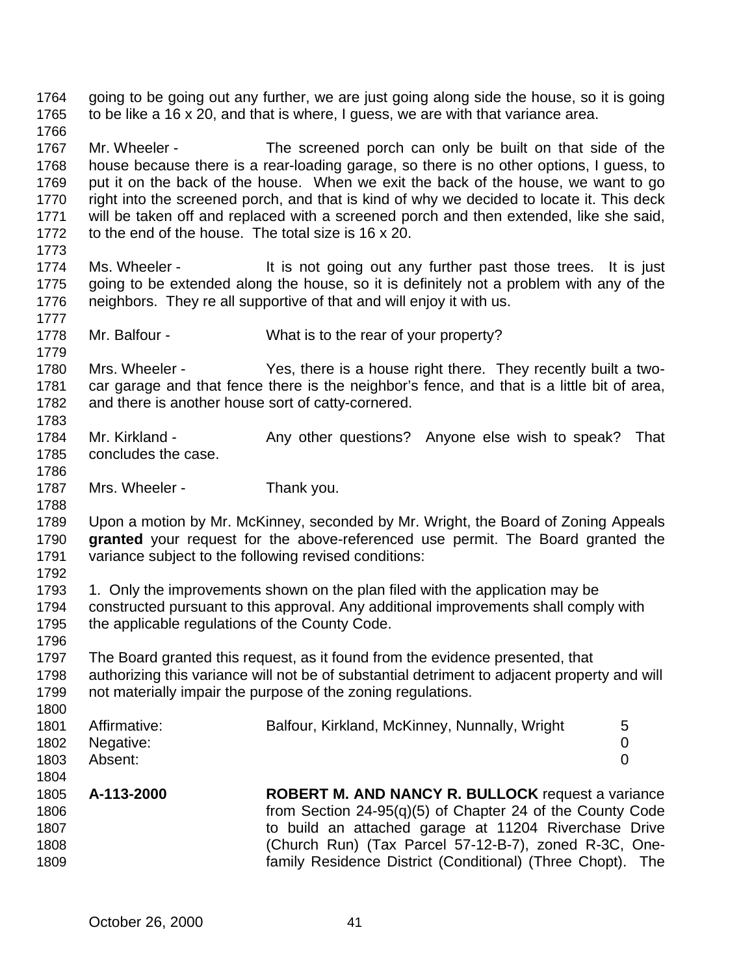going to be going out any further, we are just going along side the house, so it is going to be like a 16 x 20, and that is where, I guess, we are with that variance area. Mr. Wheeler - The screened porch can only be built on that side of the house because there is a rear-loading garage, so there is no other options, I guess, to put it on the back of the house. When we exit the back of the house, we want to go right into the screened porch, and that is kind of why we decided to locate it. This deck will be taken off and replaced with a screened porch and then extended, like she said, to the end of the house. The total size is 16 x 20. 1774 Ms. Wheeler - It is not going out any further past those trees. It is just going to be extended along the house, so it is definitely not a problem with any of the neighbors. They re all supportive of that and will enjoy it with us. Mr. Balfour - What is to the rear of your property? Mrs. Wheeler - Yes, there is a house right there. They recently built a two- car garage and that fence there is the neighbor's fence, and that is a little bit of area, and there is another house sort of catty-cornered. 1784 Mr. Kirkland - Any other questions? Anyone else wish to speak? That concludes the case. 1787 Mrs. Wheeler - Thank you. Upon a motion by Mr. McKinney, seconded by Mr. Wright, the Board of Zoning Appeals **granted** your request for the above-referenced use permit. The Board granted the variance subject to the following revised conditions: 1. Only the improvements shown on the plan filed with the application may be constructed pursuant to this approval. Any additional improvements shall comply with the applicable regulations of the County Code. The Board granted this request, as it found from the evidence presented, that authorizing this variance will not be of substantial detriment to adjacent property and will not materially impair the purpose of the zoning regulations. 1801 Affirmative: Balfour, Kirkland, McKinney, Nunnally, Wright 5 Negative: 0 Absent: 0 **A-113-2000 ROBERT M. AND NANCY R. BULLOCK** request a variance from Section 24-95(q)(5) of Chapter 24 of the County Code to build an attached garage at 11204 Riverchase Drive (Church Run) (Tax Parcel 57-12-B-7), zoned R-3C, One-family Residence District (Conditional) (Three Chopt). The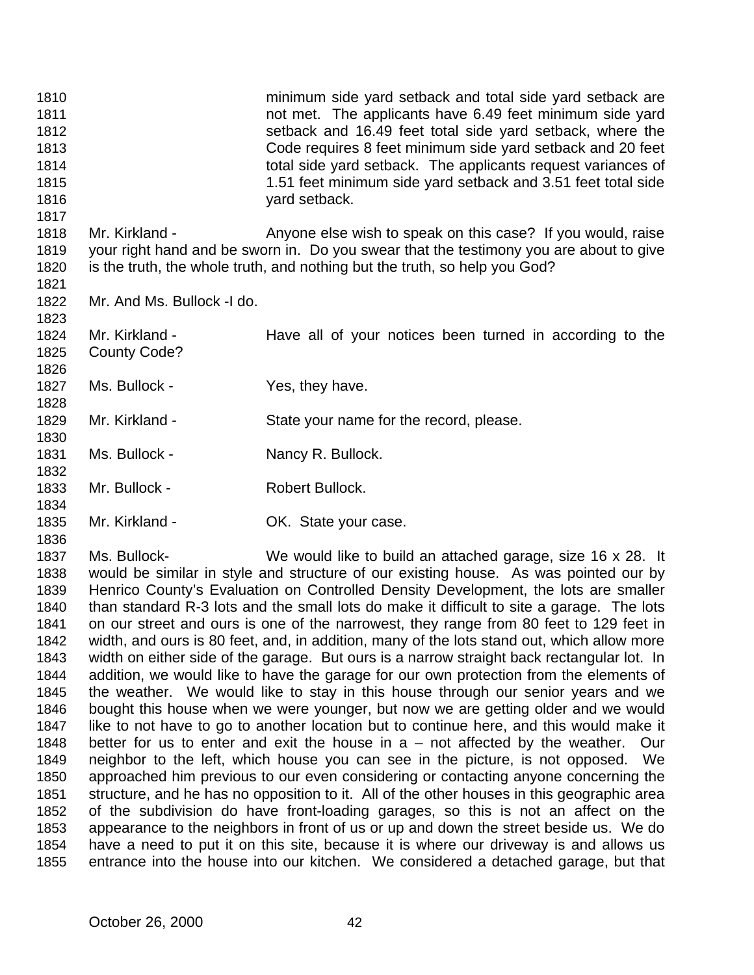| 1810<br>1811<br>1812<br>1813<br>1814<br>1815<br>1816<br>1817                                                                                         |                                                                                                                                                                                                                                                                                                                                                                                                                                                                                                                                                                                                                                                                                                                                                                                                                                                                                                                                                                                                                                                                                                                                                                                                                                                                                                                                                                                                                                                                                                                                                                                                                                                                                                                                                 | minimum side yard setback and total side yard setback are<br>not met. The applicants have 6.49 feet minimum side yard<br>setback and 16.49 feet total side yard setback, where the<br>Code requires 8 feet minimum side yard setback and 20 feet<br>total side yard setback. The applicants request variances of<br>1.51 feet minimum side yard setback and 3.51 feet total side<br>yard setback. |
|------------------------------------------------------------------------------------------------------------------------------------------------------|-------------------------------------------------------------------------------------------------------------------------------------------------------------------------------------------------------------------------------------------------------------------------------------------------------------------------------------------------------------------------------------------------------------------------------------------------------------------------------------------------------------------------------------------------------------------------------------------------------------------------------------------------------------------------------------------------------------------------------------------------------------------------------------------------------------------------------------------------------------------------------------------------------------------------------------------------------------------------------------------------------------------------------------------------------------------------------------------------------------------------------------------------------------------------------------------------------------------------------------------------------------------------------------------------------------------------------------------------------------------------------------------------------------------------------------------------------------------------------------------------------------------------------------------------------------------------------------------------------------------------------------------------------------------------------------------------------------------------------------------------|---------------------------------------------------------------------------------------------------------------------------------------------------------------------------------------------------------------------------------------------------------------------------------------------------------------------------------------------------------------------------------------------------|
| 1818<br>1819<br>1820<br>1821                                                                                                                         | Mr. Kirkland -                                                                                                                                                                                                                                                                                                                                                                                                                                                                                                                                                                                                                                                                                                                                                                                                                                                                                                                                                                                                                                                                                                                                                                                                                                                                                                                                                                                                                                                                                                                                                                                                                                                                                                                                  | Anyone else wish to speak on this case? If you would, raise<br>your right hand and be sworn in. Do you swear that the testimony you are about to give<br>is the truth, the whole truth, and nothing but the truth, so help you God?                                                                                                                                                               |
| 1822<br>1823                                                                                                                                         | Mr. And Ms. Bullock -I do.                                                                                                                                                                                                                                                                                                                                                                                                                                                                                                                                                                                                                                                                                                                                                                                                                                                                                                                                                                                                                                                                                                                                                                                                                                                                                                                                                                                                                                                                                                                                                                                                                                                                                                                      |                                                                                                                                                                                                                                                                                                                                                                                                   |
| 1824<br>1825<br>1826                                                                                                                                 | Mr. Kirkland -<br>County Code?                                                                                                                                                                                                                                                                                                                                                                                                                                                                                                                                                                                                                                                                                                                                                                                                                                                                                                                                                                                                                                                                                                                                                                                                                                                                                                                                                                                                                                                                                                                                                                                                                                                                                                                  | Have all of your notices been turned in according to the                                                                                                                                                                                                                                                                                                                                          |
| 1827<br>1828                                                                                                                                         | Ms. Bullock -                                                                                                                                                                                                                                                                                                                                                                                                                                                                                                                                                                                                                                                                                                                                                                                                                                                                                                                                                                                                                                                                                                                                                                                                                                                                                                                                                                                                                                                                                                                                                                                                                                                                                                                                   | Yes, they have.                                                                                                                                                                                                                                                                                                                                                                                   |
| 1829<br>1830                                                                                                                                         | Mr. Kirkland -                                                                                                                                                                                                                                                                                                                                                                                                                                                                                                                                                                                                                                                                                                                                                                                                                                                                                                                                                                                                                                                                                                                                                                                                                                                                                                                                                                                                                                                                                                                                                                                                                                                                                                                                  | State your name for the record, please.                                                                                                                                                                                                                                                                                                                                                           |
| 1831<br>1832                                                                                                                                         | Ms. Bullock -                                                                                                                                                                                                                                                                                                                                                                                                                                                                                                                                                                                                                                                                                                                                                                                                                                                                                                                                                                                                                                                                                                                                                                                                                                                                                                                                                                                                                                                                                                                                                                                                                                                                                                                                   | Nancy R. Bullock.                                                                                                                                                                                                                                                                                                                                                                                 |
| 1833<br>1834                                                                                                                                         | Mr. Bullock -                                                                                                                                                                                                                                                                                                                                                                                                                                                                                                                                                                                                                                                                                                                                                                                                                                                                                                                                                                                                                                                                                                                                                                                                                                                                                                                                                                                                                                                                                                                                                                                                                                                                                                                                   | Robert Bullock.                                                                                                                                                                                                                                                                                                                                                                                   |
| 1835<br>1836                                                                                                                                         | Mr. Kirkland -                                                                                                                                                                                                                                                                                                                                                                                                                                                                                                                                                                                                                                                                                                                                                                                                                                                                                                                                                                                                                                                                                                                                                                                                                                                                                                                                                                                                                                                                                                                                                                                                                                                                                                                                  | OK. State your case.                                                                                                                                                                                                                                                                                                                                                                              |
| 1837<br>1838<br>1839<br>1840<br>1841<br>1842<br>1843<br>1844<br>1845<br>1846<br>1847<br>1848<br>1849<br>1850<br>1851<br>1852<br>1853<br>1854<br>1855 | Ms. Bullock-<br>We would like to build an attached garage, size 16 x 28. It<br>would be similar in style and structure of our existing house. As was pointed our by<br>Henrico County's Evaluation on Controlled Density Development, the lots are smaller<br>than standard R-3 lots and the small lots do make it difficult to site a garage. The lots<br>on our street and ours is one of the narrowest, they range from 80 feet to 129 feet in<br>width, and ours is 80 feet, and, in addition, many of the lots stand out, which allow more<br>width on either side of the garage. But ours is a narrow straight back rectangular lot. In<br>addition, we would like to have the garage for our own protection from the elements of<br>the weather. We would like to stay in this house through our senior years and we<br>bought this house when we were younger, but now we are getting older and we would<br>like to not have to go to another location but to continue here, and this would make it<br>better for us to enter and exit the house in $a$ – not affected by the weather.<br>Our<br>neighbor to the left, which house you can see in the picture, is not opposed.<br>We<br>approached him previous to our even considering or contacting anyone concerning the<br>structure, and he has no opposition to it. All of the other houses in this geographic area<br>of the subdivision do have front-loading garages, so this is not an affect on the<br>appearance to the neighbors in front of us or up and down the street beside us. We do<br>have a need to put it on this site, because it is where our driveway is and allows us<br>entrance into the house into our kitchen. We considered a detached garage, but that |                                                                                                                                                                                                                                                                                                                                                                                                   |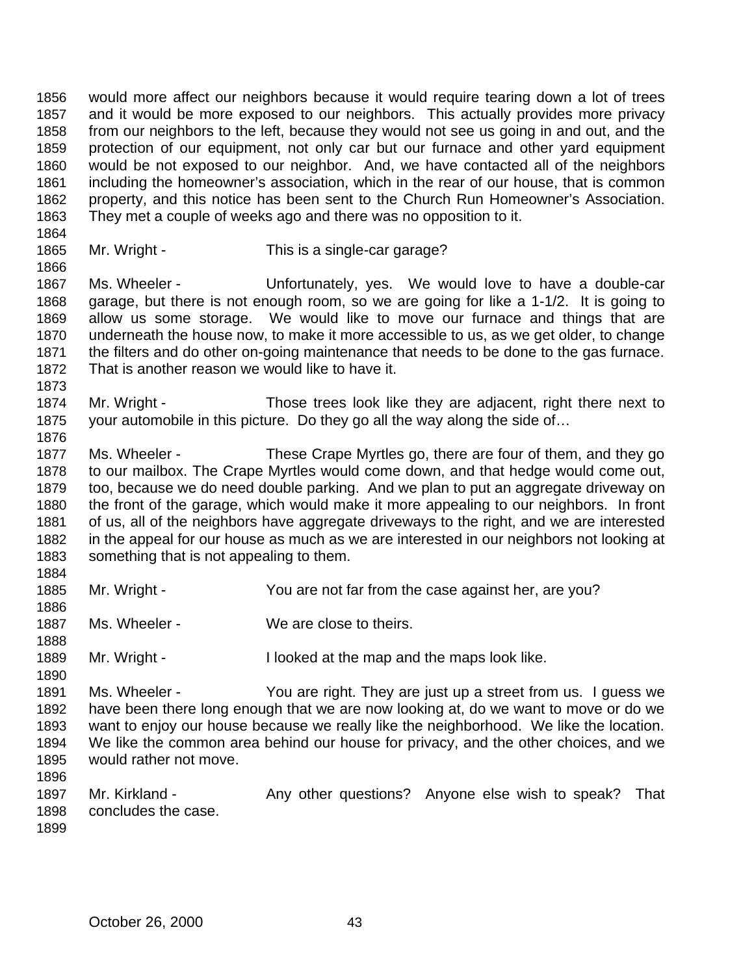would more affect our neighbors because it would require tearing down a lot of trees and it would be more exposed to our neighbors. This actually provides more privacy from our neighbors to the left, because they would not see us going in and out, and the protection of our equipment, not only car but our furnace and other yard equipment would be not exposed to our neighbor. And, we have contacted all of the neighbors including the homeowner's association, which in the rear of our house, that is common property, and this notice has been sent to the Church Run Homeowner's Association. They met a couple of weeks ago and there was no opposition to it.

1865 Mr. Wright - This is a single-car garage?

 Ms. Wheeler - Unfortunately, yes. We would love to have a double-car garage, but there is not enough room, so we are going for like a 1-1/2. It is going to allow us some storage. We would like to move our furnace and things that are underneath the house now, to make it more accessible to us, as we get older, to change the filters and do other on-going maintenance that needs to be done to the gas furnace. That is another reason we would like to have it.

 Mr. Wright - Those trees look like they are adjacent, right there next to your automobile in this picture. Do they go all the way along the side of…

 Ms. Wheeler - These Crape Myrtles go, there are four of them, and they go to our mailbox. The Crape Myrtles would come down, and that hedge would come out, too, because we do need double parking. And we plan to put an aggregate driveway on the front of the garage, which would make it more appealing to our neighbors. In front of us, all of the neighbors have aggregate driveways to the right, and we are interested in the appeal for our house as much as we are interested in our neighbors not looking at something that is not appealing to them. 

- Mr. Wright You are not far from the case against her, are you?
- 1887 Ms. Wheeler We are close to theirs.
- 1889 Mr. Wright I looked at the map and the maps look like.

 Ms. Wheeler - You are right. They are just up a street from us. I guess we have been there long enough that we are now looking at, do we want to move or do we want to enjoy our house because we really like the neighborhood. We like the location. We like the common area behind our house for privacy, and the other choices, and we would rather not move. 

- 1897 Mr. Kirkland Any other questions? Anyone else wish to speak? That concludes the case.
	- October 26, 2000 43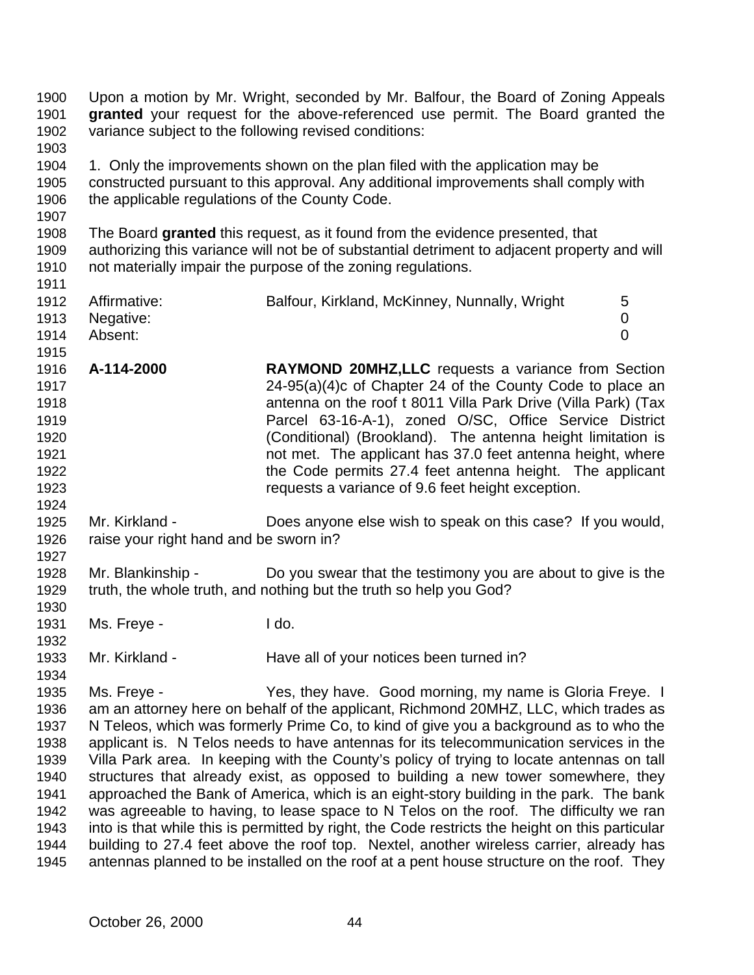| 1900<br>1901<br>1902<br>1903                                                         | variance subject to the following revised conditions:    | Upon a motion by Mr. Wright, seconded by Mr. Balfour, the Board of Zoning Appeals<br>granted your request for the above-referenced use permit. The Board granted the                                                                                                                                                                                                                                                                                                                                                                                                                                                                                                                                                                                                                                                                                                                                                                                                                               |  |
|--------------------------------------------------------------------------------------|----------------------------------------------------------|----------------------------------------------------------------------------------------------------------------------------------------------------------------------------------------------------------------------------------------------------------------------------------------------------------------------------------------------------------------------------------------------------------------------------------------------------------------------------------------------------------------------------------------------------------------------------------------------------------------------------------------------------------------------------------------------------------------------------------------------------------------------------------------------------------------------------------------------------------------------------------------------------------------------------------------------------------------------------------------------------|--|
| 1904<br>1905<br>1906<br>1907                                                         | the applicable regulations of the County Code.           | 1. Only the improvements shown on the plan filed with the application may be<br>constructed pursuant to this approval. Any additional improvements shall comply with                                                                                                                                                                                                                                                                                                                                                                                                                                                                                                                                                                                                                                                                                                                                                                                                                               |  |
| 1908<br>1909<br>1910<br>1911                                                         |                                                          | The Board granted this request, as it found from the evidence presented, that<br>authorizing this variance will not be of substantial detriment to adjacent property and will<br>not materially impair the purpose of the zoning regulations.                                                                                                                                                                                                                                                                                                                                                                                                                                                                                                                                                                                                                                                                                                                                                      |  |
| 1912<br>1913<br>1914<br>1915                                                         | Affirmative:<br>Negative:<br>Absent:                     | 5<br>Balfour, Kirkland, McKinney, Nunnally, Wright<br>$\boldsymbol{0}$<br>$\overline{0}$                                                                                                                                                                                                                                                                                                                                                                                                                                                                                                                                                                                                                                                                                                                                                                                                                                                                                                           |  |
| 1916<br>1917<br>1918<br>1919<br>1920<br>1921<br>1922<br>1923<br>1924                 | A-114-2000                                               | RAYMOND 20MHZ, LLC requests a variance from Section<br>24-95(a)(4)c of Chapter 24 of the County Code to place an<br>antenna on the roof t 8011 Villa Park Drive (Villa Park) (Tax<br>Parcel 63-16-A-1), zoned O/SC, Office Service District<br>(Conditional) (Brookland). The antenna height limitation is<br>not met. The applicant has 37.0 feet antenna height, where<br>the Code permits 27.4 feet antenna height. The applicant<br>requests a variance of 9.6 feet height exception.                                                                                                                                                                                                                                                                                                                                                                                                                                                                                                          |  |
| 1925<br>1926<br>1927                                                                 | Mr. Kirkland -<br>raise your right hand and be sworn in? | Does anyone else wish to speak on this case? If you would,                                                                                                                                                                                                                                                                                                                                                                                                                                                                                                                                                                                                                                                                                                                                                                                                                                                                                                                                         |  |
| 1928<br>1929<br>1930                                                                 | Mr. Blankinship -                                        | Do you swear that the testimony you are about to give is the<br>truth, the whole truth, and nothing but the truth so help you God?                                                                                                                                                                                                                                                                                                                                                                                                                                                                                                                                                                                                                                                                                                                                                                                                                                                                 |  |
| 1931<br>1932                                                                         | Ms. Freye -                                              | I do.                                                                                                                                                                                                                                                                                                                                                                                                                                                                                                                                                                                                                                                                                                                                                                                                                                                                                                                                                                                              |  |
| 1933<br>1934                                                                         | Mr. Kirkland -                                           | Have all of your notices been turned in?                                                                                                                                                                                                                                                                                                                                                                                                                                                                                                                                                                                                                                                                                                                                                                                                                                                                                                                                                           |  |
| 1935<br>1936<br>1937<br>1938<br>1939<br>1940<br>1941<br>1942<br>1943<br>1944<br>1945 | Ms. Freye -                                              | Yes, they have. Good morning, my name is Gloria Freye. I<br>am an attorney here on behalf of the applicant, Richmond 20MHZ, LLC, which trades as<br>N Teleos, which was formerly Prime Co, to kind of give you a background as to who the<br>applicant is. N Telos needs to have antennas for its telecommunication services in the<br>Villa Park area. In keeping with the County's policy of trying to locate antennas on tall<br>structures that already exist, as opposed to building a new tower somewhere, they<br>approached the Bank of America, which is an eight-story building in the park. The bank<br>was agreeable to having, to lease space to N Telos on the roof. The difficulty we ran<br>into is that while this is permitted by right, the Code restricts the height on this particular<br>building to 27.4 feet above the roof top. Nextel, another wireless carrier, already has<br>antennas planned to be installed on the roof at a pent house structure on the roof. They |  |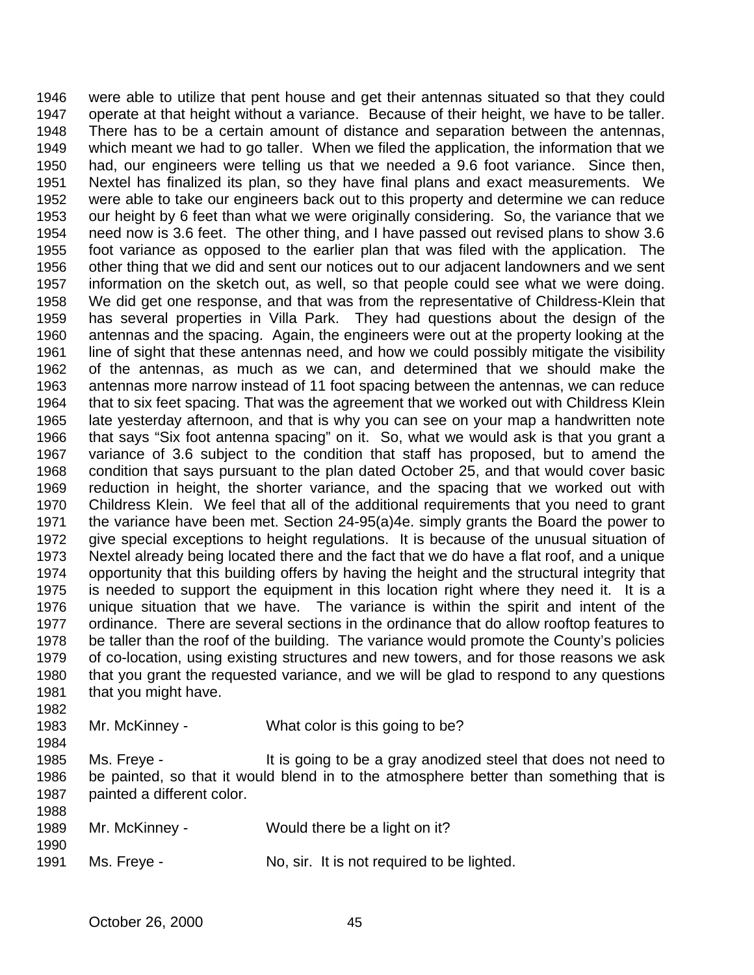were able to utilize that pent house and get their antennas situated so that they could operate at that height without a variance. Because of their height, we have to be taller. There has to be a certain amount of distance and separation between the antennas, which meant we had to go taller. When we filed the application, the information that we had, our engineers were telling us that we needed a 9.6 foot variance. Since then, Nextel has finalized its plan, so they have final plans and exact measurements. We were able to take our engineers back out to this property and determine we can reduce our height by 6 feet than what we were originally considering. So, the variance that we need now is 3.6 feet. The other thing, and I have passed out revised plans to show 3.6 foot variance as opposed to the earlier plan that was filed with the application. The other thing that we did and sent our notices out to our adjacent landowners and we sent information on the sketch out, as well, so that people could see what we were doing. We did get one response, and that was from the representative of Childress-Klein that has several properties in Villa Park. They had questions about the design of the antennas and the spacing. Again, the engineers were out at the property looking at the line of sight that these antennas need, and how we could possibly mitigate the visibility of the antennas, as much as we can, and determined that we should make the antennas more narrow instead of 11 foot spacing between the antennas, we can reduce that to six feet spacing. That was the agreement that we worked out with Childress Klein late yesterday afternoon, and that is why you can see on your map a handwritten note that says "Six foot antenna spacing" on it. So, what we would ask is that you grant a variance of 3.6 subject to the condition that staff has proposed, but to amend the condition that says pursuant to the plan dated October 25, and that would cover basic reduction in height, the shorter variance, and the spacing that we worked out with Childress Klein. We feel that all of the additional requirements that you need to grant the variance have been met. Section 24-95(a)4e. simply grants the Board the power to give special exceptions to height regulations. It is because of the unusual situation of Nextel already being located there and the fact that we do have a flat roof, and a unique opportunity that this building offers by having the height and the structural integrity that is needed to support the equipment in this location right where they need it. It is a unique situation that we have. The variance is within the spirit and intent of the ordinance. There are several sections in the ordinance that do allow rooftop features to be taller than the roof of the building. The variance would promote the County's policies of co-location, using existing structures and new towers, and for those reasons we ask that you grant the requested variance, and we will be glad to respond to any questions that you might have. Mr. McKinney - What color is this going to be? 

 Ms. Freye - It is going to be a gray anodized steel that does not need to be painted, so that it would blend in to the atmosphere better than something that is painted a different color. 

| ---<br>1989 | Mr. McKinney - | Would there be a light on it?              |
|-------------|----------------|--------------------------------------------|
| 1990        |                |                                            |
| 1991        | Ms. Freye -    | No, sir. It is not required to be lighted. |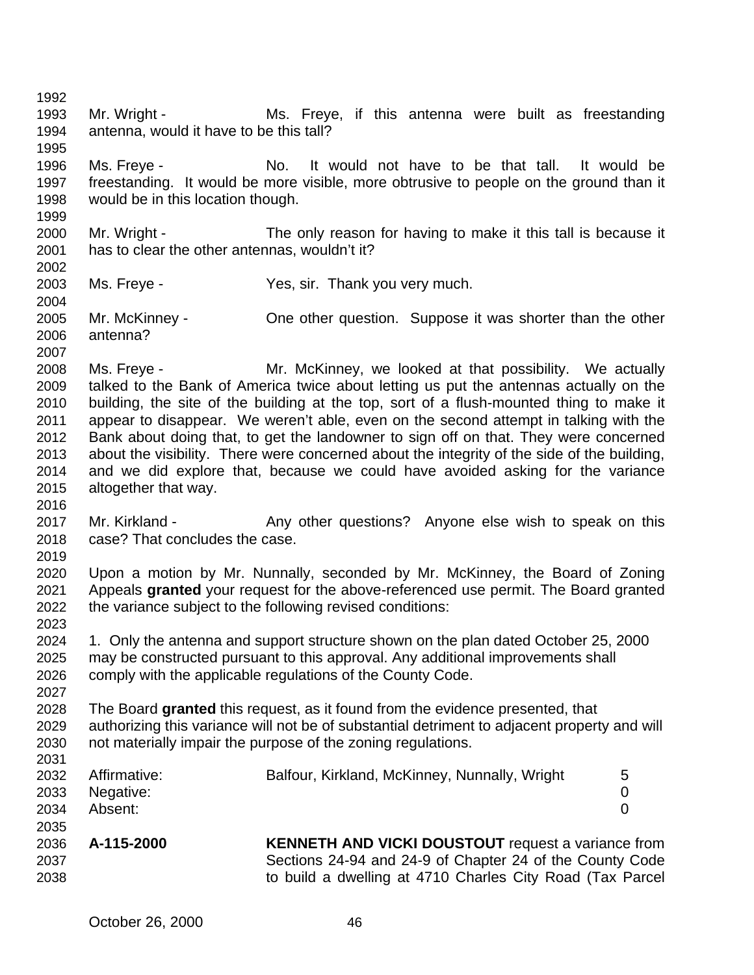Mr. Wright - Ms. Freye, if this antenna were built as freestanding antenna, would it have to be this tall? Ms. Freye - No. It would not have to be that tall. It would be freestanding. It would be more visible, more obtrusive to people on the ground than it would be in this location though. Mr. Wright - The only reason for having to make it this tall is because it has to clear the other antennas, wouldn't it? Ms. Freye - Yes, sir. Thank you very much. Mr. McKinney - One other question. Suppose it was shorter than the other antenna? Ms. Freye - Mr. McKinney, we looked at that possibility. We actually talked to the Bank of America twice about letting us put the antennas actually on the building, the site of the building at the top, sort of a flush-mounted thing to make it appear to disappear. We weren't able, even on the second attempt in talking with the Bank about doing that, to get the landowner to sign off on that. They were concerned about the visibility. There were concerned about the integrity of the side of the building, and we did explore that, because we could have avoided asking for the variance altogether that way. 2017 Mr. Kirkland - Any other questions? Anyone else wish to speak on this case? That concludes the case. Upon a motion by Mr. Nunnally, seconded by Mr. McKinney, the Board of Zoning Appeals **granted** your request for the above-referenced use permit. The Board granted the variance subject to the following revised conditions: 1. Only the antenna and support structure shown on the plan dated October 25, 2000 may be constructed pursuant to this approval. Any additional improvements shall comply with the applicable regulations of the County Code. The Board **granted** this request, as it found from the evidence presented, that authorizing this variance will not be of substantial detriment to adjacent property and will not materially impair the purpose of the zoning regulations. 2032 Affirmative: Balfour, Kirkland, McKinney, Nunnally, Wright 5 Negative: 0 Absent: 0 **A-115-2000 KENNETH AND VICKI DOUSTOUT** request a variance from Sections 24-94 and 24-9 of Chapter 24 of the County Code to build a dwelling at 4710 Charles City Road (Tax Parcel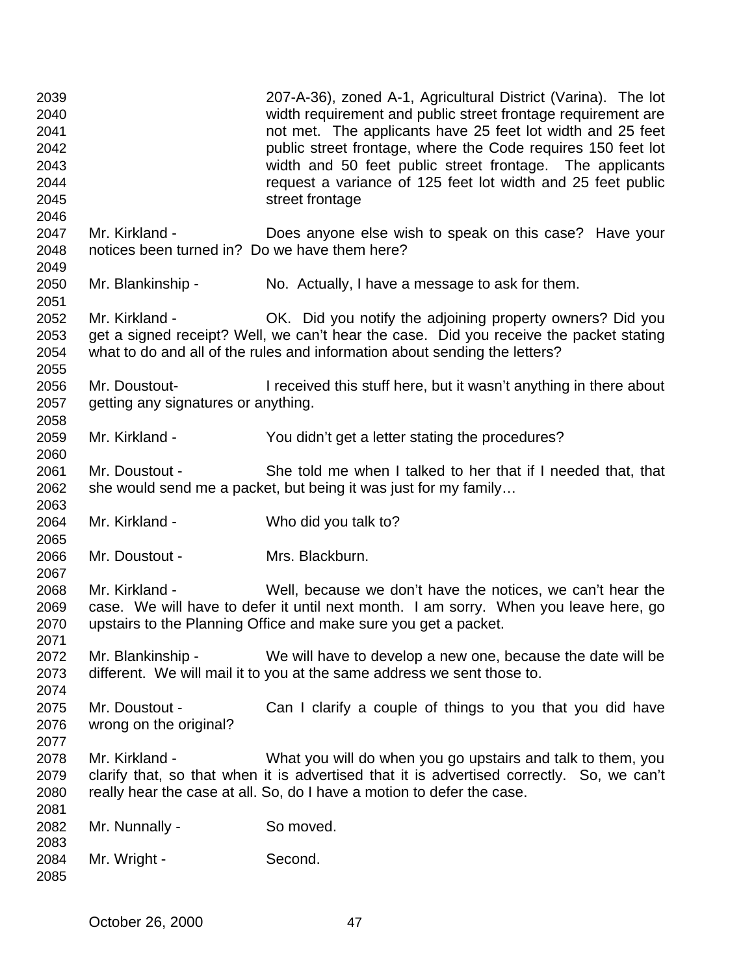| 2039<br>2040<br>2041<br>2042<br>2043<br>2044<br>2045<br>2046 |                                                                 | 207-A-36), zoned A-1, Agricultural District (Varina). The lot<br>width requirement and public street frontage requirement are<br>not met. The applicants have 25 feet lot width and 25 feet<br>public street frontage, where the Code requires 150 feet lot<br>width and 50 feet public street frontage. The applicants<br>request a variance of 125 feet lot width and 25 feet public<br>street frontage |
|--------------------------------------------------------------|-----------------------------------------------------------------|-----------------------------------------------------------------------------------------------------------------------------------------------------------------------------------------------------------------------------------------------------------------------------------------------------------------------------------------------------------------------------------------------------------|
| 2047<br>2048<br>2049                                         | Mr. Kirkland -<br>notices been turned in? Do we have them here? | Does anyone else wish to speak on this case? Have your                                                                                                                                                                                                                                                                                                                                                    |
| 2050<br>2051                                                 | Mr. Blankinship -                                               | No. Actually, I have a message to ask for them.                                                                                                                                                                                                                                                                                                                                                           |
| 2052<br>2053<br>2054<br>2055                                 | Mr. Kirkland -                                                  | OK. Did you notify the adjoining property owners? Did you<br>get a signed receipt? Well, we can't hear the case. Did you receive the packet stating<br>what to do and all of the rules and information about sending the letters?                                                                                                                                                                         |
| 2056<br>2057<br>2058                                         | Mr. Doustout-<br>getting any signatures or anything.            | I received this stuff here, but it wasn't anything in there about                                                                                                                                                                                                                                                                                                                                         |
| 2059                                                         | Mr. Kirkland -                                                  | You didn't get a letter stating the procedures?                                                                                                                                                                                                                                                                                                                                                           |
| 2060<br>2061<br>2062<br>2063                                 | Mr. Doustout -                                                  | She told me when I talked to her that if I needed that, that<br>she would send me a packet, but being it was just for my family                                                                                                                                                                                                                                                                           |
| 2064<br>2065                                                 | Mr. Kirkland -                                                  | Who did you talk to?                                                                                                                                                                                                                                                                                                                                                                                      |
| 2066<br>2067                                                 | Mr. Doustout -                                                  | Mrs. Blackburn.                                                                                                                                                                                                                                                                                                                                                                                           |
| 2068<br>2069<br>2070                                         | Mr. Kirkland -                                                  | Well, because we don't have the notices, we can't hear the<br>case. We will have to defer it until next month. I am sorry. When you leave here, go<br>upstairs to the Planning Office and make sure you get a packet.                                                                                                                                                                                     |
| 2071<br>2072<br>2073<br>2074                                 | Mr. Blankinship -                                               | We will have to develop a new one, because the date will be<br>different. We will mail it to you at the same address we sent those to.                                                                                                                                                                                                                                                                    |
| 2075<br>2076<br>2077                                         | Mr. Doustout -<br>wrong on the original?                        | Can I clarify a couple of things to you that you did have                                                                                                                                                                                                                                                                                                                                                 |
| 2078<br>2079<br>2080                                         | Mr. Kirkland -                                                  | What you will do when you go upstairs and talk to them, you<br>clarify that, so that when it is advertised that it is advertised correctly. So, we can't<br>really hear the case at all. So, do I have a motion to defer the case.                                                                                                                                                                        |
| 2081<br>2082                                                 | Mr. Nunnally -                                                  | So moved.                                                                                                                                                                                                                                                                                                                                                                                                 |
| 2083<br>2084<br>2085                                         | Mr. Wright -                                                    | Second.                                                                                                                                                                                                                                                                                                                                                                                                   |